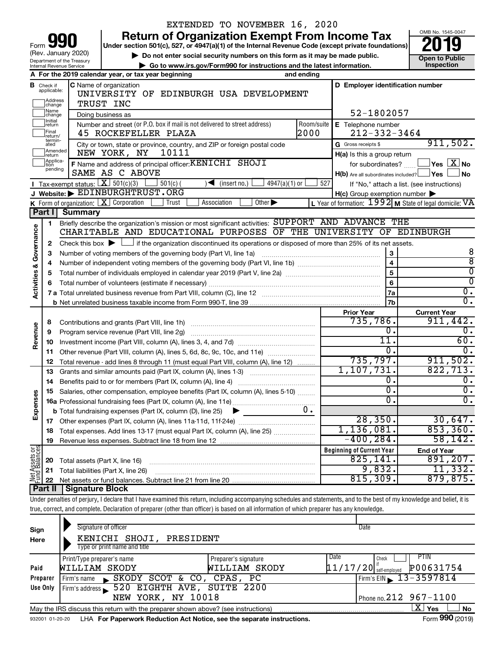|                                    |                                  | EXTENDED TO NOVEMBER 16, 2020                                                                                                                                              |                                                             |                                         |  |  |  |  |  |  |
|------------------------------------|----------------------------------|----------------------------------------------------------------------------------------------------------------------------------------------------------------------------|-------------------------------------------------------------|-----------------------------------------|--|--|--|--|--|--|
|                                    |                                  | <b>Return of Organization Exempt From Income Tax</b>                                                                                                                       |                                                             | OMB No. 1545-0047                       |  |  |  |  |  |  |
| Form                               |                                  | Under section 501(c), 527, or 4947(a)(1) of the Internal Revenue Code (except private foundations)                                                                         |                                                             |                                         |  |  |  |  |  |  |
|                                    |                                  | (Rev. January 2020)<br>Do not enter social security numbers on this form as it may be made public.<br>Department of the Treasury                                           |                                                             | <b>Open to Public</b>                   |  |  |  |  |  |  |
| Internal Revenue Service           | <b>Inspection</b>                |                                                                                                                                                                            |                                                             |                                         |  |  |  |  |  |  |
|                                    |                                  | A For the 2019 calendar year, or tax year beginning<br>and ending                                                                                                          |                                                             |                                         |  |  |  |  |  |  |
|                                    | <b>B</b> Check if<br>applicable: | C Name of organization                                                                                                                                                     | D Employer identification number                            |                                         |  |  |  |  |  |  |
|                                    | Address                          | UNIVERSITY OF EDINBURGH USA DEVELOPMENT                                                                                                                                    |                                                             |                                         |  |  |  |  |  |  |
|                                    | change<br> Name                  | TRUST INC                                                                                                                                                                  |                                                             |                                         |  |  |  |  |  |  |
|                                    | change<br>Initial                | Doing business as                                                                                                                                                          | 52-1802057                                                  |                                         |  |  |  |  |  |  |
|                                    | return<br>Final                  | Number and street (or P.O. box if mail is not delivered to street address)<br>Room/suite<br>2000                                                                           | E Telephone number<br>$212 - 332 - 3464$                    |                                         |  |  |  |  |  |  |
|                                    | return/<br>termin-               | 45 ROCKEFELLER PLAZA                                                                                                                                                       |                                                             | 911,502.                                |  |  |  |  |  |  |
|                                    | ated<br>Amended                  | City or town, state or province, country, and ZIP or foreign postal code<br>10111<br>NEW YORK, NY                                                                          | G Gross receipts \$                                         |                                         |  |  |  |  |  |  |
|                                    | return<br>Applica-               | F Name and address of principal officer: KENICHI SHOJI                                                                                                                     | H(a) Is this a group return<br>for subordinates?            | $\Box$ Yes $[\overline{\mathrm{X}}]$ No |  |  |  |  |  |  |
|                                    | pending                          | SAME AS C ABOVE                                                                                                                                                            | $H(b)$ Are all subordinates included? $\Box$ Yes            | <b>No</b>                               |  |  |  |  |  |  |
|                                    |                                  | Tax-exempt status: $X \mid 501(c)(3)$<br>$4947(a)(1)$ or<br>$501(c)$ (<br>$\sqrt{\frac{1}{1}}$ (insert no.)                                                                | 527<br>If "No," attach a list. (see instructions)           |                                         |  |  |  |  |  |  |
|                                    |                                  | J Website: EDINBURGHTRUST.ORG                                                                                                                                              | $H(c)$ Group exemption number $\blacktriangleright$         |                                         |  |  |  |  |  |  |
|                                    |                                  | K Form of organization: X Corporation<br>Other $\blacktriangleright$<br>Association<br>Trust                                                                               | L Year of formation: $1992$ M State of legal domicile: $VA$ |                                         |  |  |  |  |  |  |
|                                    |                                  | Part I Summary                                                                                                                                                             |                                                             |                                         |  |  |  |  |  |  |
|                                    | 1                                | Briefly describe the organization's mission or most significant activities: SUPPORT AND ADVANCE THE                                                                        |                                                             |                                         |  |  |  |  |  |  |
|                                    |                                  | CHARITABLE AND EDUCATIONAL PURPOSES OF THE UNIVERSITY OF EDINBURGH                                                                                                         |                                                             |                                         |  |  |  |  |  |  |
|                                    | 2                                | Check this box $\blacktriangleright$ $\Box$ if the organization discontinued its operations or disposed of more than 25% of its net assets.                                |                                                             |                                         |  |  |  |  |  |  |
|                                    | З                                | Number of voting members of the governing body (Part VI, line 1a)                                                                                                          | 3                                                           | 8                                       |  |  |  |  |  |  |
|                                    | 4                                |                                                                                                                                                                            | $\overline{\bf 8}$                                          |                                         |  |  |  |  |  |  |
|                                    | 5                                |                                                                                                                                                                            | 5                                                           | $\overline{0}$                          |  |  |  |  |  |  |
| <b>Activities &amp; Governance</b> | 6                                |                                                                                                                                                                            | 6                                                           | $\overline{0}$                          |  |  |  |  |  |  |
|                                    |                                  |                                                                                                                                                                            | 7a                                                          | $\overline{0}$ .                        |  |  |  |  |  |  |
|                                    |                                  |                                                                                                                                                                            | 7 <sub>b</sub>                                              | $\overline{0}$ .                        |  |  |  |  |  |  |
|                                    |                                  |                                                                                                                                                                            | <b>Prior Year</b>                                           | <b>Current Year</b>                     |  |  |  |  |  |  |
|                                    | 8                                | Contributions and grants (Part VIII, line 1h)                                                                                                                              | 735,786.                                                    | 911,442.<br>0.                          |  |  |  |  |  |  |
| Revenue                            | 9                                | Program service revenue (Part VIII, line 2g)                                                                                                                               | 0<br>11                                                     | 60.                                     |  |  |  |  |  |  |
|                                    | 10                               |                                                                                                                                                                            | 0.                                                          | Ω.                                      |  |  |  |  |  |  |
|                                    | 11                               | Other revenue (Part VIII, column (A), lines 5, 6d, 8c, 9c, 10c, and 11e)                                                                                                   | 735,797.                                                    | 911,502.                                |  |  |  |  |  |  |
|                                    | 12                               | Total revenue - add lines 8 through 11 (must equal Part VIII, column (A), line 12)                                                                                         | 1,107,731.                                                  | 822, 713.                               |  |  |  |  |  |  |
|                                    | 13<br>14                         | Grants and similar amounts paid (Part IX, column (A), lines 1-3)<br>Benefits paid to or for members (Part IX, column (A), line 4)                                          | 0                                                           | 0.                                      |  |  |  |  |  |  |
|                                    | 15                               | Salaries, other compensation, employee benefits (Part IX, column (A), lines 5-10)                                                                                          | О,                                                          | υ.                                      |  |  |  |  |  |  |
| Expenses                           |                                  |                                                                                                                                                                            | 0                                                           | $\overline{0}$ .                        |  |  |  |  |  |  |
|                                    |                                  | $0$ .<br><b>b</b> Total fundraising expenses (Part IX, column (D), line 25)<br>▶                                                                                           |                                                             |                                         |  |  |  |  |  |  |
|                                    | 17                               |                                                                                                                                                                            | 28,350.                                                     | 30,647.                                 |  |  |  |  |  |  |
|                                    | 18                               | Total expenses. Add lines 13-17 (must equal Part IX, column (A), line 25)                                                                                                  | 1,136,081.                                                  | 853,360.                                |  |  |  |  |  |  |
|                                    | 19                               |                                                                                                                                                                            | $-400, 284$ .                                               | 58, 142.                                |  |  |  |  |  |  |
|                                    |                                  |                                                                                                                                                                            | <b>Beginning of Current Year</b>                            | <b>End of Year</b>                      |  |  |  |  |  |  |
| Net Assets or                      | 20                               | Total assets (Part X, line 16)                                                                                                                                             | 825,141.                                                    | 891, 207.                               |  |  |  |  |  |  |
|                                    | 21                               | Total liabilities (Part X, line 26)                                                                                                                                        | 9,832.                                                      | 11,332.                                 |  |  |  |  |  |  |
|                                    | 22                               |                                                                                                                                                                            | 815, 309.                                                   | 879,875.                                |  |  |  |  |  |  |
|                                    | <b>Part II</b>                   | <b>Signature Block</b>                                                                                                                                                     |                                                             |                                         |  |  |  |  |  |  |
|                                    |                                  | Under penalties of perjury, I declare that I have examined this return, including accompanying schedules and statements, and to the best of my knowledge and belief, it is |                                                             |                                         |  |  |  |  |  |  |
|                                    |                                  | true, correct, and complete. Declaration of preparer (other than officer) is based on all information of which preparer has any knowledge.                                 |                                                             |                                         |  |  |  |  |  |  |
|                                    |                                  |                                                                                                                                                                            |                                                             |                                         |  |  |  |  |  |  |

| Sign     | Signature of officer                                                                                                         |                      | Date                         |                        |  |  |  |  |  |  |  |  |
|----------|------------------------------------------------------------------------------------------------------------------------------|----------------------|------------------------------|------------------------|--|--|--|--|--|--|--|--|
| Here     | KENICHI SHOJI, PRESIDENT                                                                                                     |                      |                              |                        |  |  |  |  |  |  |  |  |
|          | Type or print name and title                                                                                                 |                      |                              |                        |  |  |  |  |  |  |  |  |
|          | Print/Type preparer's name                                                                                                   | Preparer's signature | Date<br>Check                | <b>PTIN</b>            |  |  |  |  |  |  |  |  |
| Paid     | WILLIAM SKODY                                                                                                                | WILLIAM SKODY        | $11/17/20$ self-employed     | P00631754              |  |  |  |  |  |  |  |  |
| Preparer | $\blacktriangleright$ SKODY SCOT & CO,<br>Firm's name                                                                        | CPAS, PC             | Firm's EIN $\, 13 - 3597814$ |                        |  |  |  |  |  |  |  |  |
| Use Only | Firm's address 520 EIGHTH AVE, SUITE 2200                                                                                    |                      |                              |                        |  |  |  |  |  |  |  |  |
|          | Phone no. $212$ 967 – $1100$                                                                                                 |                      |                              |                        |  |  |  |  |  |  |  |  |
|          | May the IRS discuss this return with the preparer shown above? (see instructions)                                            |                      |                              | ΧI<br>Yes<br><b>No</b> |  |  |  |  |  |  |  |  |
|          | $T_{\text{max}}$ 000 (0010)<br>access to a computer that the Demonstrated Deploisher Ast Nation and the computer included in |                      |                              |                        |  |  |  |  |  |  |  |  |

932001 01-20-20 **For Paperwork Reduction Act Notice, see the separate instructions.** LHA Form (2019)

Form **990** (2019)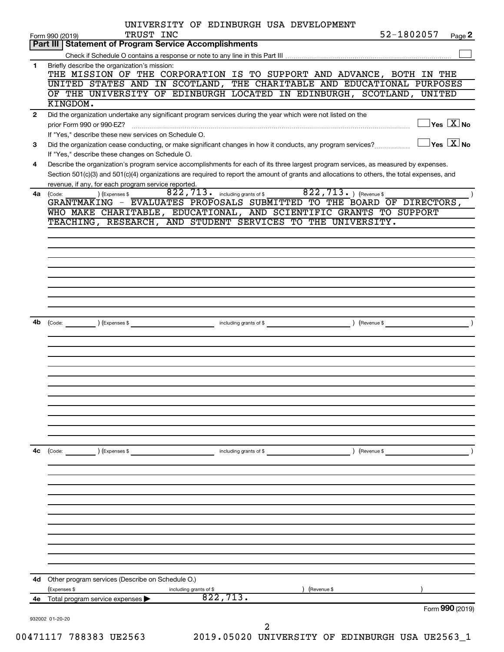|              | UNIVERSITY OF EDINBURGH USA DEVELOPMENT<br>52-1802057<br>TRUST INC<br>Page 2<br>Form 990 (2019)                                                         |
|--------------|---------------------------------------------------------------------------------------------------------------------------------------------------------|
|              | Part III   Statement of Program Service Accomplishments                                                                                                 |
|              |                                                                                                                                                         |
| 1            | Briefly describe the organization's mission:                                                                                                            |
|              | THE MISSION OF THE CORPORATION IS TO SUPPORT AND ADVANCE, BOTH IN THE                                                                                   |
|              | UNITED STATES AND IN SCOTLAND, THE CHARITABLE AND EDUCATIONAL PURPOSES                                                                                  |
|              | OF THE UNIVERSITY OF EDINBURGH LOCATED IN EDINBURGH, SCOTLAND, UNITED                                                                                   |
|              | KINGDOM.                                                                                                                                                |
| $\mathbf{2}$ | Did the organization undertake any significant program services during the year which were not listed on the                                            |
|              | $\Box$ Yes $[\overline{\mathrm{X}}]$ No<br>prior Form 990 or 990-EZ?                                                                                    |
|              | If "Yes," describe these new services on Schedule O.                                                                                                    |
| 3            | $\Box$ Yes $[\overline{\mathrm{X}}]$ No<br>Did the organization cease conducting, or make significant changes in how it conducts, any program services? |
|              | If "Yes," describe these changes on Schedule O.                                                                                                         |
| 4            | Describe the organization's program service accomplishments for each of its three largest program services, as measured by expenses.                    |
|              | Section 501(c)(3) and 501(c)(4) organizations are required to report the amount of grants and allocations to others, the total expenses, and            |
|              | revenue, if any, for each program service reported.                                                                                                     |
| 4a           | 822, 713. ) (Revenue \$<br>$\overline{822}$ , $\overline{713}$ or including grants of \$<br>(Expenses \$<br>(Code:                                      |
|              | GRANTMAKING - EVALUATES PROPOSALS SUBMITTED TO THE BOARD OF DIRECTORS,                                                                                  |
|              | WHO MAKE CHARITABLE, EDUCATIONAL, AND SCIENTIFIC GRANTS TO SUPPORT                                                                                      |
|              | TEACHING, RESEARCH, AND STUDENT SERVICES TO THE UNIVERSITY.                                                                                             |
|              |                                                                                                                                                         |
|              |                                                                                                                                                         |
|              |                                                                                                                                                         |
|              |                                                                                                                                                         |
|              |                                                                                                                                                         |
|              |                                                                                                                                                         |
|              |                                                                                                                                                         |
|              |                                                                                                                                                         |
| 4b           | $\frac{1}{\sqrt{1-\frac{1}{2}}}\sqrt{1-\frac{1}{2}}$<br>(Code: ) (Expenses \$                                                                           |
|              |                                                                                                                                                         |
|              |                                                                                                                                                         |
|              |                                                                                                                                                         |
|              |                                                                                                                                                         |
|              |                                                                                                                                                         |
|              |                                                                                                                                                         |
|              |                                                                                                                                                         |
|              |                                                                                                                                                         |
|              |                                                                                                                                                         |
|              |                                                                                                                                                         |
|              |                                                                                                                                                         |
|              |                                                                                                                                                         |
| 4с           | (Expenses \$<br>including grants of \$<br>) (Revenue \$<br>(Code:                                                                                       |
|              |                                                                                                                                                         |
|              |                                                                                                                                                         |
|              |                                                                                                                                                         |
|              |                                                                                                                                                         |
|              |                                                                                                                                                         |
|              |                                                                                                                                                         |
|              |                                                                                                                                                         |
|              |                                                                                                                                                         |
|              |                                                                                                                                                         |
|              |                                                                                                                                                         |
|              |                                                                                                                                                         |
|              | <b>4d</b> Other program services (Describe on Schedule O.)                                                                                              |
|              | (Expenses \$<br>(Revenue \$<br>including grants of \$                                                                                                   |
| 4е           | 822, 713.<br>Total program service expenses                                                                                                             |
|              | Form 990 (2019)                                                                                                                                         |
|              | 932002 01-20-20                                                                                                                                         |
|              | 2<br>OODOD TIMPEED<br>0.010<br>T T N T T T T T T T                                                                                                      |

00471117 788383 UE2563 2019.05020 UNIVERSITY OF EDINBURGH USA UE2563\_1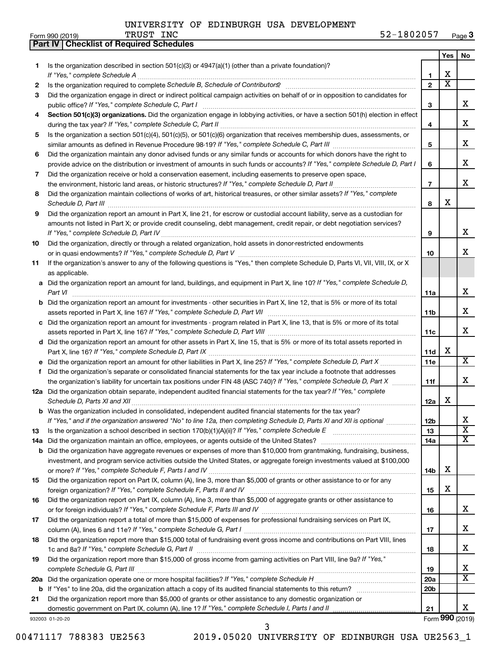| UNIVERSITY OF EDINBURGH USA DEVELOPMENT |  |  |  |  |  |
|-----------------------------------------|--|--|--|--|--|
|-----------------------------------------|--|--|--|--|--|

**Part IV Checklist of Required Schedules**

|    |                                                                                                                                                                                                                                     |                 | Yes                   | No                      |
|----|-------------------------------------------------------------------------------------------------------------------------------------------------------------------------------------------------------------------------------------|-----------------|-----------------------|-------------------------|
| 1  | Is the organization described in section 501(c)(3) or 4947(a)(1) (other than a private foundation)?                                                                                                                                 |                 |                       |                         |
|    | If "Yes," complete Schedule A                                                                                                                                                                                                       | 1               | х                     |                         |
| 2  |                                                                                                                                                                                                                                     | $\mathbf{2}$    | $\overline{\text{x}}$ |                         |
| З  | Did the organization engage in direct or indirect political campaign activities on behalf of or in opposition to candidates for                                                                                                     |                 |                       |                         |
|    | public office? If "Yes," complete Schedule C, Part I                                                                                                                                                                                | 3               |                       | x                       |
| 4  | Section 501(c)(3) organizations. Did the organization engage in lobbying activities, or have a section 501(h) election in effect                                                                                                    | 4               |                       | x                       |
| 5  | Is the organization a section 501(c)(4), 501(c)(5), or 501(c)(6) organization that receives membership dues, assessments, or                                                                                                        |                 |                       |                         |
|    |                                                                                                                                                                                                                                     | 5               |                       | x                       |
| 6  | Did the organization maintain any donor advised funds or any similar funds or accounts for which donors have the right to                                                                                                           |                 |                       |                         |
|    | provide advice on the distribution or investment of amounts in such funds or accounts? If "Yes," complete Schedule D, Part I                                                                                                        | 6               |                       | x                       |
| 7  | Did the organization receive or hold a conservation easement, including easements to preserve open space,                                                                                                                           |                 |                       |                         |
|    |                                                                                                                                                                                                                                     | $\overline{7}$  |                       | x                       |
| 8  | Did the organization maintain collections of works of art, historical treasures, or other similar assets? If "Yes," complete                                                                                                        |                 |                       |                         |
|    | Schedule D, Part III <b>Marting Communities</b> and the contract of the contract of the contract of the contract of the contract of the contract of the contract of the contract of the contract of the contract of the contract of | 8               | х                     |                         |
| 9  | Did the organization report an amount in Part X, line 21, for escrow or custodial account liability, serve as a custodian for                                                                                                       |                 |                       |                         |
|    | amounts not listed in Part X; or provide credit counseling, debt management, credit repair, or debt negotiation services?                                                                                                           |                 |                       |                         |
|    |                                                                                                                                                                                                                                     | 9               |                       | х                       |
| 10 | Did the organization, directly or through a related organization, hold assets in donor-restricted endowments                                                                                                                        |                 |                       |                         |
|    |                                                                                                                                                                                                                                     | 10              |                       | х                       |
| 11 | If the organization's answer to any of the following questions is "Yes," then complete Schedule D, Parts VI, VII, VIII, IX, or X                                                                                                    |                 |                       |                         |
|    | as applicable.                                                                                                                                                                                                                      |                 |                       |                         |
|    | a Did the organization report an amount for land, buildings, and equipment in Part X, line 10? If "Yes," complete Schedule D,                                                                                                       |                 |                       | х                       |
|    |                                                                                                                                                                                                                                     | 11a             |                       |                         |
|    | <b>b</b> Did the organization report an amount for investments - other securities in Part X, line 12, that is 5% or more of its total                                                                                               |                 |                       | х                       |
|    | c Did the organization report an amount for investments - program related in Part X, line 13, that is 5% or more of its total                                                                                                       | 11b             |                       |                         |
|    |                                                                                                                                                                                                                                     | 11c             |                       | x                       |
|    | d Did the organization report an amount for other assets in Part X, line 15, that is 5% or more of its total assets reported in                                                                                                     |                 |                       |                         |
|    |                                                                                                                                                                                                                                     | 11d             | х                     |                         |
|    |                                                                                                                                                                                                                                     | 11e             |                       | x                       |
| f  | Did the organization's separate or consolidated financial statements for the tax year include a footnote that addresses                                                                                                             |                 |                       |                         |
|    | the organization's liability for uncertain tax positions under FIN 48 (ASC 740)? If "Yes," complete Schedule D, Part X                                                                                                              | 11f             |                       | x                       |
|    | 12a Did the organization obtain separate, independent audited financial statements for the tax year? If "Yes," complete                                                                                                             |                 |                       |                         |
|    |                                                                                                                                                                                                                                     | 12a             | х                     |                         |
|    | <b>b</b> Was the organization included in consolidated, independent audited financial statements for the tax year?                                                                                                                  |                 |                       |                         |
|    | If "Yes," and if the organization answered "No" to line 12a, then completing Schedule D, Parts XI and XII is optional                                                                                                               | 12 <sub>b</sub> |                       | х                       |
| 13 | Is the organization a school described in section 170(b)(1)(A)(ii)? If "Yes," complete Schedule E [[[[[[[[[[[[                                                                                                                      | 13              |                       | $\overline{\mathbf{X}}$ |
|    |                                                                                                                                                                                                                                     | 14a             |                       | х                       |
|    | <b>b</b> Did the organization have aggregate revenues or expenses of more than \$10,000 from grantmaking, fundraising, business,                                                                                                    |                 |                       |                         |
|    | investment, and program service activities outside the United States, or aggregate foreign investments valued at \$100,000                                                                                                          |                 |                       |                         |
|    |                                                                                                                                                                                                                                     | 14b             | х                     |                         |
| 15 | Did the organization report on Part IX, column (A), line 3, more than \$5,000 of grants or other assistance to or for any                                                                                                           |                 |                       |                         |
|    |                                                                                                                                                                                                                                     | 15              | х                     |                         |
| 16 | Did the organization report on Part IX, column (A), line 3, more than \$5,000 of aggregate grants or other assistance to                                                                                                            |                 |                       |                         |
|    |                                                                                                                                                                                                                                     | 16              |                       | х                       |
| 17 | Did the organization report a total of more than \$15,000 of expenses for professional fundraising services on Part IX,                                                                                                             |                 |                       | х                       |
|    | Did the organization report more than \$15,000 total of fundraising event gross income and contributions on Part VIII, lines                                                                                                        | 17              |                       |                         |
| 18 |                                                                                                                                                                                                                                     | 18              |                       | х                       |
| 19 | Did the organization report more than \$15,000 of gross income from gaming activities on Part VIII, line 9a? If "Yes,"                                                                                                              |                 |                       |                         |
|    |                                                                                                                                                                                                                                     | 19              |                       | х                       |
|    |                                                                                                                                                                                                                                     | <b>20a</b>      |                       | х                       |
|    |                                                                                                                                                                                                                                     | 20 <sub>b</sub> |                       |                         |
| 21 | Did the organization report more than \$5,000 of grants or other assistance to any domestic organization or                                                                                                                         |                 |                       |                         |
|    |                                                                                                                                                                                                                                     | 21              |                       | x                       |
|    | 932003 01-20-20                                                                                                                                                                                                                     |                 |                       | Form 990 (2019)         |

00471117 788383 UE2563 2019.05020 UNIVERSITY OF EDINBURGH USA UE2563\_1

3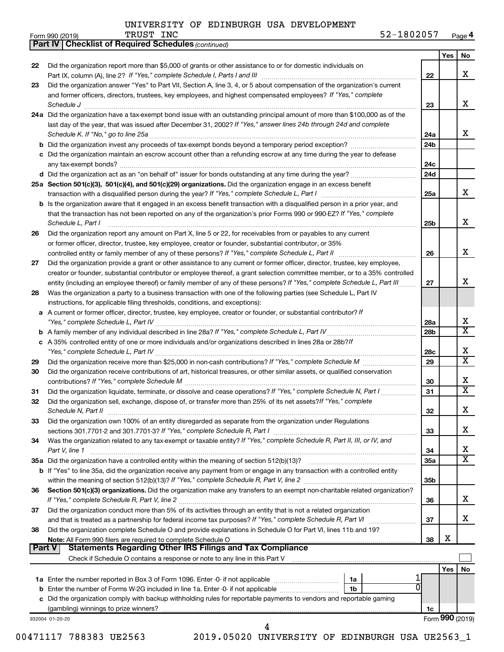*(continued)* **Part IV Checklist of Required Schedules**

|               |                                                                                                                                                                                                                                                                                                                                                   |                 | Yes             | No                      |
|---------------|---------------------------------------------------------------------------------------------------------------------------------------------------------------------------------------------------------------------------------------------------------------------------------------------------------------------------------------------------|-----------------|-----------------|-------------------------|
| 22            | Did the organization report more than \$5,000 of grants or other assistance to or for domestic individuals on                                                                                                                                                                                                                                     | 22              |                 | X                       |
| 23            | Did the organization answer "Yes" to Part VII, Section A, line 3, 4, or 5 about compensation of the organization's current                                                                                                                                                                                                                        |                 |                 |                         |
|               | and former officers, directors, trustees, key employees, and highest compensated employees? If "Yes," complete<br>Schedule J <b>Martin Communication Communication</b> Contract of the Communication Communication Communication Communication                                                                                                    | 23              |                 | х                       |
|               | 24a Did the organization have a tax-exempt bond issue with an outstanding principal amount of more than \$100,000 as of the                                                                                                                                                                                                                       |                 |                 |                         |
|               | last day of the year, that was issued after December 31, 2002? If "Yes," answer lines 24b through 24d and complete                                                                                                                                                                                                                                | 24a             |                 | x                       |
|               |                                                                                                                                                                                                                                                                                                                                                   | 24 <sub>b</sub> |                 |                         |
|               | c Did the organization maintain an escrow account other than a refunding escrow at any time during the year to defease                                                                                                                                                                                                                            | 24c             |                 |                         |
|               |                                                                                                                                                                                                                                                                                                                                                   | 24d             |                 |                         |
|               | 25a Section 501(c)(3), 501(c)(4), and 501(c)(29) organizations. Did the organization engage in an excess benefit                                                                                                                                                                                                                                  |                 |                 |                         |
|               |                                                                                                                                                                                                                                                                                                                                                   | 25a             |                 | х                       |
|               | <b>b</b> Is the organization aware that it engaged in an excess benefit transaction with a disqualified person in a prior year, and<br>that the transaction has not been reported on any of the organization's prior Forms 990 or 990-EZ? If "Yes," complete<br>Schedule L, Part I                                                                | 25 <sub>b</sub> |                 | х                       |
| 26            | Did the organization report any amount on Part X, line 5 or 22, for receivables from or payables to any current                                                                                                                                                                                                                                   |                 |                 |                         |
|               | or former officer, director, trustee, key employee, creator or founder, substantial contributor, or 35%                                                                                                                                                                                                                                           |                 |                 |                         |
|               | controlled entity or family member of any of these persons? If "Yes," complete Schedule L, Part II [1, 2001] [1, 2011]                                                                                                                                                                                                                            | 26              |                 | х                       |
| 27            | Did the organization provide a grant or other assistance to any current or former officer, director, trustee, key employee,                                                                                                                                                                                                                       |                 |                 |                         |
|               | creator or founder, substantial contributor or employee thereof, a grant selection committee member, or to a 35% controlled                                                                                                                                                                                                                       |                 |                 |                         |
|               | entity (including an employee thereof) or family member of any of these persons? If "Yes," complete Schedule L, Part III                                                                                                                                                                                                                          | 27              |                 | х                       |
| 28            | Was the organization a party to a business transaction with one of the following parties (see Schedule L, Part IV<br>instructions, for applicable filing thresholds, conditions, and exceptions):                                                                                                                                                 |                 |                 |                         |
|               | a A current or former officer, director, trustee, key employee, creator or founder, or substantial contributor? If                                                                                                                                                                                                                                | 28a             |                 | х                       |
|               |                                                                                                                                                                                                                                                                                                                                                   | 28 <sub>b</sub> |                 | $\overline{\textbf{x}}$ |
|               | c A 35% controlled entity of one or more individuals and/or organizations described in lines 28a or 28b?/f                                                                                                                                                                                                                                        | 28c             |                 | Х                       |
| 29            |                                                                                                                                                                                                                                                                                                                                                   | 29              |                 | $\overline{\textbf{x}}$ |
| 30            | Did the organization receive contributions of art, historical treasures, or other similar assets, or qualified conservation                                                                                                                                                                                                                       | 30              |                 | Х                       |
| 31            | Did the organization liquidate, terminate, or dissolve and cease operations? If "Yes," complete Schedule N, Part I                                                                                                                                                                                                                                | 31              |                 | $\overline{\textbf{x}}$ |
| 32            | Did the organization sell, exchange, dispose of, or transfer more than 25% of its net assets? If "Yes," complete                                                                                                                                                                                                                                  | 32              |                 | х                       |
| 33            | Schedule N, Part II <b>Markov Markov Alexander Schedule N, Part II</b> Markov Markov Markov Markov Markov Markov Markov Markov Markov Markov Markov Markov Markov Markov Markov Markov Markov Markov Markov Markov Markov Markov Ma<br>Did the organization own 100% of an entity disregarded as separate from the organization under Regulations |                 |                 |                         |
|               |                                                                                                                                                                                                                                                                                                                                                   | 33              |                 | x                       |
| 34            | Was the organization related to any tax-exempt or taxable entity? If "Yes," complete Schedule R, Part II, III, or IV, and                                                                                                                                                                                                                         |                 |                 | х                       |
|               | Part V, line 1                                                                                                                                                                                                                                                                                                                                    | 34              |                 | $\overline{\textbf{x}}$ |
|               | b If "Yes" to line 35a, did the organization receive any payment from or engage in any transaction with a controlled entity                                                                                                                                                                                                                       | 35a             |                 |                         |
|               |                                                                                                                                                                                                                                                                                                                                                   | 35 <sub>b</sub> |                 |                         |
| 36            | Section 501(c)(3) organizations. Did the organization make any transfers to an exempt non-charitable related organization?                                                                                                                                                                                                                        | 36              |                 | x                       |
| 37            | Did the organization conduct more than 5% of its activities through an entity that is not a related organization                                                                                                                                                                                                                                  | 37              |                 | x                       |
| 38            | Did the organization complete Schedule O and provide explanations in Schedule O for Part VI, lines 11b and 19?                                                                                                                                                                                                                                    | 38              | X               |                         |
| <b>Part V</b> | <b>Statements Regarding Other IRS Filings and Tax Compliance</b>                                                                                                                                                                                                                                                                                  |                 |                 |                         |
|               | Check if Schedule O contains a response or note to any line in this Part V [11] [12] Check if Schedule O contains a response or note to any line in this Part V                                                                                                                                                                                   |                 |                 |                         |
|               | 1a                                                                                                                                                                                                                                                                                                                                                |                 | Yes             | <b>No</b>               |
|               | 1 <sub>b</sub>                                                                                                                                                                                                                                                                                                                                    |                 |                 |                         |
|               | c Did the organization comply with backup withholding rules for reportable payments to vendors and reportable gaming                                                                                                                                                                                                                              |                 |                 |                         |
|               |                                                                                                                                                                                                                                                                                                                                                   | 1c              |                 |                         |
|               | 932004 01-20-20                                                                                                                                                                                                                                                                                                                                   |                 | Form 990 (2019) |                         |
|               |                                                                                                                                                                                                                                                                                                                                                   |                 |                 |                         |
|               | 00471117 788383 UE2563<br>2019.05020 UNIVERSITY OF EDINBURGH USA UE2563_1                                                                                                                                                                                                                                                                         |                 |                 |                         |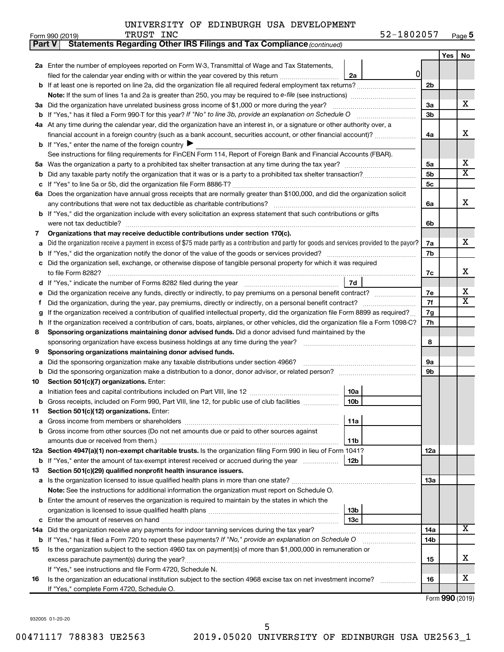| Form 990 (2019) | INC<br>TRUST | 1802057<br>$52 -$<br>Page 5 |  |
|-----------------|--------------|-----------------------------|--|
|-----------------|--------------|-----------------------------|--|

| Yes<br>No<br>2a Enter the number of employees reported on Form W-3, Transmittal of Wage and Tax Statements,<br>0<br>filed for the calendar year ending with or within the year covered by this return<br>2a<br>2 <sub>b</sub><br>b<br>х<br>3a<br>3a Did the organization have unrelated business gross income of \$1,000 or more during the year?<br>3b<br>4a At any time during the calendar year, did the organization have an interest in, or a signature or other authority over, a<br>x<br>financial account in a foreign country (such as a bank account, securities account, or other financial account)?<br>4a<br><b>b</b> If "Yes," enter the name of the foreign country $\blacktriangleright$<br>See instructions for filing requirements for FinCEN Form 114, Report of Foreign Bank and Financial Accounts (FBAR).<br>х<br>5a<br>5а<br>$\overline{\textbf{X}}$<br>5b<br>b<br>5с<br>c<br>6a Does the organization have annual gross receipts that are normally greater than \$100,000, and did the organization solicit<br>x<br>6a<br><b>b</b> If "Yes," did the organization include with every solicitation an express statement that such contributions or gifts<br>6b<br>Organizations that may receive deductible contributions under section 170(c).<br>7<br>x.<br>Did the organization receive a payment in excess of \$75 made partly as a contribution and partly for goods and services provided to the payor?<br>7a<br>a<br>7b<br>b<br>Did the organization sell, exchange, or otherwise dispose of tangible personal property for which it was required<br>х<br>7c<br>7d<br>d<br>х<br>7е<br>е<br>X<br>7f<br>f<br>If the organization received a contribution of qualified intellectual property, did the organization file Form 8899 as required?<br>7g<br>g<br>If the organization received a contribution of cars, boats, airplanes, or other vehicles, did the organization file a Form 1098-C?<br>7h<br>h<br>Sponsoring organizations maintaining donor advised funds. Did a donor advised fund maintained by the<br>8<br>8<br>sponsoring organization have excess business holdings at any time during the year?<br>Sponsoring organizations maintaining donor advised funds.<br>9<br>9a<br>Did the sponsoring organization make any taxable distributions under section 4966?<br>а<br>Did the sponsoring organization make a distribution to a donor, donor advisor, or related person?<br>9b<br>b<br>Section 501(c)(7) organizations. Enter:<br>10<br>10a<br>10 <sub>b</sub><br>Gross receipts, included on Form 990, Part VIII, line 12, for public use of club facilities<br>Section 501(c)(12) organizations. Enter:<br>11<br>11a<br>Gross income from other sources (Do not net amounts due or paid to other sources against<br>11b<br>12a Section 4947(a)(1) non-exempt charitable trusts. Is the organization filing Form 990 in lieu of Form 1041?<br>12a<br>12 <sub>b</sub><br><b>b</b> If "Yes," enter the amount of tax-exempt interest received or accrued during the year<br>Section 501(c)(29) qualified nonprofit health insurance issuers.<br>13<br>Is the organization licensed to issue qualified health plans in more than one state?<br>13a<br>а<br>Note: See the instructions for additional information the organization must report on Schedule O.<br>Enter the amount of reserves the organization is required to maintain by the states in which the<br>b<br>13b<br>13c<br>c<br>x<br>Did the organization receive any payments for indoor tanning services during the tax year?<br>14a<br>14a<br><b>b</b> If "Yes," has it filed a Form 720 to report these payments? If "No," provide an explanation on Schedule O<br>14b<br>Is the organization subject to the section 4960 tax on payment(s) of more than \$1,000,000 in remuneration or<br>15<br>x.<br>15<br>If "Yes," see instructions and file Form 4720, Schedule N.<br>х<br>Is the organization an educational institution subject to the section 4968 excise tax on net investment income?<br>16<br>16 | <b>Part V</b> | Statements Regarding Other IRS Filings and Tax Compliance (continued) |  |  |  |  |  |  |  |
|------------------------------------------------------------------------------------------------------------------------------------------------------------------------------------------------------------------------------------------------------------------------------------------------------------------------------------------------------------------------------------------------------------------------------------------------------------------------------------------------------------------------------------------------------------------------------------------------------------------------------------------------------------------------------------------------------------------------------------------------------------------------------------------------------------------------------------------------------------------------------------------------------------------------------------------------------------------------------------------------------------------------------------------------------------------------------------------------------------------------------------------------------------------------------------------------------------------------------------------------------------------------------------------------------------------------------------------------------------------------------------------------------------------------------------------------------------------------------------------------------------------------------------------------------------------------------------------------------------------------------------------------------------------------------------------------------------------------------------------------------------------------------------------------------------------------------------------------------------------------------------------------------------------------------------------------------------------------------------------------------------------------------------------------------------------------------------------------------------------------------------------------------------------------------------------------------------------------------------------------------------------------------------------------------------------------------------------------------------------------------------------------------------------------------------------------------------------------------------------------------------------------------------------------------------------------------------------------------------------------------------------------------------------------------------------------------------------------------------------------------------------------------------------------------------------------------------------------------------------------------------------------------------------------------------------------------------------------------------------------------------------------------------------------------------------------------------------------------------------------------------------------------------------------------------------------------------------------------------------------------------------------------------------------------------------------------------------------------------------------------------------------------------------------------------------------------------------------------------------------------------------------------------------------------------------------------------------------------------------------------------------------------------------------------------------------------------------------------------------------------------------------------------------------------------------------------------------------------------------------------------------------------------------------------------------------------------------------------------------------------------------------|---------------|-----------------------------------------------------------------------|--|--|--|--|--|--|--|
|                                                                                                                                                                                                                                                                                                                                                                                                                                                                                                                                                                                                                                                                                                                                                                                                                                                                                                                                                                                                                                                                                                                                                                                                                                                                                                                                                                                                                                                                                                                                                                                                                                                                                                                                                                                                                                                                                                                                                                                                                                                                                                                                                                                                                                                                                                                                                                                                                                                                                                                                                                                                                                                                                                                                                                                                                                                                                                                                                                                                                                                                                                                                                                                                                                                                                                                                                                                                                                                                                                                                                                                                                                                                                                                                                                                                                                                                                                                                                                                                                        |               |                                                                       |  |  |  |  |  |  |  |
|                                                                                                                                                                                                                                                                                                                                                                                                                                                                                                                                                                                                                                                                                                                                                                                                                                                                                                                                                                                                                                                                                                                                                                                                                                                                                                                                                                                                                                                                                                                                                                                                                                                                                                                                                                                                                                                                                                                                                                                                                                                                                                                                                                                                                                                                                                                                                                                                                                                                                                                                                                                                                                                                                                                                                                                                                                                                                                                                                                                                                                                                                                                                                                                                                                                                                                                                                                                                                                                                                                                                                                                                                                                                                                                                                                                                                                                                                                                                                                                                                        |               |                                                                       |  |  |  |  |  |  |  |
|                                                                                                                                                                                                                                                                                                                                                                                                                                                                                                                                                                                                                                                                                                                                                                                                                                                                                                                                                                                                                                                                                                                                                                                                                                                                                                                                                                                                                                                                                                                                                                                                                                                                                                                                                                                                                                                                                                                                                                                                                                                                                                                                                                                                                                                                                                                                                                                                                                                                                                                                                                                                                                                                                                                                                                                                                                                                                                                                                                                                                                                                                                                                                                                                                                                                                                                                                                                                                                                                                                                                                                                                                                                                                                                                                                                                                                                                                                                                                                                                                        |               |                                                                       |  |  |  |  |  |  |  |
|                                                                                                                                                                                                                                                                                                                                                                                                                                                                                                                                                                                                                                                                                                                                                                                                                                                                                                                                                                                                                                                                                                                                                                                                                                                                                                                                                                                                                                                                                                                                                                                                                                                                                                                                                                                                                                                                                                                                                                                                                                                                                                                                                                                                                                                                                                                                                                                                                                                                                                                                                                                                                                                                                                                                                                                                                                                                                                                                                                                                                                                                                                                                                                                                                                                                                                                                                                                                                                                                                                                                                                                                                                                                                                                                                                                                                                                                                                                                                                                                                        |               |                                                                       |  |  |  |  |  |  |  |
|                                                                                                                                                                                                                                                                                                                                                                                                                                                                                                                                                                                                                                                                                                                                                                                                                                                                                                                                                                                                                                                                                                                                                                                                                                                                                                                                                                                                                                                                                                                                                                                                                                                                                                                                                                                                                                                                                                                                                                                                                                                                                                                                                                                                                                                                                                                                                                                                                                                                                                                                                                                                                                                                                                                                                                                                                                                                                                                                                                                                                                                                                                                                                                                                                                                                                                                                                                                                                                                                                                                                                                                                                                                                                                                                                                                                                                                                                                                                                                                                                        |               |                                                                       |  |  |  |  |  |  |  |
|                                                                                                                                                                                                                                                                                                                                                                                                                                                                                                                                                                                                                                                                                                                                                                                                                                                                                                                                                                                                                                                                                                                                                                                                                                                                                                                                                                                                                                                                                                                                                                                                                                                                                                                                                                                                                                                                                                                                                                                                                                                                                                                                                                                                                                                                                                                                                                                                                                                                                                                                                                                                                                                                                                                                                                                                                                                                                                                                                                                                                                                                                                                                                                                                                                                                                                                                                                                                                                                                                                                                                                                                                                                                                                                                                                                                                                                                                                                                                                                                                        |               |                                                                       |  |  |  |  |  |  |  |
|                                                                                                                                                                                                                                                                                                                                                                                                                                                                                                                                                                                                                                                                                                                                                                                                                                                                                                                                                                                                                                                                                                                                                                                                                                                                                                                                                                                                                                                                                                                                                                                                                                                                                                                                                                                                                                                                                                                                                                                                                                                                                                                                                                                                                                                                                                                                                                                                                                                                                                                                                                                                                                                                                                                                                                                                                                                                                                                                                                                                                                                                                                                                                                                                                                                                                                                                                                                                                                                                                                                                                                                                                                                                                                                                                                                                                                                                                                                                                                                                                        |               |                                                                       |  |  |  |  |  |  |  |
|                                                                                                                                                                                                                                                                                                                                                                                                                                                                                                                                                                                                                                                                                                                                                                                                                                                                                                                                                                                                                                                                                                                                                                                                                                                                                                                                                                                                                                                                                                                                                                                                                                                                                                                                                                                                                                                                                                                                                                                                                                                                                                                                                                                                                                                                                                                                                                                                                                                                                                                                                                                                                                                                                                                                                                                                                                                                                                                                                                                                                                                                                                                                                                                                                                                                                                                                                                                                                                                                                                                                                                                                                                                                                                                                                                                                                                                                                                                                                                                                                        |               |                                                                       |  |  |  |  |  |  |  |
|                                                                                                                                                                                                                                                                                                                                                                                                                                                                                                                                                                                                                                                                                                                                                                                                                                                                                                                                                                                                                                                                                                                                                                                                                                                                                                                                                                                                                                                                                                                                                                                                                                                                                                                                                                                                                                                                                                                                                                                                                                                                                                                                                                                                                                                                                                                                                                                                                                                                                                                                                                                                                                                                                                                                                                                                                                                                                                                                                                                                                                                                                                                                                                                                                                                                                                                                                                                                                                                                                                                                                                                                                                                                                                                                                                                                                                                                                                                                                                                                                        |               |                                                                       |  |  |  |  |  |  |  |
|                                                                                                                                                                                                                                                                                                                                                                                                                                                                                                                                                                                                                                                                                                                                                                                                                                                                                                                                                                                                                                                                                                                                                                                                                                                                                                                                                                                                                                                                                                                                                                                                                                                                                                                                                                                                                                                                                                                                                                                                                                                                                                                                                                                                                                                                                                                                                                                                                                                                                                                                                                                                                                                                                                                                                                                                                                                                                                                                                                                                                                                                                                                                                                                                                                                                                                                                                                                                                                                                                                                                                                                                                                                                                                                                                                                                                                                                                                                                                                                                                        |               |                                                                       |  |  |  |  |  |  |  |
|                                                                                                                                                                                                                                                                                                                                                                                                                                                                                                                                                                                                                                                                                                                                                                                                                                                                                                                                                                                                                                                                                                                                                                                                                                                                                                                                                                                                                                                                                                                                                                                                                                                                                                                                                                                                                                                                                                                                                                                                                                                                                                                                                                                                                                                                                                                                                                                                                                                                                                                                                                                                                                                                                                                                                                                                                                                                                                                                                                                                                                                                                                                                                                                                                                                                                                                                                                                                                                                                                                                                                                                                                                                                                                                                                                                                                                                                                                                                                                                                                        |               |                                                                       |  |  |  |  |  |  |  |
|                                                                                                                                                                                                                                                                                                                                                                                                                                                                                                                                                                                                                                                                                                                                                                                                                                                                                                                                                                                                                                                                                                                                                                                                                                                                                                                                                                                                                                                                                                                                                                                                                                                                                                                                                                                                                                                                                                                                                                                                                                                                                                                                                                                                                                                                                                                                                                                                                                                                                                                                                                                                                                                                                                                                                                                                                                                                                                                                                                                                                                                                                                                                                                                                                                                                                                                                                                                                                                                                                                                                                                                                                                                                                                                                                                                                                                                                                                                                                                                                                        |               |                                                                       |  |  |  |  |  |  |  |
|                                                                                                                                                                                                                                                                                                                                                                                                                                                                                                                                                                                                                                                                                                                                                                                                                                                                                                                                                                                                                                                                                                                                                                                                                                                                                                                                                                                                                                                                                                                                                                                                                                                                                                                                                                                                                                                                                                                                                                                                                                                                                                                                                                                                                                                                                                                                                                                                                                                                                                                                                                                                                                                                                                                                                                                                                                                                                                                                                                                                                                                                                                                                                                                                                                                                                                                                                                                                                                                                                                                                                                                                                                                                                                                                                                                                                                                                                                                                                                                                                        |               |                                                                       |  |  |  |  |  |  |  |
|                                                                                                                                                                                                                                                                                                                                                                                                                                                                                                                                                                                                                                                                                                                                                                                                                                                                                                                                                                                                                                                                                                                                                                                                                                                                                                                                                                                                                                                                                                                                                                                                                                                                                                                                                                                                                                                                                                                                                                                                                                                                                                                                                                                                                                                                                                                                                                                                                                                                                                                                                                                                                                                                                                                                                                                                                                                                                                                                                                                                                                                                                                                                                                                                                                                                                                                                                                                                                                                                                                                                                                                                                                                                                                                                                                                                                                                                                                                                                                                                                        |               |                                                                       |  |  |  |  |  |  |  |
|                                                                                                                                                                                                                                                                                                                                                                                                                                                                                                                                                                                                                                                                                                                                                                                                                                                                                                                                                                                                                                                                                                                                                                                                                                                                                                                                                                                                                                                                                                                                                                                                                                                                                                                                                                                                                                                                                                                                                                                                                                                                                                                                                                                                                                                                                                                                                                                                                                                                                                                                                                                                                                                                                                                                                                                                                                                                                                                                                                                                                                                                                                                                                                                                                                                                                                                                                                                                                                                                                                                                                                                                                                                                                                                                                                                                                                                                                                                                                                                                                        |               |                                                                       |  |  |  |  |  |  |  |
|                                                                                                                                                                                                                                                                                                                                                                                                                                                                                                                                                                                                                                                                                                                                                                                                                                                                                                                                                                                                                                                                                                                                                                                                                                                                                                                                                                                                                                                                                                                                                                                                                                                                                                                                                                                                                                                                                                                                                                                                                                                                                                                                                                                                                                                                                                                                                                                                                                                                                                                                                                                                                                                                                                                                                                                                                                                                                                                                                                                                                                                                                                                                                                                                                                                                                                                                                                                                                                                                                                                                                                                                                                                                                                                                                                                                                                                                                                                                                                                                                        |               |                                                                       |  |  |  |  |  |  |  |
|                                                                                                                                                                                                                                                                                                                                                                                                                                                                                                                                                                                                                                                                                                                                                                                                                                                                                                                                                                                                                                                                                                                                                                                                                                                                                                                                                                                                                                                                                                                                                                                                                                                                                                                                                                                                                                                                                                                                                                                                                                                                                                                                                                                                                                                                                                                                                                                                                                                                                                                                                                                                                                                                                                                                                                                                                                                                                                                                                                                                                                                                                                                                                                                                                                                                                                                                                                                                                                                                                                                                                                                                                                                                                                                                                                                                                                                                                                                                                                                                                        |               |                                                                       |  |  |  |  |  |  |  |
|                                                                                                                                                                                                                                                                                                                                                                                                                                                                                                                                                                                                                                                                                                                                                                                                                                                                                                                                                                                                                                                                                                                                                                                                                                                                                                                                                                                                                                                                                                                                                                                                                                                                                                                                                                                                                                                                                                                                                                                                                                                                                                                                                                                                                                                                                                                                                                                                                                                                                                                                                                                                                                                                                                                                                                                                                                                                                                                                                                                                                                                                                                                                                                                                                                                                                                                                                                                                                                                                                                                                                                                                                                                                                                                                                                                                                                                                                                                                                                                                                        |               |                                                                       |  |  |  |  |  |  |  |
|                                                                                                                                                                                                                                                                                                                                                                                                                                                                                                                                                                                                                                                                                                                                                                                                                                                                                                                                                                                                                                                                                                                                                                                                                                                                                                                                                                                                                                                                                                                                                                                                                                                                                                                                                                                                                                                                                                                                                                                                                                                                                                                                                                                                                                                                                                                                                                                                                                                                                                                                                                                                                                                                                                                                                                                                                                                                                                                                                                                                                                                                                                                                                                                                                                                                                                                                                                                                                                                                                                                                                                                                                                                                                                                                                                                                                                                                                                                                                                                                                        |               |                                                                       |  |  |  |  |  |  |  |
|                                                                                                                                                                                                                                                                                                                                                                                                                                                                                                                                                                                                                                                                                                                                                                                                                                                                                                                                                                                                                                                                                                                                                                                                                                                                                                                                                                                                                                                                                                                                                                                                                                                                                                                                                                                                                                                                                                                                                                                                                                                                                                                                                                                                                                                                                                                                                                                                                                                                                                                                                                                                                                                                                                                                                                                                                                                                                                                                                                                                                                                                                                                                                                                                                                                                                                                                                                                                                                                                                                                                                                                                                                                                                                                                                                                                                                                                                                                                                                                                                        |               |                                                                       |  |  |  |  |  |  |  |
|                                                                                                                                                                                                                                                                                                                                                                                                                                                                                                                                                                                                                                                                                                                                                                                                                                                                                                                                                                                                                                                                                                                                                                                                                                                                                                                                                                                                                                                                                                                                                                                                                                                                                                                                                                                                                                                                                                                                                                                                                                                                                                                                                                                                                                                                                                                                                                                                                                                                                                                                                                                                                                                                                                                                                                                                                                                                                                                                                                                                                                                                                                                                                                                                                                                                                                                                                                                                                                                                                                                                                                                                                                                                                                                                                                                                                                                                                                                                                                                                                        |               |                                                                       |  |  |  |  |  |  |  |
|                                                                                                                                                                                                                                                                                                                                                                                                                                                                                                                                                                                                                                                                                                                                                                                                                                                                                                                                                                                                                                                                                                                                                                                                                                                                                                                                                                                                                                                                                                                                                                                                                                                                                                                                                                                                                                                                                                                                                                                                                                                                                                                                                                                                                                                                                                                                                                                                                                                                                                                                                                                                                                                                                                                                                                                                                                                                                                                                                                                                                                                                                                                                                                                                                                                                                                                                                                                                                                                                                                                                                                                                                                                                                                                                                                                                                                                                                                                                                                                                                        |               |                                                                       |  |  |  |  |  |  |  |
|                                                                                                                                                                                                                                                                                                                                                                                                                                                                                                                                                                                                                                                                                                                                                                                                                                                                                                                                                                                                                                                                                                                                                                                                                                                                                                                                                                                                                                                                                                                                                                                                                                                                                                                                                                                                                                                                                                                                                                                                                                                                                                                                                                                                                                                                                                                                                                                                                                                                                                                                                                                                                                                                                                                                                                                                                                                                                                                                                                                                                                                                                                                                                                                                                                                                                                                                                                                                                                                                                                                                                                                                                                                                                                                                                                                                                                                                                                                                                                                                                        |               |                                                                       |  |  |  |  |  |  |  |
|                                                                                                                                                                                                                                                                                                                                                                                                                                                                                                                                                                                                                                                                                                                                                                                                                                                                                                                                                                                                                                                                                                                                                                                                                                                                                                                                                                                                                                                                                                                                                                                                                                                                                                                                                                                                                                                                                                                                                                                                                                                                                                                                                                                                                                                                                                                                                                                                                                                                                                                                                                                                                                                                                                                                                                                                                                                                                                                                                                                                                                                                                                                                                                                                                                                                                                                                                                                                                                                                                                                                                                                                                                                                                                                                                                                                                                                                                                                                                                                                                        |               |                                                                       |  |  |  |  |  |  |  |
|                                                                                                                                                                                                                                                                                                                                                                                                                                                                                                                                                                                                                                                                                                                                                                                                                                                                                                                                                                                                                                                                                                                                                                                                                                                                                                                                                                                                                                                                                                                                                                                                                                                                                                                                                                                                                                                                                                                                                                                                                                                                                                                                                                                                                                                                                                                                                                                                                                                                                                                                                                                                                                                                                                                                                                                                                                                                                                                                                                                                                                                                                                                                                                                                                                                                                                                                                                                                                                                                                                                                                                                                                                                                                                                                                                                                                                                                                                                                                                                                                        |               |                                                                       |  |  |  |  |  |  |  |
|                                                                                                                                                                                                                                                                                                                                                                                                                                                                                                                                                                                                                                                                                                                                                                                                                                                                                                                                                                                                                                                                                                                                                                                                                                                                                                                                                                                                                                                                                                                                                                                                                                                                                                                                                                                                                                                                                                                                                                                                                                                                                                                                                                                                                                                                                                                                                                                                                                                                                                                                                                                                                                                                                                                                                                                                                                                                                                                                                                                                                                                                                                                                                                                                                                                                                                                                                                                                                                                                                                                                                                                                                                                                                                                                                                                                                                                                                                                                                                                                                        |               |                                                                       |  |  |  |  |  |  |  |
|                                                                                                                                                                                                                                                                                                                                                                                                                                                                                                                                                                                                                                                                                                                                                                                                                                                                                                                                                                                                                                                                                                                                                                                                                                                                                                                                                                                                                                                                                                                                                                                                                                                                                                                                                                                                                                                                                                                                                                                                                                                                                                                                                                                                                                                                                                                                                                                                                                                                                                                                                                                                                                                                                                                                                                                                                                                                                                                                                                                                                                                                                                                                                                                                                                                                                                                                                                                                                                                                                                                                                                                                                                                                                                                                                                                                                                                                                                                                                                                                                        |               |                                                                       |  |  |  |  |  |  |  |
|                                                                                                                                                                                                                                                                                                                                                                                                                                                                                                                                                                                                                                                                                                                                                                                                                                                                                                                                                                                                                                                                                                                                                                                                                                                                                                                                                                                                                                                                                                                                                                                                                                                                                                                                                                                                                                                                                                                                                                                                                                                                                                                                                                                                                                                                                                                                                                                                                                                                                                                                                                                                                                                                                                                                                                                                                                                                                                                                                                                                                                                                                                                                                                                                                                                                                                                                                                                                                                                                                                                                                                                                                                                                                                                                                                                                                                                                                                                                                                                                                        |               |                                                                       |  |  |  |  |  |  |  |
|                                                                                                                                                                                                                                                                                                                                                                                                                                                                                                                                                                                                                                                                                                                                                                                                                                                                                                                                                                                                                                                                                                                                                                                                                                                                                                                                                                                                                                                                                                                                                                                                                                                                                                                                                                                                                                                                                                                                                                                                                                                                                                                                                                                                                                                                                                                                                                                                                                                                                                                                                                                                                                                                                                                                                                                                                                                                                                                                                                                                                                                                                                                                                                                                                                                                                                                                                                                                                                                                                                                                                                                                                                                                                                                                                                                                                                                                                                                                                                                                                        |               |                                                                       |  |  |  |  |  |  |  |
|                                                                                                                                                                                                                                                                                                                                                                                                                                                                                                                                                                                                                                                                                                                                                                                                                                                                                                                                                                                                                                                                                                                                                                                                                                                                                                                                                                                                                                                                                                                                                                                                                                                                                                                                                                                                                                                                                                                                                                                                                                                                                                                                                                                                                                                                                                                                                                                                                                                                                                                                                                                                                                                                                                                                                                                                                                                                                                                                                                                                                                                                                                                                                                                                                                                                                                                                                                                                                                                                                                                                                                                                                                                                                                                                                                                                                                                                                                                                                                                                                        |               |                                                                       |  |  |  |  |  |  |  |
|                                                                                                                                                                                                                                                                                                                                                                                                                                                                                                                                                                                                                                                                                                                                                                                                                                                                                                                                                                                                                                                                                                                                                                                                                                                                                                                                                                                                                                                                                                                                                                                                                                                                                                                                                                                                                                                                                                                                                                                                                                                                                                                                                                                                                                                                                                                                                                                                                                                                                                                                                                                                                                                                                                                                                                                                                                                                                                                                                                                                                                                                                                                                                                                                                                                                                                                                                                                                                                                                                                                                                                                                                                                                                                                                                                                                                                                                                                                                                                                                                        |               |                                                                       |  |  |  |  |  |  |  |
|                                                                                                                                                                                                                                                                                                                                                                                                                                                                                                                                                                                                                                                                                                                                                                                                                                                                                                                                                                                                                                                                                                                                                                                                                                                                                                                                                                                                                                                                                                                                                                                                                                                                                                                                                                                                                                                                                                                                                                                                                                                                                                                                                                                                                                                                                                                                                                                                                                                                                                                                                                                                                                                                                                                                                                                                                                                                                                                                                                                                                                                                                                                                                                                                                                                                                                                                                                                                                                                                                                                                                                                                                                                                                                                                                                                                                                                                                                                                                                                                                        |               |                                                                       |  |  |  |  |  |  |  |
|                                                                                                                                                                                                                                                                                                                                                                                                                                                                                                                                                                                                                                                                                                                                                                                                                                                                                                                                                                                                                                                                                                                                                                                                                                                                                                                                                                                                                                                                                                                                                                                                                                                                                                                                                                                                                                                                                                                                                                                                                                                                                                                                                                                                                                                                                                                                                                                                                                                                                                                                                                                                                                                                                                                                                                                                                                                                                                                                                                                                                                                                                                                                                                                                                                                                                                                                                                                                                                                                                                                                                                                                                                                                                                                                                                                                                                                                                                                                                                                                                        |               |                                                                       |  |  |  |  |  |  |  |
|                                                                                                                                                                                                                                                                                                                                                                                                                                                                                                                                                                                                                                                                                                                                                                                                                                                                                                                                                                                                                                                                                                                                                                                                                                                                                                                                                                                                                                                                                                                                                                                                                                                                                                                                                                                                                                                                                                                                                                                                                                                                                                                                                                                                                                                                                                                                                                                                                                                                                                                                                                                                                                                                                                                                                                                                                                                                                                                                                                                                                                                                                                                                                                                                                                                                                                                                                                                                                                                                                                                                                                                                                                                                                                                                                                                                                                                                                                                                                                                                                        |               |                                                                       |  |  |  |  |  |  |  |
|                                                                                                                                                                                                                                                                                                                                                                                                                                                                                                                                                                                                                                                                                                                                                                                                                                                                                                                                                                                                                                                                                                                                                                                                                                                                                                                                                                                                                                                                                                                                                                                                                                                                                                                                                                                                                                                                                                                                                                                                                                                                                                                                                                                                                                                                                                                                                                                                                                                                                                                                                                                                                                                                                                                                                                                                                                                                                                                                                                                                                                                                                                                                                                                                                                                                                                                                                                                                                                                                                                                                                                                                                                                                                                                                                                                                                                                                                                                                                                                                                        |               |                                                                       |  |  |  |  |  |  |  |
|                                                                                                                                                                                                                                                                                                                                                                                                                                                                                                                                                                                                                                                                                                                                                                                                                                                                                                                                                                                                                                                                                                                                                                                                                                                                                                                                                                                                                                                                                                                                                                                                                                                                                                                                                                                                                                                                                                                                                                                                                                                                                                                                                                                                                                                                                                                                                                                                                                                                                                                                                                                                                                                                                                                                                                                                                                                                                                                                                                                                                                                                                                                                                                                                                                                                                                                                                                                                                                                                                                                                                                                                                                                                                                                                                                                                                                                                                                                                                                                                                        |               |                                                                       |  |  |  |  |  |  |  |
|                                                                                                                                                                                                                                                                                                                                                                                                                                                                                                                                                                                                                                                                                                                                                                                                                                                                                                                                                                                                                                                                                                                                                                                                                                                                                                                                                                                                                                                                                                                                                                                                                                                                                                                                                                                                                                                                                                                                                                                                                                                                                                                                                                                                                                                                                                                                                                                                                                                                                                                                                                                                                                                                                                                                                                                                                                                                                                                                                                                                                                                                                                                                                                                                                                                                                                                                                                                                                                                                                                                                                                                                                                                                                                                                                                                                                                                                                                                                                                                                                        |               |                                                                       |  |  |  |  |  |  |  |
|                                                                                                                                                                                                                                                                                                                                                                                                                                                                                                                                                                                                                                                                                                                                                                                                                                                                                                                                                                                                                                                                                                                                                                                                                                                                                                                                                                                                                                                                                                                                                                                                                                                                                                                                                                                                                                                                                                                                                                                                                                                                                                                                                                                                                                                                                                                                                                                                                                                                                                                                                                                                                                                                                                                                                                                                                                                                                                                                                                                                                                                                                                                                                                                                                                                                                                                                                                                                                                                                                                                                                                                                                                                                                                                                                                                                                                                                                                                                                                                                                        |               |                                                                       |  |  |  |  |  |  |  |
|                                                                                                                                                                                                                                                                                                                                                                                                                                                                                                                                                                                                                                                                                                                                                                                                                                                                                                                                                                                                                                                                                                                                                                                                                                                                                                                                                                                                                                                                                                                                                                                                                                                                                                                                                                                                                                                                                                                                                                                                                                                                                                                                                                                                                                                                                                                                                                                                                                                                                                                                                                                                                                                                                                                                                                                                                                                                                                                                                                                                                                                                                                                                                                                                                                                                                                                                                                                                                                                                                                                                                                                                                                                                                                                                                                                                                                                                                                                                                                                                                        |               |                                                                       |  |  |  |  |  |  |  |
|                                                                                                                                                                                                                                                                                                                                                                                                                                                                                                                                                                                                                                                                                                                                                                                                                                                                                                                                                                                                                                                                                                                                                                                                                                                                                                                                                                                                                                                                                                                                                                                                                                                                                                                                                                                                                                                                                                                                                                                                                                                                                                                                                                                                                                                                                                                                                                                                                                                                                                                                                                                                                                                                                                                                                                                                                                                                                                                                                                                                                                                                                                                                                                                                                                                                                                                                                                                                                                                                                                                                                                                                                                                                                                                                                                                                                                                                                                                                                                                                                        |               |                                                                       |  |  |  |  |  |  |  |
|                                                                                                                                                                                                                                                                                                                                                                                                                                                                                                                                                                                                                                                                                                                                                                                                                                                                                                                                                                                                                                                                                                                                                                                                                                                                                                                                                                                                                                                                                                                                                                                                                                                                                                                                                                                                                                                                                                                                                                                                                                                                                                                                                                                                                                                                                                                                                                                                                                                                                                                                                                                                                                                                                                                                                                                                                                                                                                                                                                                                                                                                                                                                                                                                                                                                                                                                                                                                                                                                                                                                                                                                                                                                                                                                                                                                                                                                                                                                                                                                                        |               |                                                                       |  |  |  |  |  |  |  |
|                                                                                                                                                                                                                                                                                                                                                                                                                                                                                                                                                                                                                                                                                                                                                                                                                                                                                                                                                                                                                                                                                                                                                                                                                                                                                                                                                                                                                                                                                                                                                                                                                                                                                                                                                                                                                                                                                                                                                                                                                                                                                                                                                                                                                                                                                                                                                                                                                                                                                                                                                                                                                                                                                                                                                                                                                                                                                                                                                                                                                                                                                                                                                                                                                                                                                                                                                                                                                                                                                                                                                                                                                                                                                                                                                                                                                                                                                                                                                                                                                        |               |                                                                       |  |  |  |  |  |  |  |
|                                                                                                                                                                                                                                                                                                                                                                                                                                                                                                                                                                                                                                                                                                                                                                                                                                                                                                                                                                                                                                                                                                                                                                                                                                                                                                                                                                                                                                                                                                                                                                                                                                                                                                                                                                                                                                                                                                                                                                                                                                                                                                                                                                                                                                                                                                                                                                                                                                                                                                                                                                                                                                                                                                                                                                                                                                                                                                                                                                                                                                                                                                                                                                                                                                                                                                                                                                                                                                                                                                                                                                                                                                                                                                                                                                                                                                                                                                                                                                                                                        |               |                                                                       |  |  |  |  |  |  |  |
|                                                                                                                                                                                                                                                                                                                                                                                                                                                                                                                                                                                                                                                                                                                                                                                                                                                                                                                                                                                                                                                                                                                                                                                                                                                                                                                                                                                                                                                                                                                                                                                                                                                                                                                                                                                                                                                                                                                                                                                                                                                                                                                                                                                                                                                                                                                                                                                                                                                                                                                                                                                                                                                                                                                                                                                                                                                                                                                                                                                                                                                                                                                                                                                                                                                                                                                                                                                                                                                                                                                                                                                                                                                                                                                                                                                                                                                                                                                                                                                                                        |               |                                                                       |  |  |  |  |  |  |  |
|                                                                                                                                                                                                                                                                                                                                                                                                                                                                                                                                                                                                                                                                                                                                                                                                                                                                                                                                                                                                                                                                                                                                                                                                                                                                                                                                                                                                                                                                                                                                                                                                                                                                                                                                                                                                                                                                                                                                                                                                                                                                                                                                                                                                                                                                                                                                                                                                                                                                                                                                                                                                                                                                                                                                                                                                                                                                                                                                                                                                                                                                                                                                                                                                                                                                                                                                                                                                                                                                                                                                                                                                                                                                                                                                                                                                                                                                                                                                                                                                                        |               |                                                                       |  |  |  |  |  |  |  |
|                                                                                                                                                                                                                                                                                                                                                                                                                                                                                                                                                                                                                                                                                                                                                                                                                                                                                                                                                                                                                                                                                                                                                                                                                                                                                                                                                                                                                                                                                                                                                                                                                                                                                                                                                                                                                                                                                                                                                                                                                                                                                                                                                                                                                                                                                                                                                                                                                                                                                                                                                                                                                                                                                                                                                                                                                                                                                                                                                                                                                                                                                                                                                                                                                                                                                                                                                                                                                                                                                                                                                                                                                                                                                                                                                                                                                                                                                                                                                                                                                        |               |                                                                       |  |  |  |  |  |  |  |
|                                                                                                                                                                                                                                                                                                                                                                                                                                                                                                                                                                                                                                                                                                                                                                                                                                                                                                                                                                                                                                                                                                                                                                                                                                                                                                                                                                                                                                                                                                                                                                                                                                                                                                                                                                                                                                                                                                                                                                                                                                                                                                                                                                                                                                                                                                                                                                                                                                                                                                                                                                                                                                                                                                                                                                                                                                                                                                                                                                                                                                                                                                                                                                                                                                                                                                                                                                                                                                                                                                                                                                                                                                                                                                                                                                                                                                                                                                                                                                                                                        |               |                                                                       |  |  |  |  |  |  |  |
|                                                                                                                                                                                                                                                                                                                                                                                                                                                                                                                                                                                                                                                                                                                                                                                                                                                                                                                                                                                                                                                                                                                                                                                                                                                                                                                                                                                                                                                                                                                                                                                                                                                                                                                                                                                                                                                                                                                                                                                                                                                                                                                                                                                                                                                                                                                                                                                                                                                                                                                                                                                                                                                                                                                                                                                                                                                                                                                                                                                                                                                                                                                                                                                                                                                                                                                                                                                                                                                                                                                                                                                                                                                                                                                                                                                                                                                                                                                                                                                                                        |               |                                                                       |  |  |  |  |  |  |  |
|                                                                                                                                                                                                                                                                                                                                                                                                                                                                                                                                                                                                                                                                                                                                                                                                                                                                                                                                                                                                                                                                                                                                                                                                                                                                                                                                                                                                                                                                                                                                                                                                                                                                                                                                                                                                                                                                                                                                                                                                                                                                                                                                                                                                                                                                                                                                                                                                                                                                                                                                                                                                                                                                                                                                                                                                                                                                                                                                                                                                                                                                                                                                                                                                                                                                                                                                                                                                                                                                                                                                                                                                                                                                                                                                                                                                                                                                                                                                                                                                                        |               |                                                                       |  |  |  |  |  |  |  |
|                                                                                                                                                                                                                                                                                                                                                                                                                                                                                                                                                                                                                                                                                                                                                                                                                                                                                                                                                                                                                                                                                                                                                                                                                                                                                                                                                                                                                                                                                                                                                                                                                                                                                                                                                                                                                                                                                                                                                                                                                                                                                                                                                                                                                                                                                                                                                                                                                                                                                                                                                                                                                                                                                                                                                                                                                                                                                                                                                                                                                                                                                                                                                                                                                                                                                                                                                                                                                                                                                                                                                                                                                                                                                                                                                                                                                                                                                                                                                                                                                        |               |                                                                       |  |  |  |  |  |  |  |
|                                                                                                                                                                                                                                                                                                                                                                                                                                                                                                                                                                                                                                                                                                                                                                                                                                                                                                                                                                                                                                                                                                                                                                                                                                                                                                                                                                                                                                                                                                                                                                                                                                                                                                                                                                                                                                                                                                                                                                                                                                                                                                                                                                                                                                                                                                                                                                                                                                                                                                                                                                                                                                                                                                                                                                                                                                                                                                                                                                                                                                                                                                                                                                                                                                                                                                                                                                                                                                                                                                                                                                                                                                                                                                                                                                                                                                                                                                                                                                                                                        |               |                                                                       |  |  |  |  |  |  |  |
|                                                                                                                                                                                                                                                                                                                                                                                                                                                                                                                                                                                                                                                                                                                                                                                                                                                                                                                                                                                                                                                                                                                                                                                                                                                                                                                                                                                                                                                                                                                                                                                                                                                                                                                                                                                                                                                                                                                                                                                                                                                                                                                                                                                                                                                                                                                                                                                                                                                                                                                                                                                                                                                                                                                                                                                                                                                                                                                                                                                                                                                                                                                                                                                                                                                                                                                                                                                                                                                                                                                                                                                                                                                                                                                                                                                                                                                                                                                                                                                                                        |               |                                                                       |  |  |  |  |  |  |  |
|                                                                                                                                                                                                                                                                                                                                                                                                                                                                                                                                                                                                                                                                                                                                                                                                                                                                                                                                                                                                                                                                                                                                                                                                                                                                                                                                                                                                                                                                                                                                                                                                                                                                                                                                                                                                                                                                                                                                                                                                                                                                                                                                                                                                                                                                                                                                                                                                                                                                                                                                                                                                                                                                                                                                                                                                                                                                                                                                                                                                                                                                                                                                                                                                                                                                                                                                                                                                                                                                                                                                                                                                                                                                                                                                                                                                                                                                                                                                                                                                                        |               |                                                                       |  |  |  |  |  |  |  |
|                                                                                                                                                                                                                                                                                                                                                                                                                                                                                                                                                                                                                                                                                                                                                                                                                                                                                                                                                                                                                                                                                                                                                                                                                                                                                                                                                                                                                                                                                                                                                                                                                                                                                                                                                                                                                                                                                                                                                                                                                                                                                                                                                                                                                                                                                                                                                                                                                                                                                                                                                                                                                                                                                                                                                                                                                                                                                                                                                                                                                                                                                                                                                                                                                                                                                                                                                                                                                                                                                                                                                                                                                                                                                                                                                                                                                                                                                                                                                                                                                        |               | If "Yes," complete Form 4720, Schedule O.                             |  |  |  |  |  |  |  |

Form (2019) **990**

932005 01-20-20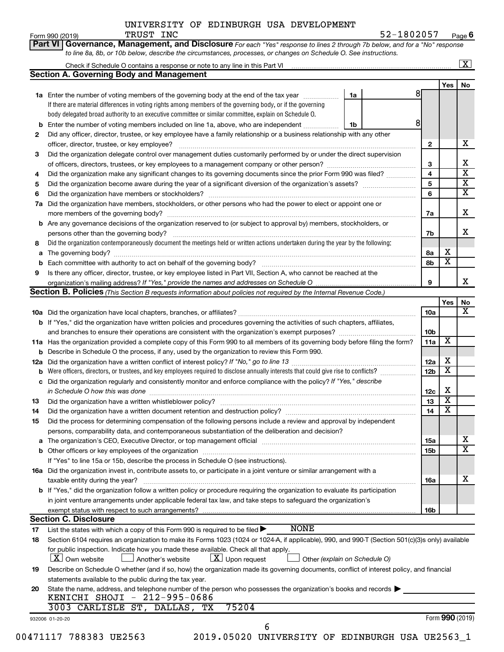| UNIVERSITY OF EDINBURGH USA DEVELOPMENT |  |  |  |  |  |  |
|-----------------------------------------|--|--|--|--|--|--|
|-----------------------------------------|--|--|--|--|--|--|

Form 990 (2019) Page 52-1802057 Page 6 TRUST INC 52-1802057

|    |                                                                                                                                                                                                                               |    |                 |                         | $\boxed{\textbf{X}}$    |
|----|-------------------------------------------------------------------------------------------------------------------------------------------------------------------------------------------------------------------------------|----|-----------------|-------------------------|-------------------------|
|    | <b>Section A. Governing Body and Management</b>                                                                                                                                                                               |    |                 |                         |                         |
|    |                                                                                                                                                                                                                               |    |                 | Yes                     | No                      |
|    | 1a Enter the number of voting members of the governing body at the end of the tax year <i>manumum</i>                                                                                                                         | 1a | 81              |                         |                         |
|    | If there are material differences in voting rights among members of the governing body, or if the governing                                                                                                                   |    |                 |                         |                         |
|    | body delegated broad authority to an executive committee or similar committee, explain on Schedule O.                                                                                                                         |    |                 |                         |                         |
| b  | Enter the number of voting members included on line 1a, above, who are independent                                                                                                                                            | 1b | 8               |                         |                         |
| 2  | Did any officer, director, trustee, or key employee have a family relationship or a business relationship with any other                                                                                                      |    |                 |                         |                         |
|    |                                                                                                                                                                                                                               |    | $\mathbf{2}$    |                         | х                       |
| 3  | Did the organization delegate control over management duties customarily performed by or under the direct supervision                                                                                                         |    |                 |                         |                         |
|    |                                                                                                                                                                                                                               |    | 3               |                         | Х                       |
| 4  | Did the organization make any significant changes to its governing documents since the prior Form 990 was filed?                                                                                                              |    | 4               |                         | $\overline{\mathbf{x}}$ |
| 5  |                                                                                                                                                                                                                               |    | 5               |                         | $\overline{\mathbf{x}}$ |
| 6  |                                                                                                                                                                                                                               |    | 6               |                         | $\overline{\mathbf{x}}$ |
| 7a | Did the organization have members, stockholders, or other persons who had the power to elect or appoint one or                                                                                                                |    |                 |                         |                         |
|    |                                                                                                                                                                                                                               |    | 7a              |                         | X                       |
| b  | Are any governance decisions of the organization reserved to (or subject to approval by) members, stockholders, or                                                                                                            |    |                 |                         |                         |
|    |                                                                                                                                                                                                                               |    | 7b              |                         | x                       |
| 8  | Did the organization contemporaneously document the meetings held or written actions undertaken during the year by the following:                                                                                             |    |                 |                         |                         |
| a  |                                                                                                                                                                                                                               |    | 8a              | х                       |                         |
|    |                                                                                                                                                                                                                               |    | 8b              | $\overline{\mathbf{x}}$ |                         |
| 9  | Is there any officer, director, trustee, or key employee listed in Part VII, Section A, who cannot be reached at the                                                                                                          |    |                 |                         |                         |
|    |                                                                                                                                                                                                                               |    | 9               |                         | х                       |
|    | Section B. Policies (This Section B requests information about policies not required by the Internal Revenue Code.)                                                                                                           |    |                 |                         |                         |
|    |                                                                                                                                                                                                                               |    |                 |                         |                         |
|    |                                                                                                                                                                                                                               |    |                 | Yes                     | No<br>x                 |
|    |                                                                                                                                                                                                                               |    | 10a             |                         |                         |
|    | <b>b</b> If "Yes," did the organization have written policies and procedures governing the activities of such chapters, affiliates,                                                                                           |    |                 |                         |                         |
|    |                                                                                                                                                                                                                               |    | 10b             |                         |                         |
|    | 11a Has the organization provided a complete copy of this Form 990 to all members of its governing body before filing the form?                                                                                               |    | 11a             | х                       |                         |
|    | <b>b</b> Describe in Schedule O the process, if any, used by the organization to review this Form 990.                                                                                                                        |    |                 |                         |                         |
|    |                                                                                                                                                                                                                               |    | 12a             | х                       |                         |
|    | Were officers, directors, or trustees, and key employees required to disclose annually interests that could give rise to conflicts?                                                                                           |    | 12 <sub>b</sub> | х                       |                         |
|    | c Did the organization regularly and consistently monitor and enforce compliance with the policy? If "Yes," describe                                                                                                          |    |                 |                         |                         |
|    | in Schedule O how this was done manufactured and continuum and contact the was done manufactured and contact t                                                                                                                |    | 12c             | х                       |                         |
|    |                                                                                                                                                                                                                               |    | 13              | $\overline{\mathbf{x}}$ |                         |
| 14 | Did the organization have a written document retention and destruction policy? [111] manufaction materials are                                                                                                                |    | 14              | $\overline{\texttt{x}}$ |                         |
| 15 | Did the process for determining compensation of the following persons include a review and approval by independent                                                                                                            |    |                 |                         |                         |
|    | persons, comparability data, and contemporaneous substantiation of the deliberation and decision?                                                                                                                             |    |                 |                         |                         |
| а  | The organization's CEO, Executive Director, or top management official manufactured content content of the organization's CEO, executive Director, or top management official manufactured content of the original content of |    | 15a             |                         | х                       |
|    |                                                                                                                                                                                                                               |    | 15b             |                         | $\overline{\textbf{x}}$ |
|    | If "Yes" to line 15a or 15b, describe the process in Schedule O (see instructions).                                                                                                                                           |    |                 |                         |                         |
|    | 16a Did the organization invest in, contribute assets to, or participate in a joint venture or similar arrangement with a                                                                                                     |    |                 |                         |                         |
|    | taxable entity during the year?                                                                                                                                                                                               |    | 16a             |                         | x                       |
|    | b If "Yes," did the organization follow a written policy or procedure requiring the organization to evaluate its participation                                                                                                |    |                 |                         |                         |
|    | in joint venture arrangements under applicable federal tax law, and take steps to safeguard the organization's                                                                                                                |    |                 |                         |                         |
|    |                                                                                                                                                                                                                               |    | 16b             |                         |                         |
|    | exempt status with respect to such arrangements?<br><b>Section C. Disclosure</b>                                                                                                                                              |    |                 |                         |                         |
|    | <b>NONE</b>                                                                                                                                                                                                                   |    |                 |                         |                         |
| 17 | List the states with which a copy of this Form 990 is required to be filed $\blacktriangleright$                                                                                                                              |    |                 |                         |                         |
| 18 | Section 6104 requires an organization to make its Forms 1023 (1024 or 1024-A, if applicable), 990, and 990-T (Section 501(c)(3)s only) available                                                                              |    |                 |                         |                         |
|    | for public inspection. Indicate how you made these available. Check all that apply.                                                                                                                                           |    |                 |                         |                         |
|    | $\lfloor x \rfloor$ Upon request<br>  X   Own website<br>Another's website<br>Other (explain on Schedule O)                                                                                                                   |    |                 |                         |                         |
| 19 | Describe on Schedule O whether (and if so, how) the organization made its governing documents, conflict of interest policy, and financial                                                                                     |    |                 |                         |                         |
|    | statements available to the public during the tax year.                                                                                                                                                                       |    |                 |                         |                         |
| 20 | State the name, address, and telephone number of the person who possesses the organization's books and records                                                                                                                |    |                 |                         |                         |
|    | KENICHI SHOJI - 212-995-0686                                                                                                                                                                                                  |    |                 |                         |                         |
|    | 75204<br>3003 CARLISLE ST, DALLAS, TX                                                                                                                                                                                         |    |                 |                         |                         |
|    | 932006 01-20-20                                                                                                                                                                                                               |    |                 | Form 990 (2019)         |                         |
|    | 6<br>2019.05020 UNIVERSITY OF EDINBURGH USA UE2563_1                                                                                                                                                                          |    |                 |                         |                         |
|    | 00471117 788383 UE2563                                                                                                                                                                                                        |    |                 |                         |                         |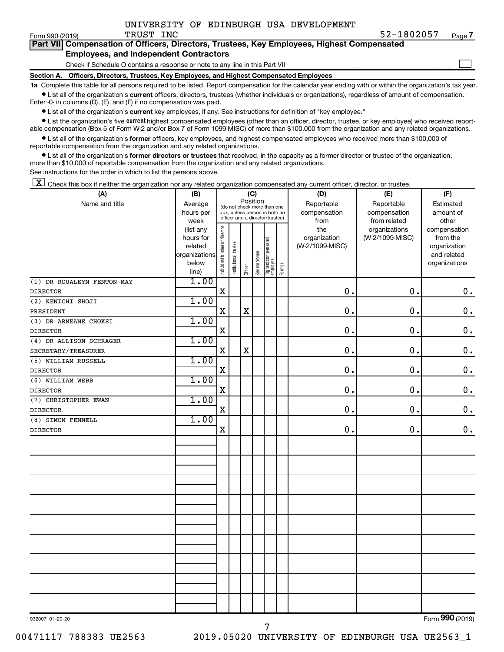|  |  | UNIVERSITY OF EDINBURGH USA DEVELOPMENT |
|--|--|-----------------------------------------|
|  |  |                                         |

| Form 990 (2019) |                                               | TRUST INC |  | 52-1802057                                                                                 | Page |
|-----------------|-----------------------------------------------|-----------|--|--------------------------------------------------------------------------------------------|------|
|                 |                                               |           |  | Part VII Compensation of Officers, Directors, Trustees, Key Employees, Highest Compensated |      |
|                 | <b>Employees, and Independent Contractors</b> |           |  |                                                                                            |      |

Check if Schedule O contains a response or note to any line in this Part VII

**Section A. Officers, Directors, Trustees, Key Employees, and Highest Compensated Employees**

**1a**  Complete this table for all persons required to be listed. Report compensation for the calendar year ending with or within the organization's tax year.  $\bullet$  List all of the organization's current officers, directors, trustees (whether individuals or organizations), regardless of amount of compensation.

Enter -0- in columns (D), (E), and (F) if no compensation was paid.

**•** List all of the organization's current key employees, if any. See instructions for definition of "key employee."

• List the organization's five *current* highest compensated employees (other than an officer, director, trustee, or key employee) who received reportable compensation (Box 5 of Form W-2 and/or Box 7 of Form 1099-MISC) of more than \$100,000 from the organization and any related organizations.

 $\bullet$  List all of the organization's former officers, key employees, and highest compensated employees who received more than \$100,000 of reportable compensation from the organization and any related organizations.

**•** List all of the organization's former directors or trustees that received, in the capacity as a former director or trustee of the organization, more than \$10,000 of reportable compensation from the organization and any related organizations.

See instructions for the order in which to list the persons above.

 $\boxed{\textbf{X}}$  Check this box if neither the organization nor any related organization compensated any current officer, director, or trustee.

| (A)                        | (B)                  | (C)                            |                                                                  |             |              |                                 |           | (D)                             | (E)             | (F)                         |  |
|----------------------------|----------------------|--------------------------------|------------------------------------------------------------------|-------------|--------------|---------------------------------|-----------|---------------------------------|-----------------|-----------------------------|--|
| Name and title             | Average              |                                | Position<br>(do not check more than one                          |             |              |                                 |           | Reportable                      | Reportable      | Estimated                   |  |
|                            | hours per            |                                | box, unless person is both an<br>officer and a director/trustee) |             | compensation | compensation                    | amount of |                                 |                 |                             |  |
|                            | week                 |                                |                                                                  |             |              |                                 |           | from                            | from related    | other                       |  |
|                            | (list any            |                                |                                                                  |             |              |                                 |           | the                             | organizations   | compensation                |  |
|                            | hours for<br>related |                                |                                                                  |             |              |                                 |           | organization<br>(W-2/1099-MISC) | (W-2/1099-MISC) | from the                    |  |
|                            | organizations        |                                |                                                                  |             |              |                                 |           |                                 |                 | organization<br>and related |  |
|                            | below                |                                |                                                                  |             |              |                                 |           |                                 |                 | organizations               |  |
|                            | line)                | Individual trustee or director | Institutional trustee                                            | Officer     | Key employee | Highest compensated<br>employee | Former    |                                 |                 |                             |  |
| (1) DR ROUALEYN FENTON-MAY | 1.00                 |                                |                                                                  |             |              |                                 |           |                                 |                 |                             |  |
| <b>DIRECTOR</b>            |                      | $\mathbf X$                    |                                                                  |             |              |                                 |           | 0.                              | 0.              | $\boldsymbol{0}$ .          |  |
| (2) KENICHI SHOJI          | 1.00                 |                                |                                                                  |             |              |                                 |           |                                 |                 |                             |  |
| PRESIDENT                  |                      | $\mathbf X$                    |                                                                  | $\rm X$     |              |                                 |           | 0.                              | $\mathbf 0$ .   | $\mathbf 0$ .               |  |
| (3) DR ARMEANE CHOKSI      | 1.00                 |                                |                                                                  |             |              |                                 |           |                                 |                 |                             |  |
| <b>DIRECTOR</b>            |                      | X                              |                                                                  |             |              |                                 |           | 0.                              | $\mathbf 0$ .   | $\mathbf 0$ .               |  |
| (4) DR ALLISON SCHRAGER    | 1.00                 |                                |                                                                  |             |              |                                 |           |                                 |                 |                             |  |
| SECRETARY/TREASURER        |                      | $\mathbf X$                    |                                                                  | $\mathbf X$ |              |                                 |           | $\mathbf 0$ .                   | 0.              | $\mathbf 0$ .               |  |
| (5) WILLIAM RUSSELL        | 1.00                 |                                |                                                                  |             |              |                                 |           |                                 |                 |                             |  |
| <b>DIRECTOR</b>            |                      | $\mathbf X$                    |                                                                  |             |              |                                 |           | $\mathbf 0$ .                   | 0.              | $\mathbf 0$ .               |  |
| (6) WILLIAM WEBB           | 1.00                 |                                |                                                                  |             |              |                                 |           |                                 |                 |                             |  |
| <b>DIRECTOR</b>            |                      | $\mathbf X$                    |                                                                  |             |              |                                 |           | $\mathbf 0$                     | 0.              | $\mathbf 0$ .               |  |
| (7) CHRISTOPHER EWAN       | 1.00                 |                                |                                                                  |             |              |                                 |           |                                 |                 |                             |  |
| <b>DIRECTOR</b>            |                      | $\mathbf X$                    |                                                                  |             |              |                                 |           | $\mathbf 0$ .                   | 0.              | $\mathbf 0$ .               |  |
| (8) SIMON FENNELL          | 1.00                 |                                |                                                                  |             |              |                                 |           |                                 |                 |                             |  |
| <b>DIRECTOR</b>            |                      | $\mathbf X$                    |                                                                  |             |              |                                 |           | $\mathbf 0$ .                   | 0.              | 0.                          |  |
|                            |                      |                                |                                                                  |             |              |                                 |           |                                 |                 |                             |  |
|                            |                      |                                |                                                                  |             |              |                                 |           |                                 |                 |                             |  |
|                            |                      |                                |                                                                  |             |              |                                 |           |                                 |                 |                             |  |
|                            |                      |                                |                                                                  |             |              |                                 |           |                                 |                 |                             |  |
|                            |                      |                                |                                                                  |             |              |                                 |           |                                 |                 |                             |  |
|                            |                      |                                |                                                                  |             |              |                                 |           |                                 |                 |                             |  |
|                            |                      |                                |                                                                  |             |              |                                 |           |                                 |                 |                             |  |
|                            |                      |                                |                                                                  |             |              |                                 |           |                                 |                 |                             |  |
|                            |                      |                                |                                                                  |             |              |                                 |           |                                 |                 |                             |  |
|                            |                      |                                |                                                                  |             |              |                                 |           |                                 |                 |                             |  |
|                            |                      |                                |                                                                  |             |              |                                 |           |                                 |                 |                             |  |
|                            |                      |                                |                                                                  |             |              |                                 |           |                                 |                 |                             |  |
|                            |                      |                                |                                                                  |             |              |                                 |           |                                 |                 |                             |  |
|                            |                      |                                |                                                                  |             |              |                                 |           |                                 |                 |                             |  |
|                            |                      |                                |                                                                  |             |              |                                 |           |                                 |                 |                             |  |
|                            |                      |                                |                                                                  |             |              |                                 |           |                                 |                 |                             |  |
|                            |                      |                                |                                                                  |             |              |                                 |           |                                 |                 |                             |  |
|                            |                      |                                |                                                                  |             |              |                                 |           |                                 |                 |                             |  |

7

932007 01-20-20

Form (2019) **990**

**7**

 $\Box$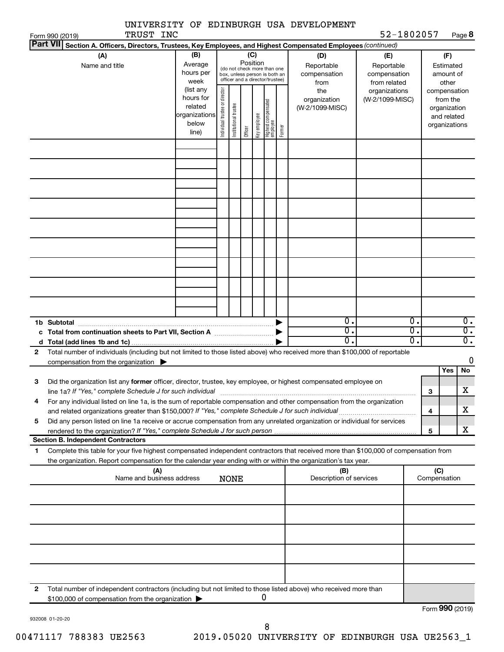|                                                                                                                                                                                                                                                                                                                                                                                                                                          |                                                                              |                                |                       |                 |              |                                                                    |                            | UNIVERSITY OF EDINBURGH USA DEVELOPMENT               |                                                  |                                                                                   |                     |                                                          |
|------------------------------------------------------------------------------------------------------------------------------------------------------------------------------------------------------------------------------------------------------------------------------------------------------------------------------------------------------------------------------------------------------------------------------------------|------------------------------------------------------------------------------|--------------------------------|-----------------------|-----------------|--------------|--------------------------------------------------------------------|----------------------------|-------------------------------------------------------|--------------------------------------------------|-----------------------------------------------------------------------------------|---------------------|----------------------------------------------------------|
| TRUST INC<br>Form 990 (2019)<br><b>Part VII</b>                                                                                                                                                                                                                                                                                                                                                                                          |                                                                              |                                |                       |                 |              |                                                                    |                            |                                                       | 52-1802057                                       |                                                                                   |                     | Page 8                                                   |
| Section A. Officers, Directors, Trustees, Key Employees, and Highest Compensated Employees (continued)<br>(A)<br>Name and title                                                                                                                                                                                                                                                                                                          | (B)<br>Average<br>hours per                                                  |                                |                       | (C)<br>Position |              | (do not check more than one<br>box, unless person is both an       |                            | (D)<br>Reportable<br>compensation                     | (E)<br>Reportable<br>compensation                |                                                                                   |                     | (F)<br>Estimated<br>amount of                            |
|                                                                                                                                                                                                                                                                                                                                                                                                                                          | week<br>(list any<br>hours for<br>related<br>organizations<br>below<br>line) | Individual trustee or director | Institutional trustee | Officer         | Key employee | officer and a director/trustee)<br>Highest compensated<br>employee | Former                     | from<br>the<br>organization<br>(W-2/1099-MISC)        | from related<br>organizations<br>(W-2/1099-MISC) | other<br>compensation<br>from the<br>organization<br>and related<br>organizations |                     |                                                          |
|                                                                                                                                                                                                                                                                                                                                                                                                                                          |                                                                              |                                |                       |                 |              |                                                                    |                            |                                                       |                                                  |                                                                                   |                     |                                                          |
|                                                                                                                                                                                                                                                                                                                                                                                                                                          |                                                                              |                                |                       |                 |              |                                                                    |                            |                                                       |                                                  |                                                                                   |                     |                                                          |
|                                                                                                                                                                                                                                                                                                                                                                                                                                          |                                                                              |                                |                       |                 |              |                                                                    |                            |                                                       |                                                  |                                                                                   |                     |                                                          |
|                                                                                                                                                                                                                                                                                                                                                                                                                                          |                                                                              |                                |                       |                 |              |                                                                    |                            |                                                       |                                                  |                                                                                   |                     |                                                          |
|                                                                                                                                                                                                                                                                                                                                                                                                                                          |                                                                              |                                |                       |                 |              |                                                                    |                            |                                                       |                                                  |                                                                                   |                     |                                                          |
| 1b Subtotal<br>c Total from continuation sheets to Part VII, Section A manuscription.                                                                                                                                                                                                                                                                                                                                                    |                                                                              |                                |                       |                 |              |                                                                    | $\blacktriangleright$<br>▶ | $\overline{\mathfrak{o}}$ .<br>$\overline{0}$ .<br>0. |                                                  | Ο.<br>Ο.<br>σ.                                                                    |                     | $\overline{0}$ .<br>$\overline{0}$ .<br>$\overline{0}$ . |
| Total number of individuals (including but not limited to those listed above) who received more than \$100,000 of reportable<br>2<br>compensation from the organization $\blacktriangleright$                                                                                                                                                                                                                                            |                                                                              |                                |                       |                 |              |                                                                    |                            |                                                       |                                                  |                                                                                   |                     | 0                                                        |
| Did the organization list any <b>former</b> officer, director, trustee, key employee, or highest compensated employee on<br>З                                                                                                                                                                                                                                                                                                            |                                                                              |                                |                       |                 |              |                                                                    |                            |                                                       |                                                  |                                                                                   |                     | Yes<br>No                                                |
| line 1a? If "Yes," complete Schedule J for such individual<br>For any individual listed on line 1a, is the sum of reportable compensation and other compensation from the organization<br>4                                                                                                                                                                                                                                              |                                                                              |                                |                       |                 |              |                                                                    |                            |                                                       |                                                  |                                                                                   | 3                   | X<br>х                                                   |
| and related organizations greater than \$150,000? If "Yes," complete Schedule J for such individual<br>Did any person listed on line 1a receive or accrue compensation from any unrelated organization or individual for services<br>5<br>rendered to the organization? If "Yes," complete Schedule J for such person manufactured to the organization? If "Yes," complete Schedule J for such person manufactured and the organization? |                                                                              |                                |                       |                 |              |                                                                    |                            |                                                       |                                                  |                                                                                   | 4<br>5              | х                                                        |
| <b>Section B. Independent Contractors</b>                                                                                                                                                                                                                                                                                                                                                                                                |                                                                              |                                |                       |                 |              |                                                                    |                            |                                                       |                                                  |                                                                                   |                     |                                                          |
| Complete this table for your five highest compensated independent contractors that received more than \$100,000 of compensation from<br>1<br>the organization. Report compensation for the calendar year ending with or within the organization's tax year.                                                                                                                                                                              |                                                                              |                                |                       |                 |              |                                                                    |                            |                                                       |                                                  |                                                                                   |                     |                                                          |
| (A)<br>Name and business address                                                                                                                                                                                                                                                                                                                                                                                                         |                                                                              |                                | <b>NONE</b>           |                 |              |                                                                    |                            | (B)<br>Description of services                        |                                                  |                                                                                   | (C)<br>Compensation |                                                          |
|                                                                                                                                                                                                                                                                                                                                                                                                                                          |                                                                              |                                |                       |                 |              |                                                                    |                            |                                                       |                                                  |                                                                                   |                     |                                                          |
|                                                                                                                                                                                                                                                                                                                                                                                                                                          |                                                                              |                                |                       |                 |              |                                                                    |                            |                                                       |                                                  |                                                                                   |                     |                                                          |
|                                                                                                                                                                                                                                                                                                                                                                                                                                          |                                                                              |                                |                       |                 |              |                                                                    |                            |                                                       |                                                  |                                                                                   |                     |                                                          |
| Total number of independent contractors (including but not limited to those listed above) who received more than<br>2<br>\$100,000 of compensation from the organization                                                                                                                                                                                                                                                                 |                                                                              |                                |                       |                 |              | U                                                                  |                            |                                                       |                                                  |                                                                                   |                     |                                                          |

|  | 932008 01-20-20 |
|--|-----------------|
|--|-----------------|

8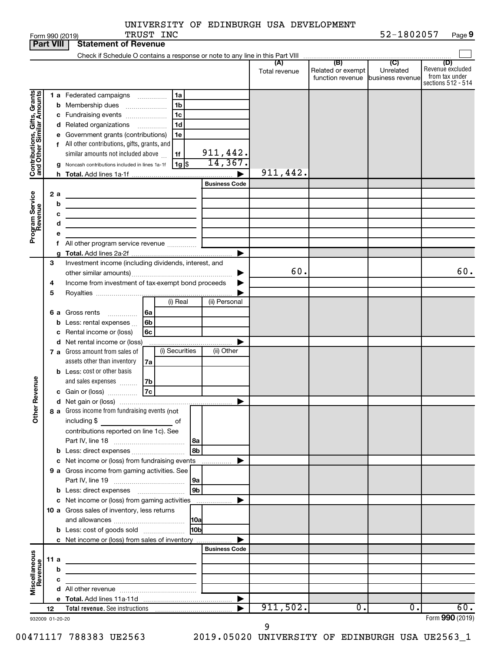|                                                  |                |  | UNIVERSITY OF EDINBURGH USA DEVELOPMENT |
|--------------------------------------------------|----------------|--|-----------------------------------------|
| Form 990 (2019)                                  | INC<br>TRUST . |  |                                         |
| $\sim$ $\sim$ $\sim$ $\sim$ $\sim$ $\sim$ $\sim$ |                |  |                                         |

Form 990 (2019) Page **9** TRUST INC 52-1802057

|                              | Part VIII |   | Statement or Revenue                                                                                                 |                      |               |                   |                  |                                      |
|------------------------------|-----------|---|----------------------------------------------------------------------------------------------------------------------|----------------------|---------------|-------------------|------------------|--------------------------------------|
|                              |           |   |                                                                                                                      |                      | (A)           | (B)               | $\overline{C}$   | (D)                                  |
|                              |           |   |                                                                                                                      |                      | Total revenue | Related or exempt | Unrelated        | Revenue excluded                     |
|                              |           |   |                                                                                                                      |                      |               | function revenue  | business revenue | from tax under<br>sections 512 - 514 |
|                              |           |   |                                                                                                                      |                      |               |                   |                  |                                      |
|                              |           |   | 1a<br>1 a Federated campaigns                                                                                        |                      |               |                   |                  |                                      |
|                              |           |   | 1 <sub>b</sub><br><b>b</b> Membership dues                                                                           |                      |               |                   |                  |                                      |
| Contributions, Gifts, Grants |           |   | 1 <sub>c</sub><br>c Fundraising events                                                                               |                      |               |                   |                  |                                      |
|                              |           |   | 1d<br>d Related organizations                                                                                        |                      |               |                   |                  |                                      |
|                              |           |   | e Government grants (contributions)<br>1e                                                                            |                      |               |                   |                  |                                      |
|                              |           |   | f All other contributions, gifts, grants, and                                                                        |                      |               |                   |                  |                                      |
|                              |           |   | similar amounts not included above<br>1f                                                                             | 911,442.<br>14, 367. |               |                   |                  |                                      |
|                              |           | g | $1g$ \$<br>Noncash contributions included in lines 1a-1f                                                             |                      |               |                   |                  |                                      |
|                              |           |   |                                                                                                                      |                      | 911,442.      |                   |                  |                                      |
|                              |           |   |                                                                                                                      | <b>Business Code</b> |               |                   |                  |                                      |
|                              | 2 a       |   |                                                                                                                      |                      |               |                   |                  |                                      |
|                              |           | b | <u> 1980 - Johann John Stein, markin fan it ferskearre fan it ferskearre fan it ferskearre fan it ferskearre fan</u> |                      |               |                   |                  |                                      |
|                              |           | с |                                                                                                                      |                      |               |                   |                  |                                      |
|                              |           | d | the control of the control of the control of the control of the control of                                           |                      |               |                   |                  |                                      |
| Program Service<br>Revenue   |           |   |                                                                                                                      |                      |               |                   |                  |                                      |
|                              |           |   | All other program service revenue                                                                                    |                      |               |                   |                  |                                      |
|                              |           |   |                                                                                                                      | ▶                    |               |                   |                  |                                      |
|                              | 3         |   | Investment income (including dividends, interest, and                                                                |                      |               |                   |                  |                                      |
|                              |           |   |                                                                                                                      | ▶                    | 60.           |                   |                  | 60.                                  |
|                              | 4         |   | Income from investment of tax-exempt bond proceeds                                                                   | ▶                    |               |                   |                  |                                      |
|                              | 5         |   |                                                                                                                      |                      |               |                   |                  |                                      |
|                              |           |   | (i) Real                                                                                                             | (ii) Personal        |               |                   |                  |                                      |
|                              |           |   | 6a<br><b>6 a</b> Gross rents<br>.                                                                                    |                      |               |                   |                  |                                      |
|                              |           |   | 6b<br><b>b</b> Less: rental expenses                                                                                 |                      |               |                   |                  |                                      |
|                              |           |   | c Rental income or (loss)<br>6c                                                                                      |                      |               |                   |                  |                                      |
|                              |           |   | <b>d</b> Net rental income or (loss)                                                                                 |                      |               |                   |                  |                                      |
|                              |           |   | (i) Securities<br>7 a Gross amount from sales of                                                                     | (ii) Other           |               |                   |                  |                                      |
|                              |           |   | assets other than inventory<br>7a                                                                                    |                      |               |                   |                  |                                      |
|                              |           |   | <b>b</b> Less: cost or other basis                                                                                   |                      |               |                   |                  |                                      |
| Revenue                      |           |   | and sales expenses<br>7b                                                                                             |                      |               |                   |                  |                                      |
|                              |           |   | 7c<br>c Gain or (loss)                                                                                               |                      |               |                   |                  |                                      |
|                              |           |   |                                                                                                                      | ▶                    |               |                   |                  |                                      |
| ৯                            |           |   | <b>8 a</b> Gross income from fundraising events (not                                                                 |                      |               |                   |                  |                                      |
| ā                            |           |   | including \$ of                                                                                                      |                      |               |                   |                  |                                      |
|                              |           |   | contributions reported on line 1c). See                                                                              |                      |               |                   |                  |                                      |
|                              |           |   | 8a                                                                                                                   |                      |               |                   |                  |                                      |
|                              |           |   | 8 <sub>b</sub><br><b>b</b> Less: direct expenses                                                                     |                      |               |                   |                  |                                      |
|                              |           |   | c Net income or (loss) from fundraising events                                                                       | .                    |               |                   |                  |                                      |
|                              |           |   | 9 a Gross income from gaming activities. See                                                                         |                      |               |                   |                  |                                      |
|                              |           |   | 9a                                                                                                                   |                      |               |                   |                  |                                      |
|                              |           |   | 9b                                                                                                                   |                      |               |                   |                  |                                      |
|                              |           |   | c Net income or (loss) from gaming activities                                                                        |                      |               |                   |                  |                                      |
|                              |           |   | 10 a Gross sales of inventory, less returns                                                                          |                      |               |                   |                  |                                      |
|                              |           |   | <b>10a</b>                                                                                                           |                      |               |                   |                  |                                      |
|                              |           |   | 10 <sub>b</sub><br><b>b</b> Less: cost of goods sold                                                                 |                      |               |                   |                  |                                      |
|                              |           |   | c Net income or (loss) from sales of inventory                                                                       |                      |               |                   |                  |                                      |
|                              |           |   |                                                                                                                      | <b>Business Code</b> |               |                   |                  |                                      |
|                              | 11 a      |   |                                                                                                                      |                      |               |                   |                  |                                      |
|                              |           | b |                                                                                                                      |                      |               |                   |                  |                                      |
| Miscellaneous<br>Revenue     |           | с |                                                                                                                      |                      |               |                   |                  |                                      |
|                              |           |   |                                                                                                                      |                      |               |                   |                  |                                      |
|                              |           |   |                                                                                                                      |                      |               |                   |                  |                                      |
|                              | 12        |   |                                                                                                                      |                      | 911,502.      | 0.                | 0.               | 60.                                  |
| 932009 01-20-20              |           |   |                                                                                                                      |                      |               |                   |                  | Form 990 (2019)                      |
|                              |           |   |                                                                                                                      |                      | 9             |                   |                  |                                      |

00471117 788383 UE2563 2019.05020 UNIVERSITY OF EDINBURGH USA UE2563\_1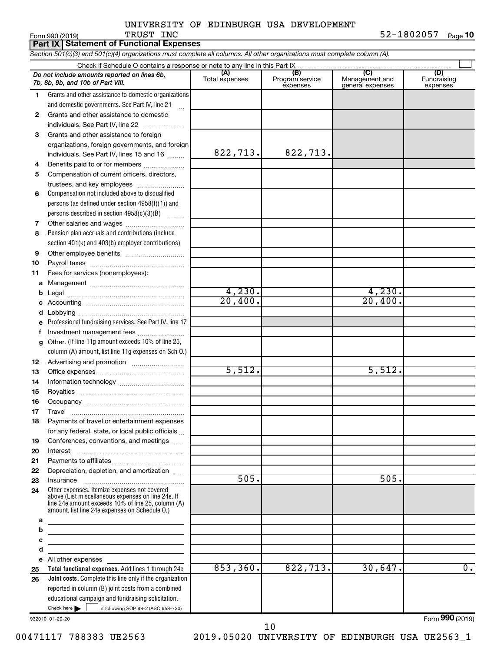| Form 990 (2019) | TRUST                                                                                                                      | INC                   |                                    |                                           | 52-1802057<br>Page 1           |
|-----------------|----------------------------------------------------------------------------------------------------------------------------|-----------------------|------------------------------------|-------------------------------------------|--------------------------------|
|                 | <b>Part IX Statement of Functional Expenses</b>                                                                            |                       |                                    |                                           |                                |
|                 | Section 501(c)(3) and 501(c)(4) organizations must complete all columns. All other organizations must complete column (A). |                       |                                    |                                           |                                |
|                 | Check if Schedule O contains a response or note to any line in this Part IX                                                |                       |                                    |                                           |                                |
|                 | Do not include amounts reported on lines 6b,<br>7b, 8b, 9b, and 10b of Part VIII.                                          | (A)<br>Total expenses | (B)<br>Program service<br>expenses | (C)<br>Management and<br>general expenses | (D)<br>Fundraising<br>expenses |
|                 | Grants and other assistance to domestic organizations<br>and domestic governments. See Part IV, line 21                    |                       |                                    |                                           |                                |
| $\overline{2}$  | Grants and other assistance to domestic<br>individuals. See Part IV, line 22                                               |                       |                                    |                                           |                                |

822,713. 822,713.

**3** Grants and other assistance to foreign organizations, foreign governments, and foreign individuals. See Part IV, lines 15 and 16  $\ldots$ 

**9**

**20**

**a b c**

- **4 5 6** Compensation not included above to disqualified persons (as defined under section 4958(f)(1)) and persons described in section  $4958(c)(3)(B)$   $\ldots$ Benefits paid to or for members .................... Compensation of current officers, directors, trustees, and key employees ........................
- **7 8** Pension plan accruals and contributions (include section 401(k) and 403(b) employer contributions) Other salaries and wages ~~~~~~~~~~

**10 11** Fees for services (nonemployees):

**a** Management ~~~~~~~~~~~~~~~~

Other employee benefits ~~~~~~~~~~ Payroll taxes ~~~~~~~~~~~~~~~~

**b c d e f g** Professional fundraising services. See Part IV, line 17 Legal ~~~~~~~~~~~~~~~~~~~~ Accounting ~~~~~~~~~~~~~~~~~ Lobbying ~~~~~~~~~~~~~~~~~~ Investment management fees .......................

**12 13 14** Other. (If line 11g amount exceeds 10% of line 25, column (A) amount, list line 11g expenses on Sch O.) Advertising and promotion ........................... Office expenses ~~~~~~~~~~~~~~~ Information technology ~~~~~~~~~~~

### **15 16 17 18 19** Royalties ~~~~~~~~~~~~~~~~~~ Occupancy ~~~~~~~~~~~~~~~~~ Travel ………………………………………………………… Payments of travel or entertainment expense for any federal, state, or local pub Conferences, conventions, and m

**21 22 23 24** Payments to affiliates ~~~~~~~~~~~~ Depreciation, depletion, and amor Insurance ~~~~~~~~~~~~~~~~~

Other expenses. Itemize expenses not covered above (List miscellaneous expenses on line 24e. If line 24e amount exceeds 10% of line 25, column (A) amount, list line 24e expenses on Schedule O.) . . . . . .

| $\cdots$ |  |  |
|----------|--|--|
| $\ldots$ |  |  |
| $\cdots$ |  |  |
|          |  |  |
| ЭS       |  |  |
| $\cdots$ |  |  |
|          |  |  |

4,230. 4,230. 20,400. 20,400.

5,512. 5,512.

| Payments of travel or entertainment expenses          |     |  |  |
|-------------------------------------------------------|-----|--|--|
| for any federal, state, or local public officials ex- |     |  |  |
| Conferences, conventions, and meetings                |     |  |  |
| Interest                                              |     |  |  |
| Payments to affiliates                                |     |  |  |
| Depreciation, depletion, and amortization             |     |  |  |
| Insurance                                             | 505 |  |  |
|                                                       |     |  |  |

|    | e All other expenses                                            |          |           |         |  |
|----|-----------------------------------------------------------------|----------|-----------|---------|--|
| 25 | Total functional expenses. Add lines 1 through 24e              | 853,360. | 822, 713. | 30,647. |  |
| 26 | <b>Joint costs.</b> Complete this line only if the organization |          |           |         |  |
|    | reported in column (B) joint costs from a combined              |          |           |         |  |
|    | educational campaign and fundraising solicitation.              |          |           |         |  |
|    | Check here<br>if following SOP 98-2 (ASC 958-720)               |          |           |         |  |

932010 01-20-20

Form (2019) **990**

00471117 788383 UE2563 2019.05020 UNIVERSITY OF EDINBURGH USA UE2563\_1 10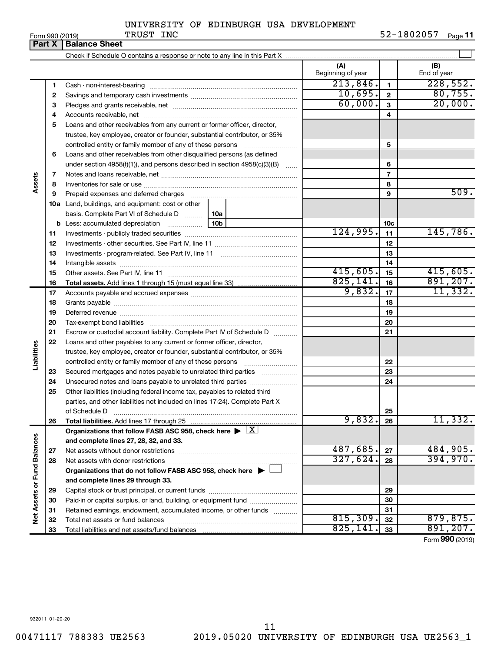| Form 990 (2019) |  |  |
|-----------------|--|--|

|                             | Part X | <b>Balance Sheet</b>                                                                                                                     |                          |              |                     |
|-----------------------------|--------|------------------------------------------------------------------------------------------------------------------------------------------|--------------------------|--------------|---------------------|
|                             |        |                                                                                                                                          |                          |              |                     |
|                             |        |                                                                                                                                          | (A)<br>Beginning of year |              | (B)<br>End of year  |
|                             | 1      |                                                                                                                                          | 213,846.                 | 1            | 228,552.            |
|                             | 2      |                                                                                                                                          | 10,695.                  | $\mathbf{2}$ | 80,755.             |
|                             | З      |                                                                                                                                          | 60,000.                  | 3            | 20,000.             |
|                             | 4      |                                                                                                                                          |                          | 4            |                     |
|                             | 5      | Loans and other receivables from any current or former officer, director,                                                                |                          |              |                     |
|                             |        | trustee, key employee, creator or founder, substantial contributor, or 35%                                                               |                          |              |                     |
|                             |        | controlled entity or family member of any of these persons                                                                               |                          | 5            |                     |
|                             | 6      | Loans and other receivables from other disqualified persons (as defined                                                                  |                          |              |                     |
|                             |        | under section 4958(f)(1)), and persons described in section 4958(c)(3)(B)                                                                |                          | 6            |                     |
|                             | 7      |                                                                                                                                          |                          | 7            |                     |
| Assets                      | 8      |                                                                                                                                          |                          | 8            |                     |
|                             | 9      | Prepaid expenses and deferred charges [11] [11] prepaid expenses and deferred charges [11] [11] minimum and the P                        |                          | 9            | 509.                |
|                             |        | <b>10a</b> Land, buildings, and equipment: cost or other                                                                                 |                          |              |                     |
|                             |        | basis. Complete Part VI of Schedule D<br>10a                                                                                             |                          |              |                     |
|                             |        | 10 <sub>b</sub>                                                                                                                          |                          | 10c          |                     |
|                             | 11     |                                                                                                                                          | 124,995.                 | 11           | 145,786.            |
|                             | 12     |                                                                                                                                          |                          | 12           |                     |
|                             | 13     |                                                                                                                                          |                          | 13           |                     |
|                             | 14     |                                                                                                                                          |                          | 14           |                     |
|                             | 15     |                                                                                                                                          | 415,605.                 | 15           | 415,605.            |
|                             | 16     |                                                                                                                                          | 825,141.                 | 16           | 891, 207.           |
|                             | 17     |                                                                                                                                          | 9,832.                   | 17           | 11,332.             |
|                             | 18     |                                                                                                                                          |                          | 18           |                     |
|                             | 19     |                                                                                                                                          |                          | 19           |                     |
|                             | 20     |                                                                                                                                          |                          | 20           |                     |
|                             | 21     | Escrow or custodial account liability. Complete Part IV of Schedule D                                                                    |                          | 21           |                     |
|                             | 22     | Loans and other payables to any current or former officer, director,                                                                     |                          |              |                     |
|                             |        | trustee, key employee, creator or founder, substantial contributor, or 35%                                                               |                          |              |                     |
| Liabilities                 |        | controlled entity or family member of any of these persons                                                                               |                          | 22           |                     |
|                             | 23     | Secured mortgages and notes payable to unrelated third parties                                                                           |                          | 23           |                     |
|                             | 24     | Unsecured notes and loans payable to unrelated third parties                                                                             |                          | 24           |                     |
|                             | 25     | Other liabilities (including federal income tax, payables to related third                                                               |                          |              |                     |
|                             |        | parties, and other liabilities not included on lines 17-24). Complete Part X                                                             |                          |              |                     |
|                             |        | of Schedule D                                                                                                                            | 9,832.                   | 25           | 11,332.             |
|                             | 26     | Total liabilities. Add lines 17 through 25<br>Organizations that follow FASB ASC 958, check here $\blacktriangleright \lfloor X \rfloor$ |                          | 26           |                     |
|                             |        | and complete lines 27, 28, 32, and 33.                                                                                                   |                          |              |                     |
|                             | 27     |                                                                                                                                          | 487,685.                 | 27           | 484,905.            |
|                             | 28     |                                                                                                                                          | 327,624.                 | 28           | 394,970.            |
|                             |        | Organizations that do not follow FASB ASC 958, check here $\blacktriangleright$                                                          |                          |              |                     |
|                             |        | and complete lines 29 through 33.                                                                                                        |                          |              |                     |
| Net Assets or Fund Balances | 29     |                                                                                                                                          |                          | 29           |                     |
|                             | 30     | Paid-in or capital surplus, or land, building, or equipment fund                                                                         |                          | 30           |                     |
|                             | 31     | Retained earnings, endowment, accumulated income, or other funds                                                                         |                          | 31           |                     |
|                             | 32     |                                                                                                                                          | 815, 309.                | 32           | 879,875.            |
|                             | 33     |                                                                                                                                          | 825, 141.                | 33           | 891, 207.           |
|                             |        |                                                                                                                                          |                          |              | $000 \, \text{GeV}$ |

Form (2019) **990**

932011 01-20-20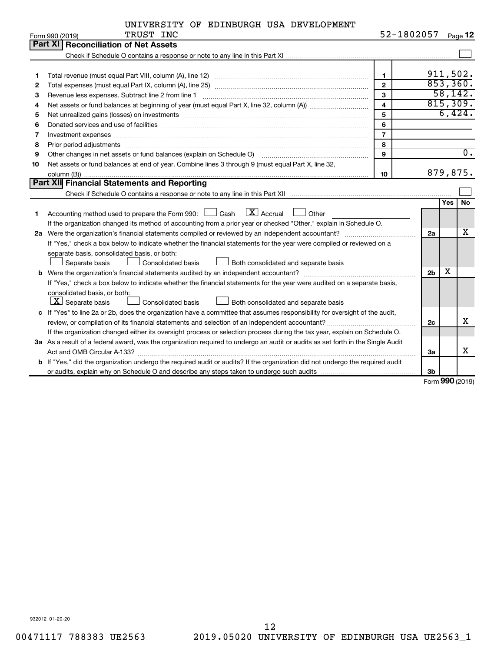|    | UNIVERSITY OF EDINBURGH USA DEVELOPMENT                                                                                                                                                                                        |                         |                |      |                  |
|----|--------------------------------------------------------------------------------------------------------------------------------------------------------------------------------------------------------------------------------|-------------------------|----------------|------|------------------|
|    | TRUST INC<br>Form 990 (2019)                                                                                                                                                                                                   | 52-1802057 Page 12      |                |      |                  |
|    | <b>Part XI Reconciliation of Net Assets</b>                                                                                                                                                                                    |                         |                |      |                  |
|    |                                                                                                                                                                                                                                |                         |                |      |                  |
| 1  |                                                                                                                                                                                                                                | $\mathbf{1}$            |                |      | 911,502.         |
| 2  |                                                                                                                                                                                                                                | $\overline{2}$          |                |      | 853,360.         |
| 3  |                                                                                                                                                                                                                                | 3                       |                |      | 58, 142.         |
| 4  |                                                                                                                                                                                                                                | $\overline{\mathbf{4}}$ |                |      | 815,309.         |
| 5  | Net unrealized gains (losses) on investments [111] www.martime.community.community.community.community.com                                                                                                                     | 5                       |                |      | 6,424.           |
| 6  |                                                                                                                                                                                                                                | 6                       |                |      |                  |
| 7  | Investment expenses www.communication.com/www.communication.com/www.communication.com/www.com                                                                                                                                  | $\overline{7}$          |                |      |                  |
| 8  |                                                                                                                                                                                                                                | 8                       |                |      |                  |
| 9  | Other changes in net assets or fund balances (explain on Schedule O) [11] continuum manusculum manusculum manusculum manusculum manusculum manusculum manusculum manusculum manusculum manusculum manusculum manusculum manusc | 9                       |                |      | $\overline{0}$ . |
| 10 | Net assets or fund balances at end of year. Combine lines 3 through 9 (must equal Part X, line 32,                                                                                                                             |                         |                |      |                  |
|    |                                                                                                                                                                                                                                | 10                      |                |      | 879,875.         |
|    | Part XII Financial Statements and Reporting                                                                                                                                                                                    |                         |                |      |                  |
|    |                                                                                                                                                                                                                                |                         |                |      |                  |
|    |                                                                                                                                                                                                                                |                         |                | Yes. | <b>No</b>        |
| 1  | $\lfloor x \rfloor$ Accrual<br>Accounting method used to prepare the Form 990: [130] Cash<br>Other                                                                                                                             |                         |                |      |                  |
|    | If the organization changed its method of accounting from a prior year or checked "Other," explain in Schedule O.                                                                                                              |                         |                |      |                  |
|    |                                                                                                                                                                                                                                |                         | 2a             |      | x                |
|    | If "Yes," check a box below to indicate whether the financial statements for the year were compiled or reviewed on a                                                                                                           |                         |                |      |                  |
|    | separate basis, consolidated basis, or both:                                                                                                                                                                                   |                         |                |      |                  |
|    | Consolidated basis<br>Separate basis<br><b>Both consolidated and separate basis</b>                                                                                                                                            |                         |                |      |                  |
|    |                                                                                                                                                                                                                                |                         | 2 <sub>b</sub> | х    |                  |
|    | If "Yes," check a box below to indicate whether the financial statements for the year were audited on a separate basis,                                                                                                        |                         |                |      |                  |
|    | consolidated basis, or both:                                                                                                                                                                                                   |                         |                |      |                  |
|    | $\boxed{\mathbf{X}}$ Separate basis<br>Both consolidated and separate basis<br>Consolidated basis                                                                                                                              |                         |                |      |                  |
|    | c If "Yes" to line 2a or 2b, does the organization have a committee that assumes responsibility for oversight of the audit,                                                                                                    |                         |                |      |                  |
|    |                                                                                                                                                                                                                                |                         | 2c             |      | X                |
|    | If the organization changed either its oversight process or selection process during the tax year, explain on Schedule O.                                                                                                      |                         |                |      |                  |
|    | 3a As a result of a federal award, was the organization required to undergo an audit or audits as set forth in the Single Audit                                                                                                |                         |                |      |                  |
|    |                                                                                                                                                                                                                                |                         | За             |      | х                |
|    | b If "Yes," did the organization undergo the required audit or audits? If the organization did not undergo the required audit                                                                                                  |                         |                |      |                  |
|    |                                                                                                                                                                                                                                |                         | 3 <sub>b</sub> |      |                  |

Form (2019) **990**

932012 01-20-20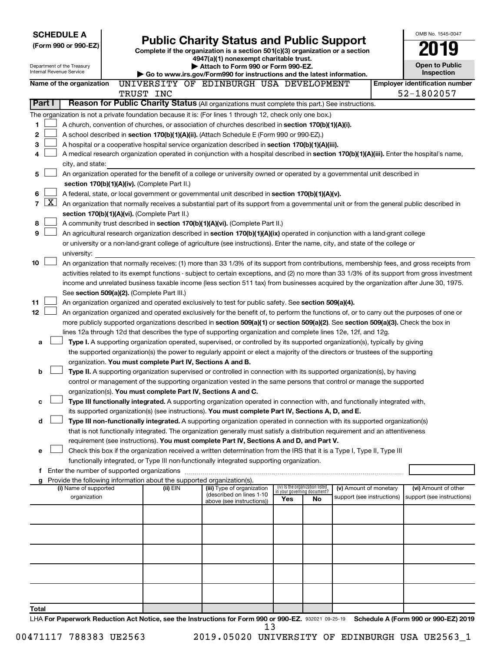| <b>SCHEDULE A</b>                                                                                         |                                                                                                                                  |                                               |                                                                                                                                                                                                                                |     |                                 |                                                      |  | OMB No. 1545-0047                                          |
|-----------------------------------------------------------------------------------------------------------|----------------------------------------------------------------------------------------------------------------------------------|-----------------------------------------------|--------------------------------------------------------------------------------------------------------------------------------------------------------------------------------------------------------------------------------|-----|---------------------------------|------------------------------------------------------|--|------------------------------------------------------------|
| (Form 990 or 990-EZ)                                                                                      | <b>Public Charity Status and Public Support</b><br>Complete if the organization is a section 501(c)(3) organization or a section |                                               |                                                                                                                                                                                                                                |     |                                 |                                                      |  |                                                            |
|                                                                                                           | 4947(a)(1) nonexempt charitable trust.                                                                                           |                                               |                                                                                                                                                                                                                                |     |                                 |                                                      |  |                                                            |
| Department of the Treasury<br>Internal Revenue Service                                                    |                                                                                                                                  |                                               | Attach to Form 990 or Form 990-EZ.                                                                                                                                                                                             |     |                                 |                                                      |  | <b>Open to Public</b>                                      |
|                                                                                                           |                                                                                                                                  |                                               | Go to www.irs.gov/Form990 for instructions and the latest information.                                                                                                                                                         |     |                                 |                                                      |  | <b>Inspection</b><br><b>Employer identification number</b> |
| Name of the organization                                                                                  | UNIVERSITY OF EDINBURGH USA DEVELOPMENT<br>TRUST INC                                                                             |                                               |                                                                                                                                                                                                                                |     |                                 |                                                      |  |                                                            |
| Reason for Public Charity Status (All organizations must complete this part.) See instructions.<br>Part I | 52-1802057                                                                                                                       |                                               |                                                                                                                                                                                                                                |     |                                 |                                                      |  |                                                            |
|                                                                                                           |                                                                                                                                  |                                               | The organization is not a private foundation because it is: (For lines 1 through 12, check only one box.)                                                                                                                      |     |                                 |                                                      |  |                                                            |
| 1                                                                                                         |                                                                                                                                  |                                               | A church, convention of churches, or association of churches described in section 170(b)(1)(A)(i).                                                                                                                             |     |                                 |                                                      |  |                                                            |
| 2                                                                                                         |                                                                                                                                  |                                               | A school described in section 170(b)(1)(A)(ii). (Attach Schedule E (Form 990 or 990-EZ).)                                                                                                                                      |     |                                 |                                                      |  |                                                            |
| з                                                                                                         |                                                                                                                                  |                                               | A hospital or a cooperative hospital service organization described in section 170(b)(1)(A)(iii).                                                                                                                              |     |                                 |                                                      |  |                                                            |
| 4                                                                                                         |                                                                                                                                  |                                               | A medical research organization operated in conjunction with a hospital described in section 170(b)(1)(A)(iii). Enter the hospital's name,                                                                                     |     |                                 |                                                      |  |                                                            |
| city, and state:                                                                                          |                                                                                                                                  |                                               |                                                                                                                                                                                                                                |     |                                 |                                                      |  |                                                            |
| 5                                                                                                         |                                                                                                                                  |                                               | An organization operated for the benefit of a college or university owned or operated by a governmental unit described in                                                                                                      |     |                                 |                                                      |  |                                                            |
|                                                                                                           |                                                                                                                                  | section 170(b)(1)(A)(iv). (Complete Part II.) |                                                                                                                                                                                                                                |     |                                 |                                                      |  |                                                            |
| 6                                                                                                         |                                                                                                                                  |                                               | A federal, state, or local government or governmental unit described in section 170(b)(1)(A)(v).                                                                                                                               |     |                                 |                                                      |  |                                                            |
| $\mathbf{X}$<br>$\overline{7}$                                                                            |                                                                                                                                  |                                               | An organization that normally receives a substantial part of its support from a governmental unit or from the general public described in                                                                                      |     |                                 |                                                      |  |                                                            |
|                                                                                                           |                                                                                                                                  | section 170(b)(1)(A)(vi). (Complete Part II.) |                                                                                                                                                                                                                                |     |                                 |                                                      |  |                                                            |
| 8                                                                                                         |                                                                                                                                  |                                               | A community trust described in section 170(b)(1)(A)(vi). (Complete Part II.)                                                                                                                                                   |     |                                 |                                                      |  |                                                            |
| 9                                                                                                         |                                                                                                                                  |                                               | An agricultural research organization described in section 170(b)(1)(A)(ix) operated in conjunction with a land-grant college                                                                                                  |     |                                 |                                                      |  |                                                            |
|                                                                                                           |                                                                                                                                  |                                               | or university or a non-land-grant college of agriculture (see instructions). Enter the name, city, and state of the college or                                                                                                 |     |                                 |                                                      |  |                                                            |
| university:<br>10                                                                                         |                                                                                                                                  |                                               | An organization that normally receives: (1) more than 33 1/3% of its support from contributions, membership fees, and gross receipts from                                                                                      |     |                                 |                                                      |  |                                                            |
|                                                                                                           |                                                                                                                                  |                                               | activities related to its exempt functions - subject to certain exceptions, and (2) no more than 33 1/3% of its support from gross investment                                                                                  |     |                                 |                                                      |  |                                                            |
|                                                                                                           |                                                                                                                                  |                                               | income and unrelated business taxable income (less section 511 tax) from businesses acquired by the organization after June 30, 1975.                                                                                          |     |                                 |                                                      |  |                                                            |
|                                                                                                           |                                                                                                                                  | See section 509(a)(2). (Complete Part III.)   |                                                                                                                                                                                                                                |     |                                 |                                                      |  |                                                            |
| 11                                                                                                        |                                                                                                                                  |                                               | An organization organized and operated exclusively to test for public safety. See section 509(a)(4).                                                                                                                           |     |                                 |                                                      |  |                                                            |
| 12                                                                                                        |                                                                                                                                  |                                               | An organization organized and operated exclusively for the benefit of, to perform the functions of, or to carry out the purposes of one or                                                                                     |     |                                 |                                                      |  |                                                            |
|                                                                                                           |                                                                                                                                  |                                               | more publicly supported organizations described in section 509(a)(1) or section 509(a)(2). See section 509(a)(3). Check the box in                                                                                             |     |                                 |                                                      |  |                                                            |
|                                                                                                           |                                                                                                                                  |                                               | lines 12a through 12d that describes the type of supporting organization and complete lines 12e, 12f, and 12g.                                                                                                                 |     |                                 |                                                      |  |                                                            |
| a                                                                                                         |                                                                                                                                  |                                               | Type I. A supporting organization operated, supervised, or controlled by its supported organization(s), typically by giving                                                                                                    |     |                                 |                                                      |  |                                                            |
|                                                                                                           |                                                                                                                                  |                                               | the supported organization(s) the power to regularly appoint or elect a majority of the directors or trustees of the supporting                                                                                                |     |                                 |                                                      |  |                                                            |
|                                                                                                           |                                                                                                                                  |                                               | organization. You must complete Part IV, Sections A and B.                                                                                                                                                                     |     |                                 |                                                      |  |                                                            |
| b                                                                                                         |                                                                                                                                  |                                               | Type II. A supporting organization supervised or controlled in connection with its supported organization(s), by having                                                                                                        |     |                                 |                                                      |  |                                                            |
|                                                                                                           |                                                                                                                                  |                                               | control or management of the supporting organization vested in the same persons that control or manage the supported<br>organization(s). You must complete Part IV, Sections A and C.                                          |     |                                 |                                                      |  |                                                            |
| с                                                                                                         |                                                                                                                                  |                                               | Type III functionally integrated. A supporting organization operated in connection with, and functionally integrated with,                                                                                                     |     |                                 |                                                      |  |                                                            |
|                                                                                                           |                                                                                                                                  |                                               | its supported organization(s) (see instructions). You must complete Part IV, Sections A, D, and E.                                                                                                                             |     |                                 |                                                      |  |                                                            |
| d                                                                                                         |                                                                                                                                  |                                               | Type III non-functionally integrated. A supporting organization operated in connection with its supported organization(s)                                                                                                      |     |                                 |                                                      |  |                                                            |
|                                                                                                           |                                                                                                                                  |                                               | that is not functionally integrated. The organization generally must satisfy a distribution requirement and an attentiveness                                                                                                   |     |                                 |                                                      |  |                                                            |
|                                                                                                           |                                                                                                                                  |                                               | requirement (see instructions). You must complete Part IV, Sections A and D, and Part V.                                                                                                                                       |     |                                 |                                                      |  |                                                            |
| е                                                                                                         |                                                                                                                                  |                                               | Check this box if the organization received a written determination from the IRS that it is a Type I, Type II, Type III                                                                                                        |     |                                 |                                                      |  |                                                            |
|                                                                                                           |                                                                                                                                  |                                               | functionally integrated, or Type III non-functionally integrated supporting organization.                                                                                                                                      |     |                                 |                                                      |  |                                                            |
|                                                                                                           |                                                                                                                                  |                                               | f Enter the number of supported organizations [11] matter continuum matter of supported organizations [11] matter continuum matter of supported organizations [11] matter continuum matter of the number of supported organiza |     |                                 |                                                      |  |                                                            |
| g Provide the following information about the supported organization(s).<br>(i) Name of supported         |                                                                                                                                  | (ii) EIN                                      | (iii) Type of organization                                                                                                                                                                                                     |     | (iv) Is the organization listed |                                                      |  | (vi) Amount of other                                       |
| organization                                                                                              |                                                                                                                                  |                                               | (described on lines 1-10                                                                                                                                                                                                       |     | in your governing document?     | (v) Amount of monetary<br>support (see instructions) |  | support (see instructions)                                 |
|                                                                                                           |                                                                                                                                  |                                               | above (see instructions))                                                                                                                                                                                                      | Yes | No.                             |                                                      |  |                                                            |
|                                                                                                           |                                                                                                                                  |                                               |                                                                                                                                                                                                                                |     |                                 |                                                      |  |                                                            |
|                                                                                                           |                                                                                                                                  |                                               |                                                                                                                                                                                                                                |     |                                 |                                                      |  |                                                            |
|                                                                                                           |                                                                                                                                  |                                               |                                                                                                                                                                                                                                |     |                                 |                                                      |  |                                                            |
|                                                                                                           |                                                                                                                                  |                                               |                                                                                                                                                                                                                                |     |                                 |                                                      |  |                                                            |
|                                                                                                           |                                                                                                                                  |                                               |                                                                                                                                                                                                                                |     |                                 |                                                      |  |                                                            |
|                                                                                                           |                                                                                                                                  |                                               |                                                                                                                                                                                                                                |     |                                 |                                                      |  |                                                            |
|                                                                                                           |                                                                                                                                  |                                               |                                                                                                                                                                                                                                |     |                                 |                                                      |  |                                                            |
|                                                                                                           |                                                                                                                                  |                                               |                                                                                                                                                                                                                                |     |                                 |                                                      |  |                                                            |
|                                                                                                           |                                                                                                                                  |                                               |                                                                                                                                                                                                                                |     |                                 |                                                      |  |                                                            |
| Total                                                                                                     |                                                                                                                                  |                                               | LHA For Panerwork Reduction Act Notice, see the Instructions for Form 990 or 990-F7, 222021, 09.25-19. Cohedule A (Form 990 or 990-F7) 2019                                                                                    |     |                                 |                                                      |  |                                                            |

932021 09-25-19 **For Paperwork Reduction Act Notice, see the Instructions for Form 990 or 990-EZ. Schedule A (Form 990 or 990-EZ) 2019** LHA 13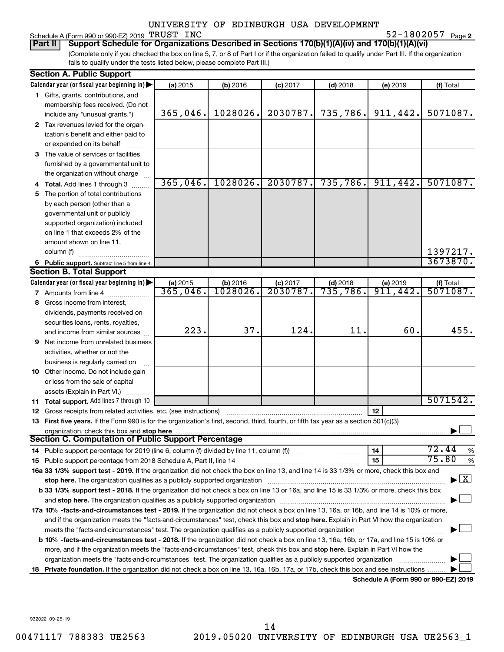Schedule A (Form 990 or 990-EZ) 2019 TRUST INC<br>| Part II | Support Schedule for Organization

**2** TRUST INC 52-1802057

(Complete only if you checked the box on line 5, 7, or 8 of Part I or if the organization failed to qualify under Part III. If the organization fails to qualify under the tests listed below, please complete Part III.) **Part III** Support Schedule for Organizations Described in Sections 170(b)(1)(A)(iv) and 170(b)(1)(A)(vi)

| <b>Section A. Public Support</b>                                                                                                               |          |          |            |            |                                      |                                    |
|------------------------------------------------------------------------------------------------------------------------------------------------|----------|----------|------------|------------|--------------------------------------|------------------------------------|
| Calendar year (or fiscal year beginning in)                                                                                                    | (a) 2015 | (b) 2016 | $(c)$ 2017 | $(d)$ 2018 | (e) 2019                             | (f) Total                          |
| 1 Gifts, grants, contributions, and                                                                                                            |          |          |            |            |                                      |                                    |
| membership fees received. (Do not                                                                                                              |          |          |            |            |                                      |                                    |
| include any "unusual grants.")                                                                                                                 | 365,046. | 1028026. | 2030787.   | 735,786.   | 911,442.                             | 5071087.                           |
| 2 Tax revenues levied for the organ-                                                                                                           |          |          |            |            |                                      |                                    |
| ization's benefit and either paid to                                                                                                           |          |          |            |            |                                      |                                    |
| or expended on its behalf                                                                                                                      |          |          |            |            |                                      |                                    |
| 3 The value of services or facilities                                                                                                          |          |          |            |            |                                      |                                    |
| furnished by a governmental unit to                                                                                                            |          |          |            |            |                                      |                                    |
| the organization without charge                                                                                                                |          |          |            |            |                                      |                                    |
| 4 Total. Add lines 1 through 3                                                                                                                 | 365,046. | 1028026. | 2030787.   | 735,786.   | 911,442.                             | 5071087.                           |
| 5 The portion of total contributions                                                                                                           |          |          |            |            |                                      |                                    |
| by each person (other than a                                                                                                                   |          |          |            |            |                                      |                                    |
| governmental unit or publicly                                                                                                                  |          |          |            |            |                                      |                                    |
| supported organization) included                                                                                                               |          |          |            |            |                                      |                                    |
| on line 1 that exceeds 2% of the                                                                                                               |          |          |            |            |                                      |                                    |
| amount shown on line 11,                                                                                                                       |          |          |            |            |                                      |                                    |
| column (f)                                                                                                                                     |          |          |            |            |                                      | 1397217.                           |
| 6 Public support. Subtract line 5 from line 4.                                                                                                 |          |          |            |            |                                      | 3673870.                           |
| <b>Section B. Total Support</b>                                                                                                                |          |          |            |            |                                      |                                    |
| Calendar year (or fiscal year beginning in)                                                                                                    | (a) 2015 | (b) 2016 | $(c)$ 2017 | $(d)$ 2018 | (e) 2019                             | (f) Total                          |
| <b>7</b> Amounts from line 4                                                                                                                   | 365,046. | 1028026. | 2030787.   | 735,786.   | 911,442.                             | 5071087.                           |
| 8 Gross income from interest,                                                                                                                  |          |          |            |            |                                      |                                    |
| dividends, payments received on                                                                                                                |          |          |            |            |                                      |                                    |
| securities loans, rents, royalties,                                                                                                            |          |          |            |            |                                      |                                    |
| and income from similar sources                                                                                                                | 223.     | 37.      | 124.       | 11.        | 60.                                  | 455.                               |
| <b>9</b> Net income from unrelated business                                                                                                    |          |          |            |            |                                      |                                    |
| activities, whether or not the                                                                                                                 |          |          |            |            |                                      |                                    |
| business is regularly carried on                                                                                                               |          |          |            |            |                                      |                                    |
| 10 Other income. Do not include gain                                                                                                           |          |          |            |            |                                      |                                    |
| or loss from the sale of capital                                                                                                               |          |          |            |            |                                      |                                    |
| assets (Explain in Part VI.)                                                                                                                   |          |          |            |            |                                      |                                    |
| 11 Total support. Add lines 7 through 10                                                                                                       |          |          |            |            |                                      | 5071542.                           |
| <b>12</b> Gross receipts from related activities, etc. (see instructions)                                                                      |          |          |            |            | 12                                   |                                    |
| 13 First five years. If the Form 990 is for the organization's first, second, third, fourth, or fifth tax year as a section 501(c)(3)          |          |          |            |            |                                      |                                    |
| organization, check this box and stop here                                                                                                     |          |          |            |            |                                      |                                    |
| <b>Section C. Computation of Public Support Percentage</b>                                                                                     |          |          |            |            |                                      |                                    |
|                                                                                                                                                |          |          |            |            | 14                                   | 72.44<br>%                         |
|                                                                                                                                                |          |          |            |            | 15                                   | 75.80<br>%                         |
| 16a 33 1/3% support test - 2019. If the organization did not check the box on line 13, and line 14 is 33 1/3% or more, check this box and      |          |          |            |            |                                      |                                    |
| stop here. The organization qualifies as a publicly supported organization manufaction manufacture or the organization                         |          |          |            |            |                                      | $\blacktriangleright$ $\mathbf{X}$ |
| b 33 1/3% support test - 2018. If the organization did not check a box on line 13 or 16a, and line 15 is 33 1/3% or more, check this box       |          |          |            |            |                                      |                                    |
|                                                                                                                                                |          |          |            |            |                                      |                                    |
| 17a 10% -facts-and-circumstances test - 2019. If the organization did not check a box on line 13, 16a, or 16b, and line 14 is 10% or more,     |          |          |            |            |                                      |                                    |
| and if the organization meets the "facts-and-circumstances" test, check this box and stop here. Explain in Part VI how the organization        |          |          |            |            |                                      |                                    |
|                                                                                                                                                |          |          |            |            |                                      |                                    |
| <b>b 10%</b> -facts-and-circumstances test - 2018. If the organization did not check a box on line 13, 16a, 16b, or 17a, and line 15 is 10% or |          |          |            |            |                                      |                                    |
| more, and if the organization meets the "facts-and-circumstances" test, check this box and stop here. Explain in Part VI how the               |          |          |            |            |                                      |                                    |
| organization meets the "facts-and-circumstances" test. The organization qualifies as a publicly supported organization                         |          |          |            |            |                                      |                                    |
| 18 Private foundation. If the organization did not check a box on line 13, 16a, 16b, 17a, or 17b, check this box and see instructions.         |          |          |            |            |                                      |                                    |
|                                                                                                                                                |          |          |            |            | Schedule A (Form 990 or 990-F7) 2019 |                                    |

**Schedule A (Form 990 or 990-EZ) 2019**

932022 09-25-19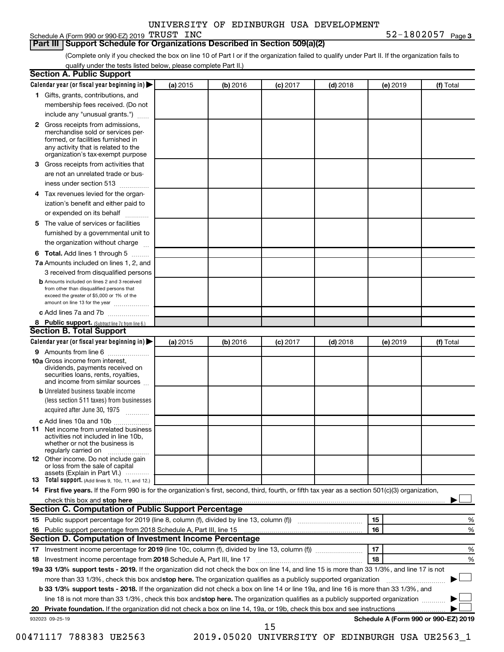| UNIVERSITY OF EDINBURGH USA DEVELOPMENT |  |  |  |  |  |
|-----------------------------------------|--|--|--|--|--|
|-----------------------------------------|--|--|--|--|--|

### **Part III Support Schedule for Organizations Described in Section 509(a)(2)**

(Complete only if you checked the box on line 10 of Part I or if the organization failed to qualify under Part II. If the organization fails to qualify under the tests listed below, please complete Part II.)

| <b>Section A. Public Support</b>                                                                                                                                                         |          |          |            |            |          |                                      |
|------------------------------------------------------------------------------------------------------------------------------------------------------------------------------------------|----------|----------|------------|------------|----------|--------------------------------------|
| Calendar year (or fiscal year beginning in)                                                                                                                                              | (a) 2015 | (b) 2016 | $(c)$ 2017 | $(d)$ 2018 | (e) 2019 | (f) Total                            |
| 1 Gifts, grants, contributions, and                                                                                                                                                      |          |          |            |            |          |                                      |
| membership fees received. (Do not                                                                                                                                                        |          |          |            |            |          |                                      |
| include any "unusual grants.")                                                                                                                                                           |          |          |            |            |          |                                      |
| 2 Gross receipts from admissions,<br>merchandise sold or services per-<br>formed, or facilities furnished in<br>any activity that is related to the<br>organization's tax-exempt purpose |          |          |            |            |          |                                      |
| 3 Gross receipts from activities that                                                                                                                                                    |          |          |            |            |          |                                      |
| are not an unrelated trade or bus-                                                                                                                                                       |          |          |            |            |          |                                      |
| iness under section 513                                                                                                                                                                  |          |          |            |            |          |                                      |
| 4 Tax revenues levied for the organ-                                                                                                                                                     |          |          |            |            |          |                                      |
| ization's benefit and either paid to                                                                                                                                                     |          |          |            |            |          |                                      |
| or expended on its behalf                                                                                                                                                                |          |          |            |            |          |                                      |
| 5 The value of services or facilities                                                                                                                                                    |          |          |            |            |          |                                      |
| furnished by a governmental unit to                                                                                                                                                      |          |          |            |            |          |                                      |
| the organization without charge                                                                                                                                                          |          |          |            |            |          |                                      |
| 6 Total. Add lines 1 through 5                                                                                                                                                           |          |          |            |            |          |                                      |
| 7a Amounts included on lines 1, 2, and                                                                                                                                                   |          |          |            |            |          |                                      |
| 3 received from disqualified persons                                                                                                                                                     |          |          |            |            |          |                                      |
| <b>b</b> Amounts included on lines 2 and 3 received<br>from other than disqualified persons that<br>exceed the greater of \$5,000 or 1% of the<br>amount on line 13 for the year         |          |          |            |            |          |                                      |
| c Add lines 7a and 7b                                                                                                                                                                    |          |          |            |            |          |                                      |
| 8 Public support. (Subtract line 7c from line 6.)                                                                                                                                        |          |          |            |            |          |                                      |
| <b>Section B. Total Support</b>                                                                                                                                                          |          |          |            |            |          |                                      |
| Calendar year (or fiscal year beginning in) $\blacktriangleright$                                                                                                                        | (a) 2015 | (b) 2016 | $(c)$ 2017 | $(d)$ 2018 | (e) 2019 | (f) Total                            |
| 9 Amounts from line 6                                                                                                                                                                    |          |          |            |            |          |                                      |
| <b>10a</b> Gross income from interest,<br>dividends, payments received on<br>securities loans, rents, royalties,<br>and income from similar sources                                      |          |          |            |            |          |                                      |
| <b>b</b> Unrelated business taxable income                                                                                                                                               |          |          |            |            |          |                                      |
| (less section 511 taxes) from businesses<br>acquired after June 30, 1975                                                                                                                 |          |          |            |            |          |                                      |
| c Add lines 10a and 10b                                                                                                                                                                  |          |          |            |            |          |                                      |
| <b>11</b> Net income from unrelated business<br>activities not included in line 10b.<br>whether or not the business is<br>regularly carried on                                           |          |          |            |            |          |                                      |
| <b>12</b> Other income. Do not include gain<br>or loss from the sale of capital<br>assets (Explain in Part VI.)                                                                          |          |          |            |            |          |                                      |
| <b>13</b> Total support. (Add lines 9, 10c, 11, and 12.)                                                                                                                                 |          |          |            |            |          |                                      |
| 14 First five years. If the Form 990 is for the organization's first, second, third, fourth, or fifth tax year as a section 501(c)(3) organization,                                      |          |          |            |            |          |                                      |
| check this box and stop here                                                                                                                                                             |          |          |            |            |          |                                      |
| <b>Section C. Computation of Public Support Percentage</b>                                                                                                                               |          |          |            |            |          |                                      |
|                                                                                                                                                                                          |          |          |            |            | 15       | %                                    |
|                                                                                                                                                                                          |          |          |            |            | 16       | %                                    |
| Section D. Computation of Investment Income Percentage                                                                                                                                   |          |          |            |            |          |                                      |
| 17 Investment income percentage for 2019 (line 10c, column (f), divided by line 13, column (f))                                                                                          |          |          |            |            | 17       | %                                    |
| 18 Investment income percentage from 2018 Schedule A, Part III, line 17                                                                                                                  |          |          |            |            | 18       | %                                    |
| 19a 33 1/3% support tests - 2019. If the organization did not check the box on line 14, and line 15 is more than 33 1/3%, and line 17 is not                                             |          |          |            |            |          |                                      |
| more than 33 1/3%, check this box and stop here. The organization qualifies as a publicly supported organization                                                                         |          |          |            |            |          |                                      |
| b 33 1/3% support tests - 2018. If the organization did not check a box on line 14 or line 19a, and line 16 is more than 33 1/3%, and                                                    |          |          |            |            |          |                                      |
| line 18 is not more than 33 1/3%, check this box and stop here. The organization qualifies as a publicly supported organization                                                          |          |          |            |            |          |                                      |
|                                                                                                                                                                                          |          |          |            |            |          |                                      |
| 932023 09-25-19                                                                                                                                                                          |          |          |            |            |          | Schedule A (Form 990 or 990-EZ) 2019 |
|                                                                                                                                                                                          |          |          | 15         |            |          |                                      |

00471117 788383 UE2563 2019.05020 UNIVERSITY OF EDINBURGH USA UE2563\_1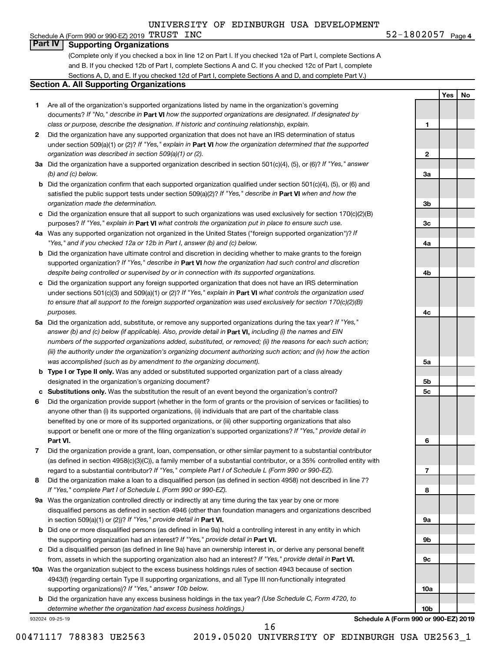**4** TRUST INC 52-1802057

**1**

**2**

**3a**

**3b**

**3c**

**4a**

**4b**

**4c**

**5a**

**5b 5c**

**6**

**7**

**8**

**9a**

**9b**

**9c**

**10a**

**10b**

**Yes No**

### Schedule A (Form 990 or 990-EZ) 2019  $TRUST$  INC **Part IV Supporting Organizations**

(Complete only if you checked a box in line 12 on Part I. If you checked 12a of Part I, complete Sections A and B. If you checked 12b of Part I, complete Sections A and C. If you checked 12c of Part I, complete Sections A, D, and E. If you checked 12d of Part I, complete Sections A and D, and complete Part V.)

### **Section A. All Supporting Organizations**

- **1** Are all of the organization's supported organizations listed by name in the organization's governing documents? If "No," describe in Part VI how the supported organizations are designated. If designated by *class or purpose, describe the designation. If historic and continuing relationship, explain.*
- **2** Did the organization have any supported organization that does not have an IRS determination of status under section 509(a)(1) or (2)? If "Yes," explain in Part **VI** how the organization determined that the supported *organization was described in section 509(a)(1) or (2).*
- **3a** Did the organization have a supported organization described in section 501(c)(4), (5), or (6)? If "Yes," answer *(b) and (c) below.*
- **b** Did the organization confirm that each supported organization qualified under section 501(c)(4), (5), or (6) and satisfied the public support tests under section 509(a)(2)? If "Yes," describe in Part VI when and how the *organization made the determination.*
- **c** Did the organization ensure that all support to such organizations was used exclusively for section 170(c)(2)(B) purposes? If "Yes," explain in Part VI what controls the organization put in place to ensure such use.
- **4 a** *If* Was any supported organization not organized in the United States ("foreign supported organization")? *"Yes," and if you checked 12a or 12b in Part I, answer (b) and (c) below.*
- **b** Did the organization have ultimate control and discretion in deciding whether to make grants to the foreign supported organization? If "Yes," describe in Part VI how the organization had such control and discretion *despite being controlled or supervised by or in connection with its supported organizations.*
- **c** Did the organization support any foreign supported organization that does not have an IRS determination under sections 501(c)(3) and 509(a)(1) or (2)? If "Yes," explain in Part VI what controls the organization used *to ensure that all support to the foreign supported organization was used exclusively for section 170(c)(2)(B) purposes.*
- **5a** Did the organization add, substitute, or remove any supported organizations during the tax year? If "Yes," answer (b) and (c) below (if applicable). Also, provide detail in **Part VI,** including (i) the names and EIN *numbers of the supported organizations added, substituted, or removed; (ii) the reasons for each such action; (iii) the authority under the organization's organizing document authorizing such action; and (iv) how the action was accomplished (such as by amendment to the organizing document).*
- **b Type I or Type II only.** Was any added or substituted supported organization part of a class already designated in the organization's organizing document?
- **c Substitutions only.**  Was the substitution the result of an event beyond the organization's control?
- **6** Did the organization provide support (whether in the form of grants or the provision of services or facilities) to **Part VI.** support or benefit one or more of the filing organization's supported organizations? If "Yes," provide detail in anyone other than (i) its supported organizations, (ii) individuals that are part of the charitable class benefited by one or more of its supported organizations, or (iii) other supporting organizations that also
- **7** Did the organization provide a grant, loan, compensation, or other similar payment to a substantial contributor regard to a substantial contributor? If "Yes," complete Part I of Schedule L (Form 990 or 990-EZ). (as defined in section 4958(c)(3)(C)), a family member of a substantial contributor, or a 35% controlled entity with
- **8** Did the organization make a loan to a disqualified person (as defined in section 4958) not described in line 7? *If "Yes," complete Part I of Schedule L (Form 990 or 990-EZ).*
- **9 a** Was the organization controlled directly or indirectly at any time during the tax year by one or more in section 509(a)(1) or (2))? If "Yes," provide detail in **Part VI.** disqualified persons as defined in section 4946 (other than foundation managers and organizations described
- **b** Did one or more disqualified persons (as defined in line 9a) hold a controlling interest in any entity in which the supporting organization had an interest? If "Yes," provide detail in Part VI.
- **c** Did a disqualified person (as defined in line 9a) have an ownership interest in, or derive any personal benefit from, assets in which the supporting organization also had an interest? If "Yes," provide detail in Part VI.
- **10 a** Was the organization subject to the excess business holdings rules of section 4943 because of section supporting organizations)? If "Yes," answer 10b below. 4943(f) (regarding certain Type II supporting organizations, and all Type III non-functionally integrated
	- **b** Did the organization have any excess business holdings in the tax year? (Use Schedule C, Form 4720, to *determine whether the organization had excess business holdings.)*

932024 09-25-19

**Schedule A (Form 990 or 990-EZ) 2019**

16

00471117 788383 UE2563 2019.05020 UNIVERSITY OF EDINBURGH USA UE2563\_1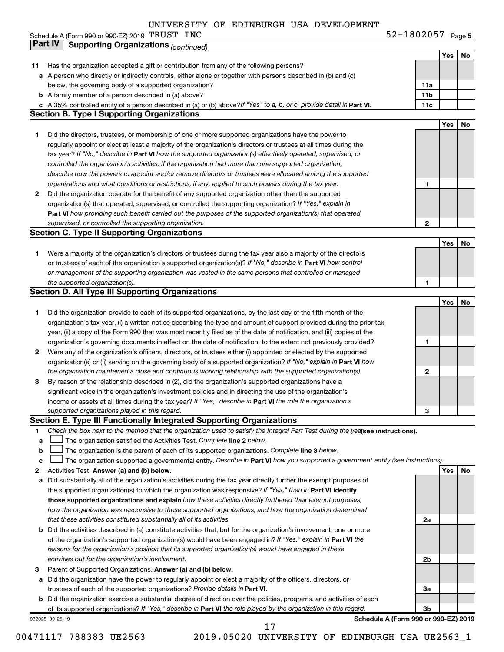| <b>Part IV Supporting Organizations</b>                    |     |  |                                              |                       |  |
|------------------------------------------------------------|-----|--|----------------------------------------------|-----------------------|--|
| Schedule A (Form 990 or 990-EZ) 2019 $\ ^{\mathrm{TRUST}}$ | INC |  |                                              | $52 - 1802057$ Page 5 |  |
|                                                            |     |  | <u>UNIVULITI OI UPINPORON ODN PUVUUOINUI</u> |                       |  |

|             | Part IV<br><b>Supporting Organizations (continued)</b>                                                                                                                                                                 |                 |     |    |
|-------------|------------------------------------------------------------------------------------------------------------------------------------------------------------------------------------------------------------------------|-----------------|-----|----|
|             |                                                                                                                                                                                                                        |                 | Yes | No |
| 11          | Has the organization accepted a gift or contribution from any of the following persons?                                                                                                                                |                 |     |    |
|             | a A person who directly or indirectly controls, either alone or together with persons described in (b) and (c)                                                                                                         |                 |     |    |
|             | below, the governing body of a supported organization?                                                                                                                                                                 | 11a             |     |    |
|             | <b>b</b> A family member of a person described in (a) above?                                                                                                                                                           | 11 <sub>b</sub> |     |    |
|             | c A 35% controlled entity of a person described in (a) or (b) above? If "Yes" to a, b, or c, provide detail in Part VI.                                                                                                | 11c             |     |    |
|             | <b>Section B. Type I Supporting Organizations</b>                                                                                                                                                                      |                 |     |    |
|             |                                                                                                                                                                                                                        |                 | Yes | No |
| 1           | Did the directors, trustees, or membership of one or more supported organizations have the power to                                                                                                                    |                 |     |    |
|             | regularly appoint or elect at least a majority of the organization's directors or trustees at all times during the                                                                                                     |                 |     |    |
|             | tax year? If "No," describe in Part VI how the supported organization(s) effectively operated, supervised, or                                                                                                          |                 |     |    |
|             | controlled the organization's activities. If the organization had more than one supported organization,                                                                                                                |                 |     |    |
|             | describe how the powers to appoint and/or remove directors or trustees were allocated among the supported                                                                                                              |                 |     |    |
|             | organizations and what conditions or restrictions, if any, applied to such powers during the tax year.                                                                                                                 | 1               |     |    |
| 2           | Did the organization operate for the benefit of any supported organization other than the supported                                                                                                                    |                 |     |    |
|             | organization(s) that operated, supervised, or controlled the supporting organization? If "Yes," explain in                                                                                                             |                 |     |    |
|             | Part VI how providing such benefit carried out the purposes of the supported organization(s) that operated,                                                                                                            |                 |     |    |
|             | supervised, or controlled the supporting organization.                                                                                                                                                                 | 2               |     |    |
|             | <b>Section C. Type II Supporting Organizations</b>                                                                                                                                                                     |                 |     |    |
|             |                                                                                                                                                                                                                        |                 | Yes | No |
| 1           | Were a majority of the organization's directors or trustees during the tax year also a majority of the directors                                                                                                       |                 |     |    |
|             | or trustees of each of the organization's supported organization(s)? If "No," describe in Part VI how control                                                                                                          |                 |     |    |
|             | or management of the supporting organization was vested in the same persons that controlled or managed                                                                                                                 |                 |     |    |
|             | the supported organization(s).                                                                                                                                                                                         | 1               |     |    |
|             | <b>Section D. All Type III Supporting Organizations</b>                                                                                                                                                                |                 |     |    |
|             |                                                                                                                                                                                                                        |                 | Yes | No |
| 1           | Did the organization provide to each of its supported organizations, by the last day of the fifth month of the                                                                                                         |                 |     |    |
|             | organization's tax year, (i) a written notice describing the type and amount of support provided during the prior tax                                                                                                  |                 |     |    |
|             | year, (ii) a copy of the Form 990 that was most recently filed as of the date of notification, and (iii) copies of the                                                                                                 |                 |     |    |
|             | organization's governing documents in effect on the date of notification, to the extent not previously provided?                                                                                                       | 1               |     |    |
| 2           | Were any of the organization's officers, directors, or trustees either (i) appointed or elected by the supported                                                                                                       |                 |     |    |
|             | organization(s) or (ii) serving on the governing body of a supported organization? If "No," explain in Part VI how                                                                                                     |                 |     |    |
|             |                                                                                                                                                                                                                        | 2               |     |    |
| 3           | the organization maintained a close and continuous working relationship with the supported organization(s).<br>By reason of the relationship described in (2), did the organization's supported organizations have a   |                 |     |    |
|             | significant voice in the organization's investment policies and in directing the use of the organization's                                                                                                             |                 |     |    |
|             | income or assets at all times during the tax year? If "Yes," describe in Part VI the role the organization's                                                                                                           |                 |     |    |
|             | supported organizations played in this regard.                                                                                                                                                                         |                 |     |    |
|             | Section E. Type III Functionally Integrated Supporting Organizations                                                                                                                                                   | з               |     |    |
| 1           | Check the box next to the method that the organization used to satisfy the Integral Part Test during the yealsee instructions).                                                                                        |                 |     |    |
| a           | The organization satisfied the Activities Test. Complete line 2 below.                                                                                                                                                 |                 |     |    |
| $\mathbf b$ | The organization is the parent of each of its supported organizations. Complete line 3 below.                                                                                                                          |                 |     |    |
| c           | The organization supported a governmental entity. Describe in Part VI how you supported a government entity (see instructions).                                                                                        |                 |     |    |
| 2           | Activities Test. Answer (a) and (b) below.                                                                                                                                                                             |                 | Yes | No |
| а           | Did substantially all of the organization's activities during the tax year directly further the exempt purposes of                                                                                                     |                 |     |    |
|             | the supported organization(s) to which the organization was responsive? If "Yes," then in Part VI identify                                                                                                             |                 |     |    |
|             | those supported organizations and explain how these activities directly furthered their exempt purposes,                                                                                                               |                 |     |    |
|             | how the organization was responsive to those supported organizations, and how the organization determined                                                                                                              |                 |     |    |
|             | that these activities constituted substantially all of its activities.                                                                                                                                                 | 2a              |     |    |
|             | <b>b</b> Did the activities described in (a) constitute activities that, but for the organization's involvement, one or more                                                                                           |                 |     |    |
|             |                                                                                                                                                                                                                        |                 |     |    |
|             | of the organization's supported organization(s) would have been engaged in? If "Yes," explain in Part VI the<br>reasons for the organization's position that its supported organization(s) would have engaged in these |                 |     |    |
|             | activities but for the organization's involvement.                                                                                                                                                                     | 2b              |     |    |
| З           | Parent of Supported Organizations. Answer (a) and (b) below.                                                                                                                                                           |                 |     |    |
|             | Did the organization have the power to regularly appoint or elect a majority of the officers, directors, or                                                                                                            |                 |     |    |
| а           | trustees of each of the supported organizations? Provide details in Part VI.                                                                                                                                           | За              |     |    |
|             | <b>b</b> Did the organization exercise a substantial degree of direction over the policies, programs, and activities of each                                                                                           |                 |     |    |
|             | of its supported organizations? If "Yes," describe in Part VI the role played by the organization in this regard.                                                                                                      | 3b              |     |    |
|             | Schedule A (Form 990 or 990-EZ) 2019<br>932025 09-25-19                                                                                                                                                                |                 |     |    |
|             |                                                                                                                                                                                                                        |                 |     |    |

00471117 788383 UE2563 2019.05020 UNIVERSITY OF EDINBURGH USA UE2563\_1 17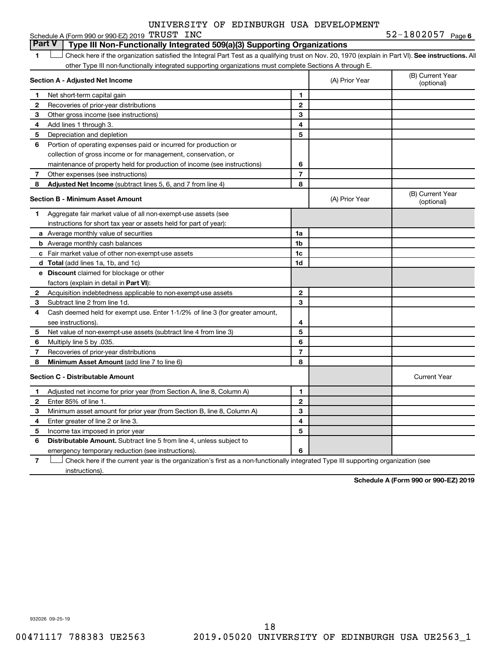| UNIVERSITY OF EDINBURGH USA DEVELOPMENT |  |  |  |  |  |
|-----------------------------------------|--|--|--|--|--|
|-----------------------------------------|--|--|--|--|--|

### **1 Lett** Check here if the organization satisfied the Integral Part Test as a qualifying trust on Nov. 20, 1970 (explain in Part VI). See instructions. All **Section A - Adjusted Net Income 1 2 3 4 5 6 7 8 1 2 3 4 5 6 7 Adjusted Net Income** (subtract lines 5, 6, and 7 from line 4) **8 8 Section B - Minimum Asset Amount 1 2 3 4 5 6 7 8 a** Average monthly value of securities **b** Average monthly cash balances **c** Fair market value of other non-exempt-use assets **d Total**  (add lines 1a, 1b, and 1c) **e Discount** claimed for blockage or other **1a 1b 1c 1d 2 3 4 5 6 7 8** factors (explain in detail in Part VI): **Minimum Asset Amount**  (add line 7 to line 6) **Section C - Distributable Amount 1 2 3 4 5 6 1 2 3 4 5 6** Distributable Amount. Subtract line 5 from line 4, unless subject to Schedule A (Form 990 or 990-EZ) 2019 PRUST INC<br>Part V T Type III Non-Functionally Integrate other Type III non-functionally integrated supporting organizations must complete Sections A through E. (B) Current Year (A) Prior Year Net short-term capital gain Recoveries of prior-year distributions Other gross income (see instructions) Add lines 1 through 3. Depreciation and depletion Portion of operating expenses paid or incurred for production or collection of gross income or for management, conservation, or maintenance of property held for production of income (see instructions) Other expenses (see instructions) (B) Current Year  $(A)$  Prior Year  $\left\{\n\begin{array}{ccc}\n\end{array}\n\right\}$  (optional) Aggregate fair market value of all non-exempt-use assets (see instructions for short tax year or assets held for part of year): Acquisition indebtedness applicable to non-exempt-use assets Subtract line 2 from line 1d. Cash deemed held for exempt use. Enter 1-1/2% of line 3 (for greater amount, see instructions). Net value of non-exempt-use assets (subtract line 4 from line 3) Multiply line 5 by .035. Recoveries of prior-year distributions Current Year Adjusted net income for prior year (from Section A, line 8, Column A) Enter 85% of line 1. Minimum asset amount for prior year (from Section B, line 8, Column A) Enter greater of line 2 or line 3. Income tax imposed in prior year emergency temporary reduction (see instructions). **Part Viel III Non-Functionally Integrated 509(a)(3) Supporting Organizations**  $\Box$

**7** Check here if the current year is the organization's first as a non-functionally integrated Type III supporting organization (see † instructions).

**Schedule A (Form 990 or 990-EZ) 2019**

932026 09-25-19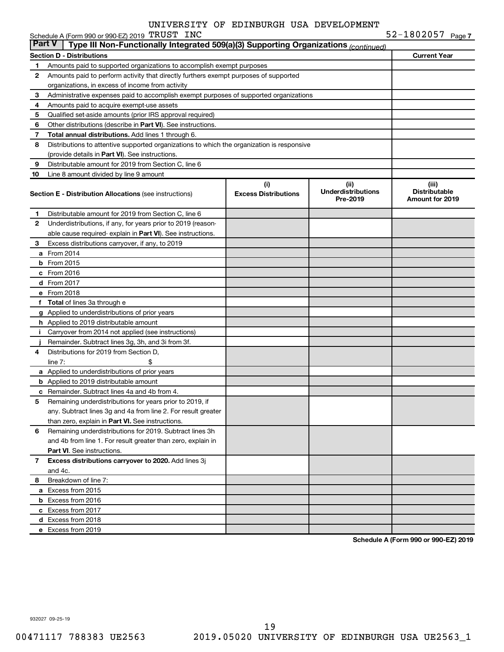| $52 - 1802057$ Page 7 |  |  |
|-----------------------|--|--|
|-----------------------|--|--|

|               | Schedule A (Form 990 or 990-EZ) 2019 TRUST INC                                             |                                    |                                               | $52 - 1802057$ Page 7                                   |  |  |  |  |  |  |
|---------------|--------------------------------------------------------------------------------------------|------------------------------------|-----------------------------------------------|---------------------------------------------------------|--|--|--|--|--|--|
| <b>Part V</b> | Type III Non-Functionally Integrated 509(a)(3) Supporting Organizations (continued)        |                                    |                                               |                                                         |  |  |  |  |  |  |
|               | <b>Section D - Distributions</b>                                                           |                                    |                                               | <b>Current Year</b>                                     |  |  |  |  |  |  |
| 1             | Amounts paid to supported organizations to accomplish exempt purposes                      |                                    |                                               |                                                         |  |  |  |  |  |  |
| 2             | Amounts paid to perform activity that directly furthers exempt purposes of supported       |                                    |                                               |                                                         |  |  |  |  |  |  |
|               | organizations, in excess of income from activity                                           |                                    |                                               |                                                         |  |  |  |  |  |  |
| З             | Administrative expenses paid to accomplish exempt purposes of supported organizations      |                                    |                                               |                                                         |  |  |  |  |  |  |
| 4             | Amounts paid to acquire exempt-use assets                                                  |                                    |                                               |                                                         |  |  |  |  |  |  |
| 5             | Qualified set-aside amounts (prior IRS approval required)                                  |                                    |                                               |                                                         |  |  |  |  |  |  |
| 6             | Other distributions (describe in <b>Part VI</b> ). See instructions.                       |                                    |                                               |                                                         |  |  |  |  |  |  |
| 7             | Total annual distributions. Add lines 1 through 6.                                         |                                    |                                               |                                                         |  |  |  |  |  |  |
| 8             | Distributions to attentive supported organizations to which the organization is responsive |                                    |                                               |                                                         |  |  |  |  |  |  |
|               | (provide details in Part VI). See instructions.                                            |                                    |                                               |                                                         |  |  |  |  |  |  |
| 9             | Distributable amount for 2019 from Section C, line 6                                       |                                    |                                               |                                                         |  |  |  |  |  |  |
| 10            | Line 8 amount divided by line 9 amount                                                     |                                    |                                               |                                                         |  |  |  |  |  |  |
|               | <b>Section E - Distribution Allocations (see instructions)</b>                             | (i)<br><b>Excess Distributions</b> | (ii)<br><b>Underdistributions</b><br>Pre-2019 | (iii)<br><b>Distributable</b><br><b>Amount for 2019</b> |  |  |  |  |  |  |
| 1             | Distributable amount for 2019 from Section C, line 6                                       |                                    |                                               |                                                         |  |  |  |  |  |  |
| 2             | Underdistributions, if any, for years prior to 2019 (reason-                               |                                    |                                               |                                                         |  |  |  |  |  |  |
|               | able cause required- explain in Part VI). See instructions.                                |                                    |                                               |                                                         |  |  |  |  |  |  |
| З             | Excess distributions carryover, if any, to 2019                                            |                                    |                                               |                                                         |  |  |  |  |  |  |
|               | a From 2014                                                                                |                                    |                                               |                                                         |  |  |  |  |  |  |
|               | <b>b</b> From 2015                                                                         |                                    |                                               |                                                         |  |  |  |  |  |  |
|               | c From 2016                                                                                |                                    |                                               |                                                         |  |  |  |  |  |  |
|               | d From 2017                                                                                |                                    |                                               |                                                         |  |  |  |  |  |  |
|               | e From 2018                                                                                |                                    |                                               |                                                         |  |  |  |  |  |  |
|               | f Total of lines 3a through e                                                              |                                    |                                               |                                                         |  |  |  |  |  |  |
|               |                                                                                            |                                    |                                               |                                                         |  |  |  |  |  |  |
|               | g Applied to underdistributions of prior years                                             |                                    |                                               |                                                         |  |  |  |  |  |  |
|               | <b>h</b> Applied to 2019 distributable amount                                              |                                    |                                               |                                                         |  |  |  |  |  |  |
| Ť.            | Carryover from 2014 not applied (see instructions)                                         |                                    |                                               |                                                         |  |  |  |  |  |  |
|               | Remainder. Subtract lines 3g, 3h, and 3i from 3f.                                          |                                    |                                               |                                                         |  |  |  |  |  |  |
| 4             | Distributions for 2019 from Section D,                                                     |                                    |                                               |                                                         |  |  |  |  |  |  |
|               | line $7:$                                                                                  |                                    |                                               |                                                         |  |  |  |  |  |  |
|               | a Applied to underdistributions of prior years                                             |                                    |                                               |                                                         |  |  |  |  |  |  |
|               | <b>b</b> Applied to 2019 distributable amount                                              |                                    |                                               |                                                         |  |  |  |  |  |  |
|               | <b>c</b> Remainder. Subtract lines 4a and 4b from 4.                                       |                                    |                                               |                                                         |  |  |  |  |  |  |
|               | 5 Remaining underdistributions for years prior to 2019, if                                 |                                    |                                               |                                                         |  |  |  |  |  |  |
|               | any. Subtract lines 3g and 4a from line 2. For result greater                              |                                    |                                               |                                                         |  |  |  |  |  |  |
|               | than zero, explain in Part VI. See instructions.                                           |                                    |                                               |                                                         |  |  |  |  |  |  |
| 6             | Remaining underdistributions for 2019. Subtract lines 3h                                   |                                    |                                               |                                                         |  |  |  |  |  |  |
|               | and 4b from line 1. For result greater than zero, explain in                               |                                    |                                               |                                                         |  |  |  |  |  |  |
|               | <b>Part VI.</b> See instructions.                                                          |                                    |                                               |                                                         |  |  |  |  |  |  |
| 7             | Excess distributions carryover to 2020. Add lines 3j                                       |                                    |                                               |                                                         |  |  |  |  |  |  |
|               | and 4c.                                                                                    |                                    |                                               |                                                         |  |  |  |  |  |  |
| 8             | Breakdown of line 7:                                                                       |                                    |                                               |                                                         |  |  |  |  |  |  |
|               | a Excess from 2015                                                                         |                                    |                                               |                                                         |  |  |  |  |  |  |
|               | <b>b</b> Excess from 2016                                                                  |                                    |                                               |                                                         |  |  |  |  |  |  |
|               | c Excess from 2017                                                                         |                                    |                                               |                                                         |  |  |  |  |  |  |
|               | d Excess from 2018                                                                         |                                    |                                               |                                                         |  |  |  |  |  |  |
|               | e Excess from 2019                                                                         |                                    |                                               |                                                         |  |  |  |  |  |  |

**Schedule A (Form 990 or 990-EZ) 2019**

932027 09-25-19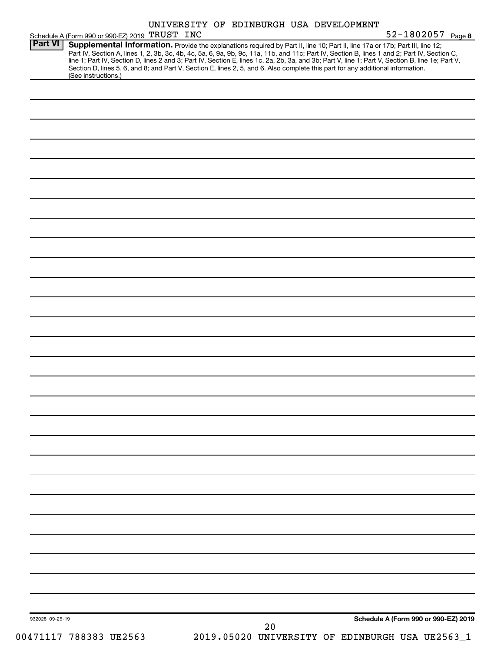|                 | Schedule A (Form 990 or 990-EZ) 2019 TRUST INC                                                                                  |  |  |    | UNIVERSITY OF EDINBURGH USA DEVELOPMENT | 52-1802057 Page 8                                                                                                                                                                                                                                                                                |
|-----------------|---------------------------------------------------------------------------------------------------------------------------------|--|--|----|-----------------------------------------|--------------------------------------------------------------------------------------------------------------------------------------------------------------------------------------------------------------------------------------------------------------------------------------------------|
| <b>Part VI</b>  | Supplemental Information. Provide the explanations required by Part II, line 10; Part II, line 17a or 17b; Part III, line 12;   |  |  |    |                                         |                                                                                                                                                                                                                                                                                                  |
|                 | Section D, lines 5, 6, and 8; and Part V, Section E, lines 2, 5, and 6. Also complete this part for any additional information. |  |  |    |                                         | Part IV, Section A, lines 1, 2, 3b, 3c, 4b, 4c, 5a, 6, 9a, 9b, 9c, 11a, 11b, and 11c; Part IV, Section B, lines 1 and 2; Part IV, Section C,<br>line 1; Part IV, Section D, lines 2 and 3; Part IV, Section E, lines 1c, 2a, 2b, 3a, and 3b; Part V, line 1; Part V, Section B, line 1e; Part V, |
|                 | (See instructions.)                                                                                                             |  |  |    |                                         |                                                                                                                                                                                                                                                                                                  |
|                 |                                                                                                                                 |  |  |    |                                         |                                                                                                                                                                                                                                                                                                  |
|                 |                                                                                                                                 |  |  |    |                                         |                                                                                                                                                                                                                                                                                                  |
|                 |                                                                                                                                 |  |  |    |                                         |                                                                                                                                                                                                                                                                                                  |
|                 |                                                                                                                                 |  |  |    |                                         |                                                                                                                                                                                                                                                                                                  |
|                 |                                                                                                                                 |  |  |    |                                         |                                                                                                                                                                                                                                                                                                  |
|                 |                                                                                                                                 |  |  |    |                                         |                                                                                                                                                                                                                                                                                                  |
|                 |                                                                                                                                 |  |  |    |                                         |                                                                                                                                                                                                                                                                                                  |
|                 |                                                                                                                                 |  |  |    |                                         |                                                                                                                                                                                                                                                                                                  |
|                 |                                                                                                                                 |  |  |    |                                         |                                                                                                                                                                                                                                                                                                  |
|                 |                                                                                                                                 |  |  |    |                                         |                                                                                                                                                                                                                                                                                                  |
|                 |                                                                                                                                 |  |  |    |                                         |                                                                                                                                                                                                                                                                                                  |
|                 |                                                                                                                                 |  |  |    |                                         |                                                                                                                                                                                                                                                                                                  |
|                 |                                                                                                                                 |  |  |    |                                         |                                                                                                                                                                                                                                                                                                  |
|                 |                                                                                                                                 |  |  |    |                                         |                                                                                                                                                                                                                                                                                                  |
|                 |                                                                                                                                 |  |  |    |                                         |                                                                                                                                                                                                                                                                                                  |
|                 |                                                                                                                                 |  |  |    |                                         |                                                                                                                                                                                                                                                                                                  |
|                 |                                                                                                                                 |  |  |    |                                         |                                                                                                                                                                                                                                                                                                  |
|                 |                                                                                                                                 |  |  |    |                                         |                                                                                                                                                                                                                                                                                                  |
|                 |                                                                                                                                 |  |  |    |                                         |                                                                                                                                                                                                                                                                                                  |
|                 |                                                                                                                                 |  |  |    |                                         |                                                                                                                                                                                                                                                                                                  |
|                 |                                                                                                                                 |  |  |    |                                         |                                                                                                                                                                                                                                                                                                  |
|                 |                                                                                                                                 |  |  |    |                                         |                                                                                                                                                                                                                                                                                                  |
|                 |                                                                                                                                 |  |  |    |                                         |                                                                                                                                                                                                                                                                                                  |
|                 |                                                                                                                                 |  |  |    |                                         |                                                                                                                                                                                                                                                                                                  |
|                 |                                                                                                                                 |  |  |    |                                         |                                                                                                                                                                                                                                                                                                  |
|                 |                                                                                                                                 |  |  |    |                                         |                                                                                                                                                                                                                                                                                                  |
|                 |                                                                                                                                 |  |  |    |                                         |                                                                                                                                                                                                                                                                                                  |
|                 |                                                                                                                                 |  |  |    |                                         |                                                                                                                                                                                                                                                                                                  |
|                 |                                                                                                                                 |  |  |    |                                         |                                                                                                                                                                                                                                                                                                  |
|                 |                                                                                                                                 |  |  |    |                                         |                                                                                                                                                                                                                                                                                                  |
|                 |                                                                                                                                 |  |  |    |                                         |                                                                                                                                                                                                                                                                                                  |
|                 |                                                                                                                                 |  |  |    |                                         |                                                                                                                                                                                                                                                                                                  |
|                 |                                                                                                                                 |  |  |    |                                         |                                                                                                                                                                                                                                                                                                  |
|                 |                                                                                                                                 |  |  |    |                                         |                                                                                                                                                                                                                                                                                                  |
|                 |                                                                                                                                 |  |  |    |                                         |                                                                                                                                                                                                                                                                                                  |
| 932028 09-25-19 |                                                                                                                                 |  |  | 20 |                                         | Schedule A (Form 990 or 990-EZ) 2019                                                                                                                                                                                                                                                             |
|                 | 00471117 788383 UE2563                                                                                                          |  |  |    |                                         | 2019.05020 UNIVERSITY OF EDINBURGH USA UE2563_1                                                                                                                                                                                                                                                  |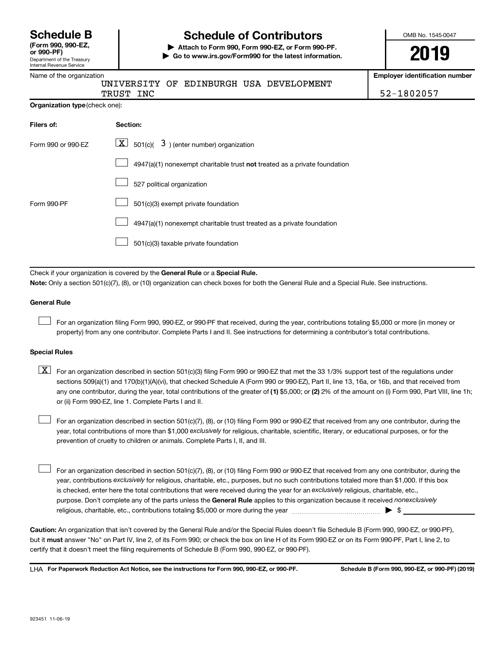Department of the Treasury Internal Revenue Service **(Form 990, 990-EZ,**

# **Schedule B Schedule of Contributors**

**or 990-PF) | Attach to Form 990, Form 990-EZ, or Form 990-PF. | Go to www.irs.gov/Form990 for the latest information.** OMB No. 1545-0047

# **2019**

**Employer identification number**

| TRUST INC | 52-1802057 |
|-----------|------------|
|           |            |

| Name of the organization |  |  |                                         |
|--------------------------|--|--|-----------------------------------------|
|                          |  |  | UNIVERSITY OF EDINBURGH USA DEVELOPMENT |

| <b>Organization type (check one):</b> |                                                                                    |
|---------------------------------------|------------------------------------------------------------------------------------|
| Filers of:                            | Section:                                                                           |
| Form 990 or 990-EZ                    | $\lfloor \underline{X} \rfloor$ 501(c)( 3) (enter number) organization             |
|                                       | $4947(a)(1)$ nonexempt charitable trust <b>not</b> treated as a private foundation |
|                                       | 527 political organization                                                         |
| Form 990-PF                           | 501(c)(3) exempt private foundation                                                |
|                                       | 4947(a)(1) nonexempt charitable trust treated as a private foundation              |
|                                       | 501(c)(3) taxable private foundation                                               |

Check if your organization is covered by the General Rule or a Special Rule. **Note:**  Only a section 501(c)(7), (8), or (10) organization can check boxes for both the General Rule and a Special Rule. See instructions.

### **General Rule**

 $\Box$ 

For an organization filing Form 990, 990-EZ, or 990-PF that received, during the year, contributions totaling \$5,000 or more (in money or property) from any one contributor. Complete Parts I and II. See instructions for determining a contributor's total contributions.

### **Special Rules**

any one contributor, during the year, total contributions of the greater of (1) \$5,000; or (2) 2% of the amount on (i) Form 990, Part VIII, line 1h;  $\boxed{\text{X}}$  For an organization described in section 501(c)(3) filing Form 990 or 990-EZ that met the 33 1/3% support test of the regulations under sections 509(a)(1) and 170(b)(1)(A)(vi), that checked Schedule A (Form 990 or 990-EZ), Part II, line 13, 16a, or 16b, and that received from or (ii) Form 990-EZ, line 1. Complete Parts I and II.

year, total contributions of more than \$1,000 *exclusively* for religious, charitable, scientific, literary, or educational purposes, or for the For an organization described in section 501(c)(7), (8), or (10) filing Form 990 or 990-EZ that received from any one contributor, during the prevention of cruelty to children or animals. Complete Parts I, II, and III.  $\Box$ 

purpose. Don't complete any of the parts unless the General Rule applies to this organization because it received nonexclusively year, contributions exclusively for religious, charitable, etc., purposes, but no such contributions totaled more than \$1,000. If this box is checked, enter here the total contributions that were received during the year for an exclusively religious, charitable, etc., For an organization described in section 501(c)(7), (8), or (10) filing Form 990 or 990-EZ that received from any one contributor, during the religious, charitable, etc., contributions totaling \$5,000 or more during the year  $~\ldots\ldots\ldots\ldots\ldots\ldots\ldots\ldots\ldots\blacktriangleright~$ \$  $\Box$ 

**Caution:**  An organization that isn't covered by the General Rule and/or the Special Rules doesn't file Schedule B (Form 990, 990-EZ, or 990-PF),  **must** but it answer "No" on Part IV, line 2, of its Form 990; or check the box on line H of its Form 990-EZ or on its Form 990-PF, Part I, line 2, to certify that it doesn't meet the filing requirements of Schedule B (Form 990, 990-EZ, or 990-PF).

**For Paperwork Reduction Act Notice, see the instructions for Form 990, 990-EZ, or 990-PF. Schedule B (Form 990, 990-EZ, or 990-PF) (2019)** LHA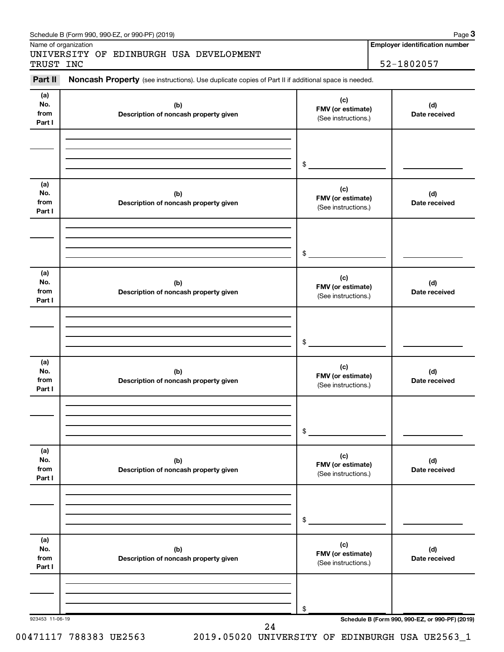| Part II                      | Noncash Property (see instructions). Use duplicate copies of Part II if additional space is needed. |                                                 |                      |
|------------------------------|-----------------------------------------------------------------------------------------------------|-------------------------------------------------|----------------------|
| (a)<br>No.<br>from<br>Part I | (b)<br>Description of noncash property given                                                        | (c)<br>FMV (or estimate)<br>(See instructions.) | (d)<br>Date received |
|                              |                                                                                                     | \$                                              |                      |
| (a)                          |                                                                                                     |                                                 |                      |
| No.<br>from<br>Part I        | (b)<br>Description of noncash property given                                                        | (c)<br>FMV (or estimate)<br>(See instructions.) | (d)<br>Date received |
|                              |                                                                                                     | \$                                              |                      |
| (a)                          |                                                                                                     |                                                 |                      |
| No.<br>from<br>Part I        | (b)<br>Description of noncash property given                                                        | (c)<br>FMV (or estimate)<br>(See instructions.) | (d)<br>Date received |
|                              |                                                                                                     |                                                 |                      |
|                              |                                                                                                     | \$                                              |                      |
| (a)<br>No.<br>from<br>Part I | (b)<br>Description of noncash property given                                                        | (c)<br>FMV (or estimate)<br>(See instructions.) | (d)<br>Date received |
|                              |                                                                                                     |                                                 |                      |
|                              |                                                                                                     | \$                                              |                      |
| (a)<br>No.<br>from<br>Part I | (b)<br>Description of noncash property given                                                        | (c)<br>FMV (or estimate)<br>(See instructions.) | (d)<br>Date received |
|                              |                                                                                                     |                                                 |                      |
|                              |                                                                                                     | \$                                              |                      |
| (a)<br>No.<br>from<br>Part I | (b)<br>Description of noncash property given                                                        | (c)<br>FMV (or estimate)<br>(See instructions.) | (d)<br>Date received |
|                              |                                                                                                     |                                                 |                      |
|                              |                                                                                                     | \$                                              |                      |

**3**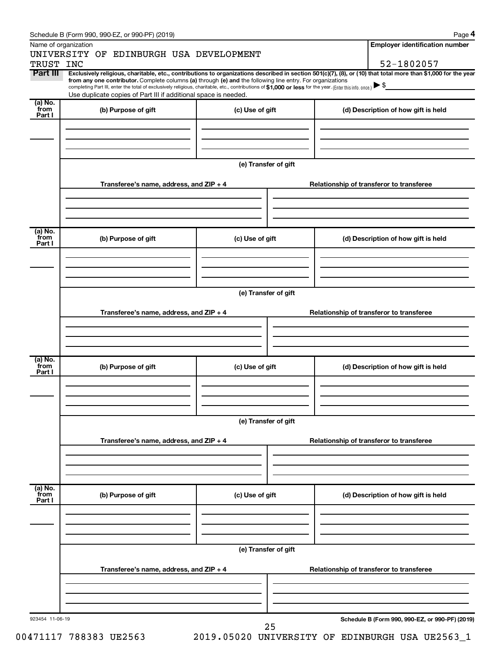|                 | Schedule B (Form 990, 990-EZ, or 990-PF) (2019)                                                                                                          |                      | Page 4                                                                                                                                                         |
|-----------------|----------------------------------------------------------------------------------------------------------------------------------------------------------|----------------------|----------------------------------------------------------------------------------------------------------------------------------------------------------------|
|                 | Name of organization                                                                                                                                     |                      | <b>Employer identification number</b>                                                                                                                          |
|                 | UNIVERSITY OF EDINBURGH USA DEVELOPMENT                                                                                                                  |                      |                                                                                                                                                                |
| TRUST INC       |                                                                                                                                                          |                      | 52-1802057                                                                                                                                                     |
| Part III        | from any one contributor. Complete columns (a) through (e) and the following line entry. For organizations                                               |                      | Exclusively religious, charitable, etc., contributions to organizations described in section 501(c)(7), (8), or (10) that total more than \$1,000 for the year |
|                 | completing Part III, enter the total of exclusively religious, charitable, etc., contributions of \$1,000 or less for the year. (Enter this info. once.) |                      |                                                                                                                                                                |
| (a) No.         | Use duplicate copies of Part III if additional space is needed.                                                                                          |                      |                                                                                                                                                                |
| from            | (b) Purpose of gift                                                                                                                                      | (c) Use of gift      | (d) Description of how gift is held                                                                                                                            |
| Part I          |                                                                                                                                                          |                      |                                                                                                                                                                |
|                 |                                                                                                                                                          |                      |                                                                                                                                                                |
|                 |                                                                                                                                                          |                      |                                                                                                                                                                |
|                 |                                                                                                                                                          |                      |                                                                                                                                                                |
|                 |                                                                                                                                                          | (e) Transfer of gift |                                                                                                                                                                |
|                 |                                                                                                                                                          |                      |                                                                                                                                                                |
|                 | Transferee's name, address, and ZIP + 4                                                                                                                  |                      | Relationship of transferor to transferee                                                                                                                       |
|                 |                                                                                                                                                          |                      |                                                                                                                                                                |
|                 |                                                                                                                                                          |                      |                                                                                                                                                                |
|                 |                                                                                                                                                          |                      |                                                                                                                                                                |
| (a) No.         |                                                                                                                                                          |                      |                                                                                                                                                                |
| from<br>Part I  | (b) Purpose of gift                                                                                                                                      | (c) Use of gift      | (d) Description of how gift is held                                                                                                                            |
|                 |                                                                                                                                                          |                      |                                                                                                                                                                |
|                 |                                                                                                                                                          |                      |                                                                                                                                                                |
|                 |                                                                                                                                                          |                      |                                                                                                                                                                |
|                 |                                                                                                                                                          |                      |                                                                                                                                                                |
|                 |                                                                                                                                                          | (e) Transfer of gift |                                                                                                                                                                |
|                 |                                                                                                                                                          |                      |                                                                                                                                                                |
|                 | Transferee's name, address, and ZIP + 4                                                                                                                  |                      | Relationship of transferor to transferee                                                                                                                       |
|                 |                                                                                                                                                          |                      |                                                                                                                                                                |
|                 |                                                                                                                                                          |                      |                                                                                                                                                                |
|                 |                                                                                                                                                          |                      |                                                                                                                                                                |
| (a) No.         |                                                                                                                                                          |                      |                                                                                                                                                                |
| from<br>Part I  | (b) Purpose of gift                                                                                                                                      | (c) Use of gift      | (d) Description of how gift is held                                                                                                                            |
|                 |                                                                                                                                                          |                      |                                                                                                                                                                |
|                 |                                                                                                                                                          |                      |                                                                                                                                                                |
|                 |                                                                                                                                                          |                      |                                                                                                                                                                |
|                 |                                                                                                                                                          |                      |                                                                                                                                                                |
|                 |                                                                                                                                                          | (e) Transfer of gift |                                                                                                                                                                |
|                 | Transferee's name, address, and ZIP + 4                                                                                                                  |                      | Relationship of transferor to transferee                                                                                                                       |
|                 |                                                                                                                                                          |                      |                                                                                                                                                                |
|                 |                                                                                                                                                          |                      |                                                                                                                                                                |
|                 |                                                                                                                                                          |                      |                                                                                                                                                                |
|                 |                                                                                                                                                          |                      |                                                                                                                                                                |
| (a) No.<br>from | (b) Purpose of gift                                                                                                                                      | (c) Use of gift      | (d) Description of how gift is held                                                                                                                            |
| Part I          |                                                                                                                                                          |                      |                                                                                                                                                                |
|                 |                                                                                                                                                          |                      |                                                                                                                                                                |
|                 |                                                                                                                                                          |                      |                                                                                                                                                                |
|                 |                                                                                                                                                          |                      |                                                                                                                                                                |
|                 |                                                                                                                                                          | (e) Transfer of gift |                                                                                                                                                                |
|                 |                                                                                                                                                          |                      |                                                                                                                                                                |
|                 | Transferee's name, address, and ZIP + 4                                                                                                                  |                      | Relationship of transferor to transferee                                                                                                                       |
|                 |                                                                                                                                                          |                      |                                                                                                                                                                |
|                 |                                                                                                                                                          |                      |                                                                                                                                                                |
|                 |                                                                                                                                                          |                      |                                                                                                                                                                |
|                 |                                                                                                                                                          |                      |                                                                                                                                                                |
| 923454 11-06-19 |                                                                                                                                                          | 25                   | Schedule B (Form 990, 990-EZ, or 990-PF) (2019)                                                                                                                |

| 00471117 788383 UE2563 | 2019.05020 UNIVERSITY OF EDINBURGH USA UE2563 1 |  |  |
|------------------------|-------------------------------------------------|--|--|
|------------------------|-------------------------------------------------|--|--|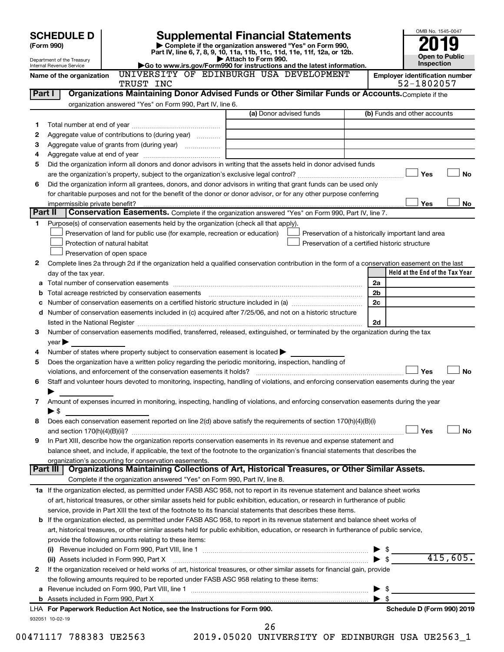|         | <b>SCHEDULE D</b>                |                                                                                                                                                                                                   |                     | <b>Supplemental Financial Statements</b>                                 |                              | OMB No. 1545-0047                                   |                |           |
|---------|----------------------------------|---------------------------------------------------------------------------------------------------------------------------------------------------------------------------------------------------|---------------------|--------------------------------------------------------------------------|------------------------------|-----------------------------------------------------|----------------|-----------|
|         | (Form 990)                       |                                                                                                                                                                                                   |                     | Complete if the organization answered "Yes" on Form 990,                 |                              |                                                     |                |           |
|         | Department of the Treasury       |                                                                                                                                                                                                   | Attach to Form 990. | Part IV, line 6, 7, 8, 9, 10, 11a, 11b, 11c, 11d, 11e, 11f, 12a, or 12b. |                              |                                                     | Open to Public |           |
|         | Internal Revenue Service         |                                                                                                                                                                                                   |                     | Go to www.irs.gov/Form990 for instructions and the latest information.   |                              | Inspection                                          |                |           |
|         | Name of the organization         | UNIVERSITY OF EDINBURGH USA DEVELOPMENT<br>TRUST INC                                                                                                                                              |                     |                                                                          |                              | <b>Employer identification number</b><br>52-1802057 |                |           |
| Part I  |                                  | Organizations Maintaining Donor Advised Funds or Other Similar Funds or Accounts. Complete if the                                                                                                 |                     |                                                                          |                              |                                                     |                |           |
|         |                                  | organization answered "Yes" on Form 990, Part IV, line 6.                                                                                                                                         |                     |                                                                          |                              |                                                     |                |           |
|         |                                  |                                                                                                                                                                                                   |                     | (a) Donor advised funds                                                  | (b) Funds and other accounts |                                                     |                |           |
| 1       |                                  |                                                                                                                                                                                                   |                     |                                                                          |                              |                                                     |                |           |
| 2       |                                  | Aggregate value of contributions to (during year)                                                                                                                                                 |                     |                                                                          |                              |                                                     |                |           |
| з       |                                  | Aggregate value of grants from (during year)                                                                                                                                                      |                     |                                                                          |                              |                                                     |                |           |
| 4       |                                  |                                                                                                                                                                                                   |                     |                                                                          |                              |                                                     |                |           |
| 5       |                                  | Did the organization inform all donors and donor advisors in writing that the assets held in donor advised funds                                                                                  |                     |                                                                          |                              | Yes                                                 |                | <b>No</b> |
| 6       |                                  | Did the organization inform all grantees, donors, and donor advisors in writing that grant funds can be used only                                                                                 |                     |                                                                          |                              |                                                     |                |           |
|         |                                  | for charitable purposes and not for the benefit of the donor or donor advisor, or for any other purpose conferring                                                                                |                     |                                                                          |                              |                                                     |                |           |
|         | impermissible private benefit?   |                                                                                                                                                                                                   |                     |                                                                          |                              | Yes                                                 |                | No        |
| Part II |                                  | Conservation Easements. Complete if the organization answered "Yes" on Form 990, Part IV, line 7.                                                                                                 |                     |                                                                          |                              |                                                     |                |           |
| 1.      |                                  | Purpose(s) of conservation easements held by the organization (check all that apply).                                                                                                             |                     |                                                                          |                              |                                                     |                |           |
|         |                                  | Preservation of land for public use (for example, recreation or education)                                                                                                                        |                     | Preservation of a historically important land area                       |                              |                                                     |                |           |
|         |                                  | Protection of natural habitat                                                                                                                                                                     |                     | Preservation of a certified historic structure                           |                              |                                                     |                |           |
|         |                                  | Preservation of open space                                                                                                                                                                        |                     |                                                                          |                              |                                                     |                |           |
| 2       |                                  | Complete lines 2a through 2d if the organization held a qualified conservation contribution in the form of a conservation easement on the last                                                    |                     |                                                                          |                              |                                                     |                |           |
|         | day of the tax year.             |                                                                                                                                                                                                   |                     |                                                                          |                              | Held at the End of the Tax Year                     |                |           |
| а       |                                  |                                                                                                                                                                                                   |                     |                                                                          | 2a                           |                                                     |                |           |
| b       |                                  |                                                                                                                                                                                                   |                     |                                                                          | 2 <sub>b</sub>               |                                                     |                |           |
| с       |                                  |                                                                                                                                                                                                   |                     |                                                                          | 2c                           |                                                     |                |           |
| d       |                                  | Number of conservation easements included in (c) acquired after 7/25/06, and not on a historic structure                                                                                          |                     |                                                                          |                              |                                                     |                |           |
|         |                                  |                                                                                                                                                                                                   |                     |                                                                          | 2d                           |                                                     |                |           |
| 3       |                                  | Number of conservation easements modified, transferred, released, extinguished, or terminated by the organization during the tax                                                                  |                     |                                                                          |                              |                                                     |                |           |
|         | $\vee$ ear $\blacktriangleright$ |                                                                                                                                                                                                   |                     |                                                                          |                              |                                                     |                |           |
| 4<br>5  |                                  | Number of states where property subject to conservation easement is located $\blacktriangleright$                                                                                                 |                     |                                                                          |                              |                                                     |                |           |
|         |                                  | Does the organization have a written policy regarding the periodic monitoring, inspection, handling of<br>violations, and enforcement of the conservation easements it holds?                     |                     |                                                                          |                              | Yes                                                 |                | <b>No</b> |
| 6       |                                  | Staff and volunteer hours devoted to monitoring, inspecting, handling of violations, and enforcing conservation easements during the year                                                         |                     |                                                                          |                              |                                                     |                |           |
|         |                                  |                                                                                                                                                                                                   |                     |                                                                          |                              |                                                     |                |           |
| 7       |                                  | Amount of expenses incurred in monitoring, inspecting, handling of violations, and enforcing conservation easements during the year                                                               |                     |                                                                          |                              |                                                     |                |           |
|         | $\blacktriangleright$ \$         |                                                                                                                                                                                                   |                     |                                                                          |                              |                                                     |                |           |
| 8       |                                  | Does each conservation easement reported on line 2(d) above satisfy the requirements of section 170(h)(4)(B)(i)                                                                                   |                     |                                                                          |                              |                                                     |                |           |
|         |                                  |                                                                                                                                                                                                   |                     |                                                                          |                              | Yes                                                 |                | No        |
| 9       |                                  | In Part XIII, describe how the organization reports conservation easements in its revenue and expense statement and                                                                               |                     |                                                                          |                              |                                                     |                |           |
|         |                                  | balance sheet, and include, if applicable, the text of the footnote to the organization's financial statements that describes the                                                                 |                     |                                                                          |                              |                                                     |                |           |
|         |                                  | organization's accounting for conservation easements.                                                                                                                                             |                     |                                                                          |                              |                                                     |                |           |
|         | Part III                         | Organizations Maintaining Collections of Art, Historical Treasures, or Other Similar Assets.                                                                                                      |                     |                                                                          |                              |                                                     |                |           |
|         |                                  | Complete if the organization answered "Yes" on Form 990, Part IV, line 8.                                                                                                                         |                     |                                                                          |                              |                                                     |                |           |
|         |                                  | 1a If the organization elected, as permitted under FASB ASC 958, not to report in its revenue statement and balance sheet works                                                                   |                     |                                                                          |                              |                                                     |                |           |
|         |                                  | of art, historical treasures, or other similar assets held for public exhibition, education, or research in furtherance of public                                                                 |                     |                                                                          |                              |                                                     |                |           |
|         |                                  | service, provide in Part XIII the text of the footnote to its financial statements that describes these items.                                                                                    |                     |                                                                          |                              |                                                     |                |           |
| b       |                                  | If the organization elected, as permitted under FASB ASC 958, to report in its revenue statement and balance sheet works of                                                                       |                     |                                                                          |                              |                                                     |                |           |
|         |                                  | art, historical treasures, or other similar assets held for public exhibition, education, or research in furtherance of public service,<br>provide the following amounts relating to these items: |                     |                                                                          |                              |                                                     |                |           |
|         |                                  |                                                                                                                                                                                                   |                     |                                                                          | \$                           |                                                     |                |           |
|         |                                  | (ii) Assets included in Form 990, Part X                                                                                                                                                          |                     |                                                                          | $\blacktriangleright$ \$     |                                                     |                | 415,605.  |
| 2       |                                  | If the organization received or held works of art, historical treasures, or other similar assets for financial gain, provide                                                                      |                     |                                                                          |                              |                                                     |                |           |
|         |                                  | the following amounts required to be reported under FASB ASC 958 relating to these items:                                                                                                         |                     |                                                                          |                              |                                                     |                |           |
| а       |                                  |                                                                                                                                                                                                   |                     |                                                                          | \$<br>▸                      |                                                     |                |           |
|         |                                  |                                                                                                                                                                                                   |                     |                                                                          | -\$                          |                                                     |                |           |
|         |                                  | LHA For Paperwork Reduction Act Notice, see the Instructions for Form 990.                                                                                                                        |                     |                                                                          |                              | Schedule D (Form 990) 2019                          |                |           |
|         | 932051 10-02-19                  |                                                                                                                                                                                                   |                     |                                                                          |                              |                                                     |                |           |
|         |                                  |                                                                                                                                                                                                   | 26                  |                                                                          |                              |                                                     |                |           |

<sup>00471117 788383</sup> UE2563 2019.05020 UNIVERSITY OF EDINBURGH USA UE2563\_1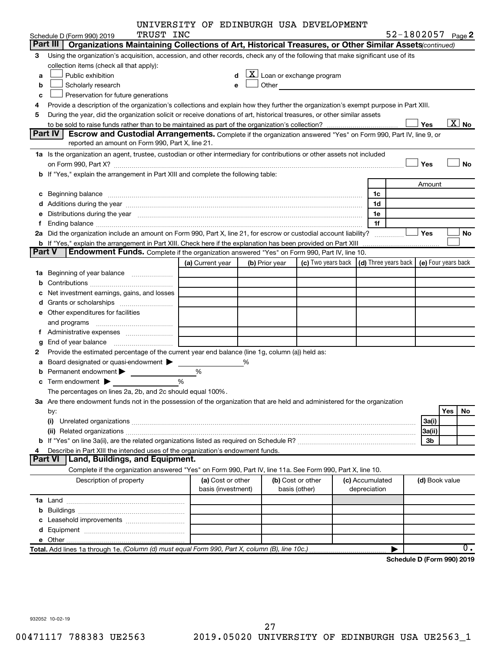|  |  | UNIVERSITY OF EDINBURGH USA DEVELOPMENT |
|--|--|-----------------------------------------|
|  |  |                                         |

|    | TRUST INC                                                                                                                                        |                                         | UNIVERSITI OF EDINBURGH USA DEVELOPMENT |                                    |                                 |                      |                | 52-1802057 Page 2        |
|----|--------------------------------------------------------------------------------------------------------------------------------------------------|-----------------------------------------|-----------------------------------------|------------------------------------|---------------------------------|----------------------|----------------|--------------------------|
|    | Schedule D (Form 990) 2019<br>Organizations Maintaining Collections of Art, Historical Treasures, or Other Similar Assets(continued)<br>Part III |                                         |                                         |                                    |                                 |                      |                |                          |
| 3  | Using the organization's acquisition, accession, and other records, check any of the following that make significant use of its                  |                                         |                                         |                                    |                                 |                      |                |                          |
|    | collection items (check all that apply):                                                                                                         |                                         |                                         |                                    |                                 |                      |                |                          |
| a  | Public exhibition                                                                                                                                |                                         | $X$ Loan or exchange program            |                                    |                                 |                      |                |                          |
| b  | Scholarly research                                                                                                                               | e                                       | Other                                   |                                    |                                 |                      |                |                          |
| c  | Preservation for future generations                                                                                                              |                                         |                                         |                                    |                                 |                      |                |                          |
| 4  | Provide a description of the organization's collections and explain how they further the organization's exempt purpose in Part XIII.             |                                         |                                         |                                    |                                 |                      |                |                          |
| 5  | During the year, did the organization solicit or receive donations of art, historical treasures, or other similar assets                         |                                         |                                         |                                    |                                 |                      |                |                          |
|    |                                                                                                                                                  |                                         |                                         |                                    |                                 |                      | Yes            | $\overline{\text{X}}$ No |
|    | Part IV<br><b>Escrow and Custodial Arrangements.</b> Complete if the organization answered "Yes" on Form 990, Part IV, line 9, or                |                                         |                                         |                                    |                                 |                      |                |                          |
|    | reported an amount on Form 990, Part X, line 21.                                                                                                 |                                         |                                         |                                    |                                 |                      |                |                          |
|    | 1a Is the organization an agent, trustee, custodian or other intermediary for contributions or other assets not included                         |                                         |                                         |                                    |                                 |                      |                |                          |
|    |                                                                                                                                                  |                                         |                                         |                                    |                                 |                      | Yes            | No                       |
|    | b If "Yes," explain the arrangement in Part XIII and complete the following table:                                                               |                                         |                                         |                                    |                                 |                      |                |                          |
|    |                                                                                                                                                  |                                         |                                         |                                    |                                 |                      | Amount         |                          |
|    | c Beginning balance                                                                                                                              |                                         |                                         |                                    | 1c                              |                      |                |                          |
|    |                                                                                                                                                  |                                         |                                         |                                    | 1d                              |                      |                |                          |
|    | e Distributions during the year with the continuum continuum control of the basic of the state of the state of                                   |                                         |                                         |                                    | 1e                              |                      |                |                          |
| f. |                                                                                                                                                  |                                         |                                         |                                    | 1f                              |                      |                |                          |
|    | 2a Did the organization include an amount on Form 990, Part X, line 21, for escrow or custodial account liability?                               |                                         |                                         |                                    |                                 | .                    | Yes            | No                       |
|    | b If "Yes," explain the arrangement in Part XIII. Check here if the explanation has been provided on Part XIII                                   |                                         |                                         |                                    |                                 |                      |                |                          |
|    | <b>Part V</b><br>Endowment Funds. Complete if the organization answered "Yes" on Form 990, Part IV, line 10.                                     |                                         |                                         |                                    |                                 |                      |                |                          |
|    |                                                                                                                                                  | (a) Current year                        | (b) Prior year                          | (c) Two years back                 |                                 | (d) Three years back |                | (e) Four years back      |
|    | 1a Beginning of year balance                                                                                                                     |                                         |                                         |                                    |                                 |                      |                |                          |
| b  |                                                                                                                                                  |                                         |                                         |                                    |                                 |                      |                |                          |
|    | Net investment earnings, gains, and losses                                                                                                       |                                         |                                         |                                    |                                 |                      |                |                          |
|    |                                                                                                                                                  |                                         |                                         |                                    |                                 |                      |                |                          |
|    | e Other expenditures for facilities                                                                                                              |                                         |                                         |                                    |                                 |                      |                |                          |
|    |                                                                                                                                                  |                                         |                                         |                                    |                                 |                      |                |                          |
|    |                                                                                                                                                  |                                         |                                         |                                    |                                 |                      |                |                          |
| g  |                                                                                                                                                  |                                         |                                         |                                    |                                 |                      |                |                          |
| 2  | Provide the estimated percentage of the current year end balance (line 1g, column (a)) held as:                                                  |                                         |                                         |                                    |                                 |                      |                |                          |
|    | a Board designated or quasi-endowment $\blacktriangleright$                                                                                      |                                         | %                                       |                                    |                                 |                      |                |                          |
|    | <b>b</b> Permanent endowment >                                                                                                                   | %                                       |                                         |                                    |                                 |                      |                |                          |
|    | $\mathbf c$ Term endowment $\blacktriangleright$                                                                                                 | %                                       |                                         |                                    |                                 |                      |                |                          |
|    | The percentages on lines 2a, 2b, and 2c should equal 100%.                                                                                       |                                         |                                         |                                    |                                 |                      |                |                          |
|    | 3a Are there endowment funds not in the possession of the organization that are held and administered for the organization                       |                                         |                                         |                                    |                                 |                      |                |                          |
|    | by:                                                                                                                                              |                                         |                                         |                                    |                                 |                      |                | Yes<br>No                |
|    |                                                                                                                                                  |                                         |                                         |                                    |                                 |                      | 3a(i)          |                          |
|    |                                                                                                                                                  |                                         |                                         |                                    |                                 |                      | 3a(ii)         |                          |
|    |                                                                                                                                                  |                                         |                                         |                                    |                                 |                      | 3b             |                          |
| 4  | Describe in Part XIII the intended uses of the organization's endowment funds.                                                                   |                                         |                                         |                                    |                                 |                      |                |                          |
|    | Part VI<br><b>Land, Buildings, and Equipment.</b>                                                                                                |                                         |                                         |                                    |                                 |                      |                |                          |
|    | Complete if the organization answered "Yes" on Form 990, Part IV, line 11a. See Form 990, Part X, line 10.                                       |                                         |                                         |                                    |                                 |                      |                |                          |
|    | Description of property                                                                                                                          | (a) Cost or other<br>basis (investment) |                                         | (b) Cost or other<br>basis (other) | (c) Accumulated<br>depreciation |                      | (d) Book value |                          |
|    |                                                                                                                                                  |                                         |                                         |                                    |                                 |                      |                |                          |
| b  |                                                                                                                                                  |                                         |                                         |                                    |                                 |                      |                |                          |
|    |                                                                                                                                                  |                                         |                                         |                                    |                                 |                      |                |                          |
|    |                                                                                                                                                  |                                         |                                         |                                    |                                 |                      |                |                          |
|    |                                                                                                                                                  |                                         |                                         |                                    |                                 |                      |                |                          |
|    | Total. Add lines 1a through 1e. (Column (d) must equal Form 990, Part X, column (B), line 10c.)                                                  |                                         |                                         |                                    |                                 |                      |                | 0.                       |

**Schedule D (Form 990) 2019**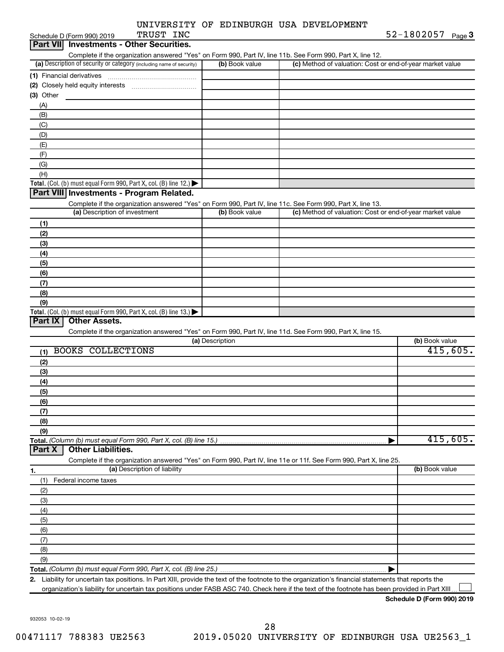| UNIVERSITY OF EDINBURGH USA DEVELOPMENT |  |  |  |  |  |
|-----------------------------------------|--|--|--|--|--|
|-----------------------------------------|--|--|--|--|--|

| TRUST INC<br>Schedule D (Form 990) 2019                                                                                                              |                 |                                                           | 52-1802057 $_{Page}$ 3 |
|------------------------------------------------------------------------------------------------------------------------------------------------------|-----------------|-----------------------------------------------------------|------------------------|
| Part VII Investments - Other Securities.                                                                                                             |                 |                                                           |                        |
| Complete if the organization answered "Yes" on Form 990, Part IV, line 11b. See Form 990, Part X, line 12.                                           |                 |                                                           |                        |
| (a) Description of security or category (including name of security)                                                                                 | (b) Book value  | (c) Method of valuation: Cost or end-of-year market value |                        |
|                                                                                                                                                      |                 |                                                           |                        |
|                                                                                                                                                      |                 |                                                           |                        |
| (3) Other                                                                                                                                            |                 |                                                           |                        |
| (A)                                                                                                                                                  |                 |                                                           |                        |
| (B)                                                                                                                                                  |                 |                                                           |                        |
| (C)                                                                                                                                                  |                 |                                                           |                        |
| (D)                                                                                                                                                  |                 |                                                           |                        |
| (E)                                                                                                                                                  |                 |                                                           |                        |
| (F)                                                                                                                                                  |                 |                                                           |                        |
| (G)                                                                                                                                                  |                 |                                                           |                        |
| (H)                                                                                                                                                  |                 |                                                           |                        |
| Total. (Col. (b) must equal Form 990, Part X, col. (B) line 12.)                                                                                     |                 |                                                           |                        |
| Part VIII Investments - Program Related.                                                                                                             |                 |                                                           |                        |
|                                                                                                                                                      |                 |                                                           |                        |
| Complete if the organization answered "Yes" on Form 990, Part IV, line 11c. See Form 990, Part X, line 13.<br>(a) Description of investment          | (b) Book value  | (c) Method of valuation: Cost or end-of-year market value |                        |
|                                                                                                                                                      |                 |                                                           |                        |
| (1)                                                                                                                                                  |                 |                                                           |                        |
| (2)                                                                                                                                                  |                 |                                                           |                        |
| (3)                                                                                                                                                  |                 |                                                           |                        |
| (4)                                                                                                                                                  |                 |                                                           |                        |
| (5)                                                                                                                                                  |                 |                                                           |                        |
| (6)                                                                                                                                                  |                 |                                                           |                        |
| (7)                                                                                                                                                  |                 |                                                           |                        |
| (8)                                                                                                                                                  |                 |                                                           |                        |
| (9)                                                                                                                                                  |                 |                                                           |                        |
| Total. (Col. (b) must equal Form 990, Part X, col. (B) line 13.)                                                                                     |                 |                                                           |                        |
| Part IX<br><b>Other Assets.</b>                                                                                                                      |                 |                                                           |                        |
| Complete if the organization answered "Yes" on Form 990, Part IV, line 11d. See Form 990, Part X, line 15.                                           |                 |                                                           |                        |
|                                                                                                                                                      | (a) Description |                                                           | (b) Book value         |
| <b>BOOKS COLLECTIONS</b><br>(1)                                                                                                                      |                 |                                                           | 415,605.               |
| (2)                                                                                                                                                  |                 |                                                           |                        |
| (3)                                                                                                                                                  |                 |                                                           |                        |
| (4)                                                                                                                                                  |                 |                                                           |                        |
| (5)                                                                                                                                                  |                 |                                                           |                        |
|                                                                                                                                                      |                 |                                                           |                        |
| (6)                                                                                                                                                  |                 |                                                           |                        |
| (7)                                                                                                                                                  |                 |                                                           |                        |
| (8)                                                                                                                                                  |                 |                                                           |                        |
| (9)                                                                                                                                                  |                 |                                                           |                        |
| Total. (Column (b) must equal Form 990, Part X, col. (B) line 15.)                                                                                   |                 |                                                           | 415,605.               |
| <b>Other Liabilities.</b><br>Part X                                                                                                                  |                 |                                                           |                        |
| Complete if the organization answered "Yes" on Form 990, Part IV, line 11e or 11f. See Form 990, Part X, line 25.                                    |                 |                                                           |                        |
| (a) Description of liability<br>1.                                                                                                                   |                 |                                                           | (b) Book value         |
| (1)<br>Federal income taxes                                                                                                                          |                 |                                                           |                        |
| (2)                                                                                                                                                  |                 |                                                           |                        |
| (3)                                                                                                                                                  |                 |                                                           |                        |
| (4)                                                                                                                                                  |                 |                                                           |                        |
| (5)                                                                                                                                                  |                 |                                                           |                        |
| (6)                                                                                                                                                  |                 |                                                           |                        |
| (7)                                                                                                                                                  |                 |                                                           |                        |
| (8)                                                                                                                                                  |                 |                                                           |                        |
| (9)                                                                                                                                                  |                 |                                                           |                        |
|                                                                                                                                                      |                 |                                                           |                        |
| 2. Liability for uncertain tax positions. In Part XIII, provide the text of the footnote to the organization's financial statements that reports the |                 |                                                           |                        |
| organization's liability for uncertain tax positions under FASB ASC 740. Check here if the text of the footnote has been provided in Part XIII.      |                 |                                                           |                        |
|                                                                                                                                                      |                 |                                                           |                        |

**Schedule D (Form 990) 2019**

932053 10-02-19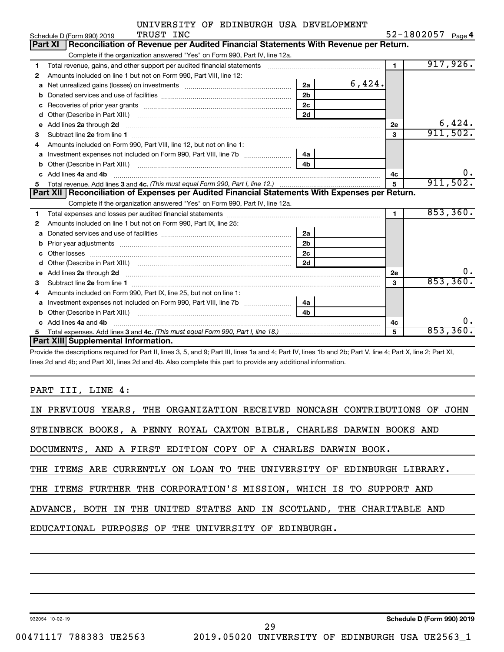| UNIVERSITY OF EDINBURGH USA DEVELOPMENT |  |  |  |  |
|-----------------------------------------|--|--|--|--|
|-----------------------------------------|--|--|--|--|

|    | TRUST INC<br>Schedule D (Form 990) 2019                                                                                                                                                                                             |        |                | 52-1802057<br>Page 4 |
|----|-------------------------------------------------------------------------------------------------------------------------------------------------------------------------------------------------------------------------------------|--------|----------------|----------------------|
|    | Reconciliation of Revenue per Audited Financial Statements With Revenue per Return.<br>Part XI                                                                                                                                      |        |                |                      |
|    | Complete if the organization answered "Yes" on Form 990, Part IV, line 12a.                                                                                                                                                         |        |                |                      |
| 1  | Total revenue, gains, and other support per audited financial statements                                                                                                                                                            |        | $\blacksquare$ | 917,926.             |
| 2  | Amounts included on line 1 but not on Form 990, Part VIII, line 12:                                                                                                                                                                 |        |                |                      |
| a  | 2a<br>Net unrealized gains (losses) on investments [111] Net unrealized mains (losses) on investments [11] Metamanian                                                                                                               | 6,424. |                |                      |
|    | 2 <sub>b</sub>                                                                                                                                                                                                                      |        |                |                      |
| с  | 2 <sub>c</sub>                                                                                                                                                                                                                      |        |                |                      |
| d  | 2d                                                                                                                                                                                                                                  |        |                |                      |
| е  | Add lines 2a through 2d                                                                                                                                                                                                             |        | 2e             | 6,424.               |
| 3  |                                                                                                                                                                                                                                     |        | 3              | 911,502.             |
| 4  | Amounts included on Form 990, Part VIII, line 12, but not on line 1:                                                                                                                                                                |        |                |                      |
| a  | 4a                                                                                                                                                                                                                                  |        |                |                      |
| b  | 4 <sub>b</sub>                                                                                                                                                                                                                      |        |                |                      |
|    | Add lines 4a and 4b                                                                                                                                                                                                                 |        | 4с             | ο.                   |
| 5  |                                                                                                                                                                                                                                     |        | 5              | 911,502.             |
|    | Part XII   Reconciliation of Expenses per Audited Financial Statements With Expenses per Return.                                                                                                                                    |        |                |                      |
|    | Complete if the organization answered "Yes" on Form 990, Part IV, line 12a.                                                                                                                                                         |        |                |                      |
| 1. |                                                                                                                                                                                                                                     |        | $\blacksquare$ | 853,360.             |
| 2  | Amounts included on line 1 but not on Form 990, Part IX, line 25:                                                                                                                                                                   |        |                |                      |
| a  | 2a                                                                                                                                                                                                                                  |        |                |                      |
| b  | 2 <sub>b</sub>                                                                                                                                                                                                                      |        |                |                      |
| с  |                                                                                                                                                                                                                                     |        |                |                      |
|    | 2 <sub>c</sub>                                                                                                                                                                                                                      |        |                |                      |
|    | 2d                                                                                                                                                                                                                                  |        |                |                      |
| e  |                                                                                                                                                                                                                                     |        | 2е             | ο.                   |
| 3  | Add lines 2a through 2d <b>[10]</b> University of the state of the state of the state of the state of the state of the state of the state of the state of the state of the state of the state of the state of the state of the stat |        | 3              | 853,360.             |
| 4  | Amounts included on Form 990, Part IX, line 25, but not on line 1:                                                                                                                                                                  |        |                |                      |
| a  | 4a                                                                                                                                                                                                                                  |        |                |                      |
| b  | 4 <sub>b</sub>                                                                                                                                                                                                                      |        |                |                      |
|    | Add lines 4a and 4b                                                                                                                                                                                                                 |        | 4с             | 0.                   |
| 5. | Part XIII Supplemental Information.                                                                                                                                                                                                 |        | 5              | 853,360.             |

Provide the descriptions required for Part II, lines 3, 5, and 9; Part III, lines 1a and 4; Part IV, lines 1b and 2b; Part V, line 4; Part X, line 2; Part XI, lines 2d and 4b; and Part XII, lines 2d and 4b. Also complete this part to provide any additional information.

### PART III, LINE 4:

| IN PREVIOUS YEARS, THE ORGANIZATION RECEIVED NONCASH CONTRIBUTIONS OF JOHN |
|----------------------------------------------------------------------------|
| STEINBECK BOOKS, A PENNY ROYAL CAXTON BIBLE, CHARLES DARWIN BOOKS AND      |
| DOCUMENTS, AND A FIRST EDITION COPY OF A CHARLES DARWIN BOOK.              |
| THE ITEMS ARE CURRENTLY ON LOAN TO THE UNIVERSITY OF EDINBURGH LIBRARY.    |
| THE ITEMS FURTHER THE CORPORATION'S MISSION, WHICH IS TO SUPPORT AND       |
| ADVANCE, BOTH IN THE UNITED STATES AND IN SCOTLAND, THE CHARITABLE AND     |
| EDUCATIONAL PURPOSES OF THE UNIVERSITY OF EDINBURGH.                       |
|                                                                            |

932054 10-02-19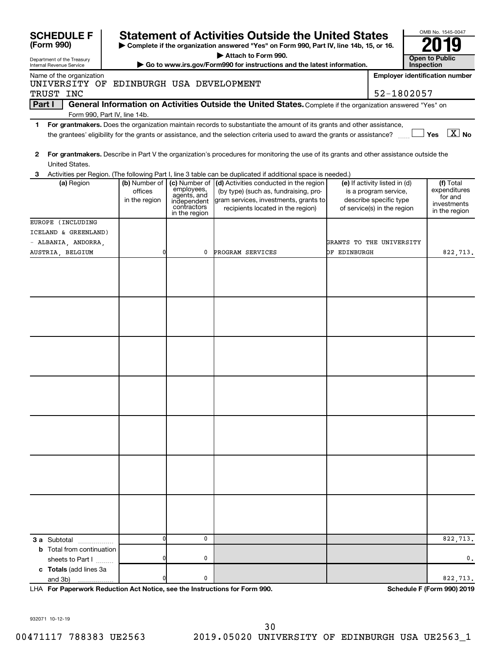| <b>SCHEDULE F</b><br>(Form 990)                                                                                                               | <b>Statement of Activities Outside the United States</b><br>Complete if the organization answered "Yes" on Form 990, Part IV, line 14b, 15, or 16. |                              |                                                                                                                                         |                          |                                                        |            | OMB No. 1545-0047                     |  |
|-----------------------------------------------------------------------------------------------------------------------------------------------|----------------------------------------------------------------------------------------------------------------------------------------------------|------------------------------|-----------------------------------------------------------------------------------------------------------------------------------------|--------------------------|--------------------------------------------------------|------------|---------------------------------------|--|
| Department of the Treasury                                                                                                                    |                                                                                                                                                    |                              | Attach to Form 990.                                                                                                                     |                          |                                                        |            | <b>Open to Public</b>                 |  |
| Internal Revenue Service                                                                                                                      |                                                                                                                                                    |                              | Go to www.irs.gov/Form990 for instructions and the latest information.                                                                  |                          |                                                        | Inspection | <b>Employer identification number</b> |  |
| Name of the organization<br>UNIVERSITY OF                                                                                                     | EDINBURGH USA DEVELOPMENT                                                                                                                          |                              |                                                                                                                                         |                          |                                                        |            |                                       |  |
| TRUST INC                                                                                                                                     |                                                                                                                                                    |                              |                                                                                                                                         |                          | 52-1802057                                             |            |                                       |  |
| Part I<br>Form 990, Part IV, line 14b.                                                                                                        |                                                                                                                                                    |                              | General Information on Activities Outside the United States. Complete if the organization answered "Yes" on                             |                          |                                                        |            |                                       |  |
| For grantmakers. Does the organization maintain records to substantiate the amount of its grants and other assistance,<br>$\mathbf{1}$        |                                                                                                                                                    |                              |                                                                                                                                         |                          |                                                        |            |                                       |  |
| $X_{N0}$<br>Yes<br>the grantees' eligibility for the grants or assistance, and the selection criteria used to award the grants or assistance? |                                                                                                                                                    |                              |                                                                                                                                         |                          |                                                        |            |                                       |  |
| 2<br>United States.                                                                                                                           |                                                                                                                                                    |                              | For grantmakers. Describe in Part V the organization's procedures for monitoring the use of its grants and other assistance outside the |                          |                                                        |            |                                       |  |
| з                                                                                                                                             |                                                                                                                                                    |                              | Activities per Region. (The following Part I, line 3 table can be duplicated if additional space is needed.)                            |                          |                                                        |            |                                       |  |
| (a) Region                                                                                                                                    | (b) Number of<br>offices                                                                                                                           | (c) Number of<br>employees,  | (d) Activities conducted in the region<br>(by type) (such as, fundraising, pro-                                                         |                          | (e) If activity listed in (d)<br>is a program service, |            | (f) Total<br>expenditures             |  |
|                                                                                                                                               | in the region                                                                                                                                      | agents, and<br>independent   | gram services, investments, grants to                                                                                                   |                          | describe specific type                                 |            | for and<br>investments                |  |
|                                                                                                                                               |                                                                                                                                                    | contractors<br>in the region | recipients located in the region)                                                                                                       |                          | of service(s) in the region                            |            | in the region                         |  |
| EUROPE (INCLUDING                                                                                                                             |                                                                                                                                                    |                              |                                                                                                                                         |                          |                                                        |            |                                       |  |
| ICELAND & GREENLAND)                                                                                                                          |                                                                                                                                                    |                              |                                                                                                                                         |                          |                                                        |            |                                       |  |
| - ALBANIA, ANDORRA,                                                                                                                           |                                                                                                                                                    |                              |                                                                                                                                         | GRANTS TO THE UNIVERSITY |                                                        |            |                                       |  |
| AUSTRIA, BELGIUM                                                                                                                              | 0                                                                                                                                                  | 0                            | PROGRAM SERVICES                                                                                                                        | OF EDINBURGH             |                                                        |            | 822,713.                              |  |
|                                                                                                                                               |                                                                                                                                                    |                              |                                                                                                                                         |                          |                                                        |            |                                       |  |
|                                                                                                                                               |                                                                                                                                                    |                              |                                                                                                                                         |                          |                                                        |            |                                       |  |
|                                                                                                                                               |                                                                                                                                                    |                              |                                                                                                                                         |                          |                                                        |            |                                       |  |
|                                                                                                                                               |                                                                                                                                                    |                              |                                                                                                                                         |                          |                                                        |            |                                       |  |
|                                                                                                                                               |                                                                                                                                                    |                              |                                                                                                                                         |                          |                                                        |            |                                       |  |
|                                                                                                                                               |                                                                                                                                                    |                              |                                                                                                                                         |                          |                                                        |            |                                       |  |
|                                                                                                                                               |                                                                                                                                                    |                              |                                                                                                                                         |                          |                                                        |            |                                       |  |
|                                                                                                                                               |                                                                                                                                                    |                              |                                                                                                                                         |                          |                                                        |            |                                       |  |
|                                                                                                                                               |                                                                                                                                                    |                              |                                                                                                                                         |                          |                                                        |            |                                       |  |
|                                                                                                                                               |                                                                                                                                                    |                              |                                                                                                                                         |                          |                                                        |            |                                       |  |
|                                                                                                                                               |                                                                                                                                                    |                              |                                                                                                                                         |                          |                                                        |            |                                       |  |
|                                                                                                                                               |                                                                                                                                                    |                              |                                                                                                                                         |                          |                                                        |            |                                       |  |
|                                                                                                                                               |                                                                                                                                                    |                              |                                                                                                                                         |                          |                                                        |            |                                       |  |
|                                                                                                                                               |                                                                                                                                                    |                              |                                                                                                                                         |                          |                                                        |            |                                       |  |
|                                                                                                                                               |                                                                                                                                                    |                              |                                                                                                                                         |                          |                                                        |            |                                       |  |
|                                                                                                                                               |                                                                                                                                                    |                              |                                                                                                                                         |                          |                                                        |            |                                       |  |
|                                                                                                                                               |                                                                                                                                                    |                              |                                                                                                                                         |                          |                                                        |            |                                       |  |
|                                                                                                                                               |                                                                                                                                                    |                              |                                                                                                                                         |                          |                                                        |            |                                       |  |
|                                                                                                                                               |                                                                                                                                                    |                              |                                                                                                                                         |                          |                                                        |            |                                       |  |
|                                                                                                                                               |                                                                                                                                                    |                              |                                                                                                                                         |                          |                                                        |            |                                       |  |
|                                                                                                                                               |                                                                                                                                                    |                              |                                                                                                                                         |                          |                                                        |            |                                       |  |
|                                                                                                                                               |                                                                                                                                                    |                              |                                                                                                                                         |                          |                                                        |            |                                       |  |
|                                                                                                                                               |                                                                                                                                                    |                              |                                                                                                                                         |                          |                                                        |            |                                       |  |
|                                                                                                                                               |                                                                                                                                                    |                              |                                                                                                                                         |                          |                                                        |            |                                       |  |
| 3 a Subtotal                                                                                                                                  | n                                                                                                                                                  | 0                            |                                                                                                                                         |                          |                                                        |            | 822,713.                              |  |
| <b>b</b> Total from continuation                                                                                                              |                                                                                                                                                    |                              |                                                                                                                                         |                          |                                                        |            |                                       |  |
| sheets to Part I                                                                                                                              |                                                                                                                                                    | 0                            |                                                                                                                                         |                          |                                                        |            | 0.                                    |  |
| c Totals (add lines 3a                                                                                                                        |                                                                                                                                                    |                              |                                                                                                                                         |                          |                                                        |            |                                       |  |
| and 3b)                                                                                                                                       |                                                                                                                                                    | 0                            |                                                                                                                                         |                          |                                                        |            | 822,713.                              |  |

**For Paperwork Reduction Act Notice, see the Instructions for Form 990. Schedule F (Form 990) 2019** LHA

932071 10-12-19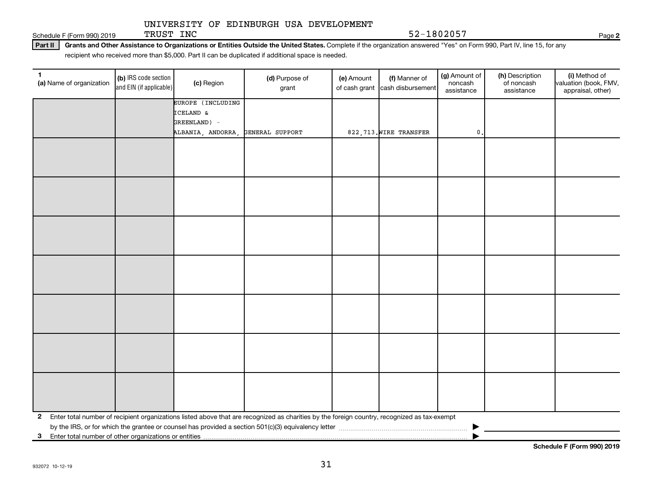Schedule F (Form 990) 2019 TRUST INC

52-1802057

Part II | Grants and Other Assistance to Organizations or Entities Outside the United States. Complete if the organization answered "Yes" on Form 990, Part IV, line 15, for any recipient who received more than \$5,000. Part II can be duplicated if additional space is needed.

| 1<br>(a) Name of organization | (b) IRS code section<br>and EIN (if applicable)         | (c) Region                        | (d) Purpose of<br>grant                                                                                                                      | (e) Amount | (f) Manner of<br>of cash grant cash disbursement | (g) Amount of<br>noncash<br>assistance | (h) Description<br>of noncash<br>assistance | (i) Method of<br>valuation (book, FMV,<br>appraisal, other) |
|-------------------------------|---------------------------------------------------------|-----------------------------------|----------------------------------------------------------------------------------------------------------------------------------------------|------------|--------------------------------------------------|----------------------------------------|---------------------------------------------|-------------------------------------------------------------|
|                               |                                                         | EUROPE (INCLUDING                 |                                                                                                                                              |            |                                                  |                                        |                                             |                                                             |
|                               |                                                         | ICELAND &<br>GREENLAND) -         |                                                                                                                                              |            |                                                  |                                        |                                             |                                                             |
|                               |                                                         | ALBANIA, ANDORRA, GENERAL SUPPORT |                                                                                                                                              |            | 822, 713. WIRE TRANSFER                          | $^{\rm 0}$ .                           |                                             |                                                             |
|                               |                                                         |                                   |                                                                                                                                              |            |                                                  |                                        |                                             |                                                             |
|                               |                                                         |                                   |                                                                                                                                              |            |                                                  |                                        |                                             |                                                             |
|                               |                                                         |                                   |                                                                                                                                              |            |                                                  |                                        |                                             |                                                             |
|                               |                                                         |                                   |                                                                                                                                              |            |                                                  |                                        |                                             |                                                             |
|                               |                                                         |                                   |                                                                                                                                              |            |                                                  |                                        |                                             |                                                             |
|                               |                                                         |                                   |                                                                                                                                              |            |                                                  |                                        |                                             |                                                             |
|                               |                                                         |                                   |                                                                                                                                              |            |                                                  |                                        |                                             |                                                             |
|                               |                                                         |                                   |                                                                                                                                              |            |                                                  |                                        |                                             |                                                             |
|                               |                                                         |                                   |                                                                                                                                              |            |                                                  |                                        |                                             |                                                             |
|                               |                                                         |                                   |                                                                                                                                              |            |                                                  |                                        |                                             |                                                             |
|                               |                                                         |                                   |                                                                                                                                              |            |                                                  |                                        |                                             |                                                             |
|                               |                                                         |                                   |                                                                                                                                              |            |                                                  |                                        |                                             |                                                             |
|                               |                                                         |                                   |                                                                                                                                              |            |                                                  |                                        |                                             |                                                             |
|                               |                                                         |                                   |                                                                                                                                              |            |                                                  |                                        |                                             |                                                             |
|                               |                                                         |                                   |                                                                                                                                              |            |                                                  |                                        |                                             |                                                             |
|                               |                                                         |                                   |                                                                                                                                              |            |                                                  |                                        |                                             |                                                             |
|                               |                                                         |                                   |                                                                                                                                              |            |                                                  |                                        |                                             |                                                             |
|                               |                                                         |                                   |                                                                                                                                              |            |                                                  |                                        |                                             |                                                             |
| $\mathbf{2}$                  |                                                         |                                   | Enter total number of recipient organizations listed above that are recognized as charities by the foreign country, recognized as tax-exempt |            |                                                  |                                        |                                             |                                                             |
|                               |                                                         |                                   |                                                                                                                                              |            |                                                  |                                        |                                             |                                                             |
|                               | 3 Enter total number of other organizations or entities |                                   |                                                                                                                                              |            |                                                  |                                        |                                             |                                                             |

**Schedule F (Form 990) 2019**

**2**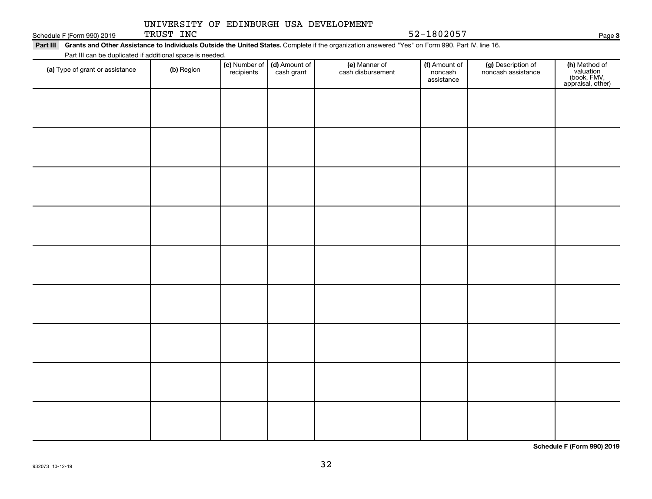### 932073 10-12-19

|                            |           |  |  | UNIVERSITY OF EDINBURGH USA DEVELOPMENT |
|----------------------------|-----------|--|--|-----------------------------------------|
| Schedule F (Form 990) 2019 | TRUST INC |  |  |                                         |

52-1802057

Part III Grants and Other Assistance to Individuals Outside the United States. Complete if the organization answered "Yes" on Form 990, Part IV, line 16. Part III can be duplicated if additional space is needed.

| Part in carried depicated in additional space is needed.<br>(a) Type of grant or assistance | (b) Region | recipients | (c) Number of (d) Amount of<br>cash grant | (e) Manner of<br>cash disbursement | (f) Amount of<br>noncash<br>assistance | (g) Description of<br>noncash assistance | (h) Method of<br>valuation<br>(book, FMV,<br>appraisal, other) |
|---------------------------------------------------------------------------------------------|------------|------------|-------------------------------------------|------------------------------------|----------------------------------------|------------------------------------------|----------------------------------------------------------------|
|                                                                                             |            |            |                                           |                                    |                                        |                                          |                                                                |
|                                                                                             |            |            |                                           |                                    |                                        |                                          |                                                                |
|                                                                                             |            |            |                                           |                                    |                                        |                                          |                                                                |
|                                                                                             |            |            |                                           |                                    |                                        |                                          |                                                                |
|                                                                                             |            |            |                                           |                                    |                                        |                                          |                                                                |
|                                                                                             |            |            |                                           |                                    |                                        |                                          |                                                                |
|                                                                                             |            |            |                                           |                                    |                                        |                                          |                                                                |
|                                                                                             |            |            |                                           |                                    |                                        |                                          |                                                                |
|                                                                                             |            |            |                                           |                                    |                                        |                                          |                                                                |
|                                                                                             |            |            |                                           |                                    |                                        |                                          |                                                                |
|                                                                                             |            |            |                                           |                                    |                                        |                                          |                                                                |

**Schedule F (Form 990) 2019**

**3**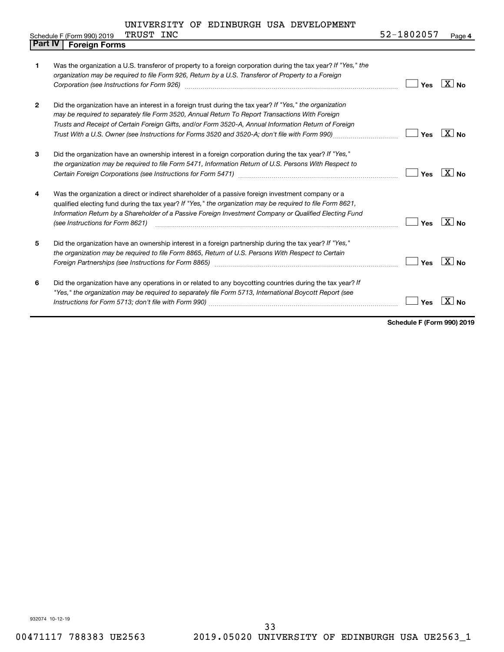|                | TRUST INC<br>Schedule F (Form 990) 2019                                                                                                                                                                                                                                                                                                                                                                                | 52-1802057 | Page 4            |
|----------------|------------------------------------------------------------------------------------------------------------------------------------------------------------------------------------------------------------------------------------------------------------------------------------------------------------------------------------------------------------------------------------------------------------------------|------------|-------------------|
| <b>Part IV</b> | <b>Foreign Forms</b>                                                                                                                                                                                                                                                                                                                                                                                                   |            |                   |
| 1              | Was the organization a U.S. transferor of property to a foreign corporation during the tax year? If "Yes," the<br>organization may be required to file Form 926, Return by a U.S. Transferor of Property to a Foreign                                                                                                                                                                                                  | Yes        | $\overline{X}$ No |
| $\mathbf{2}$   | Did the organization have an interest in a foreign trust during the tax year? If "Yes," the organization<br>may be required to separately file Form 3520, Annual Return To Report Transactions With Foreign<br>Trusts and Receipt of Certain Foreign Gifts, and/or Form 3520-A, Annual Information Return of Foreign<br>Trust With a U.S. Owner (see Instructions for Forms 3520 and 3520-A; don't file with Form 990) | Yes        | $\overline{X}$ No |
| 3              | Did the organization have an ownership interest in a foreign corporation during the tax year? If "Yes,"<br>the organization may be required to file Form 5471, Information Return of U.S. Persons With Respect to                                                                                                                                                                                                      | Yes        | $\overline{X}$ No |
| 4              | Was the organization a direct or indirect shareholder of a passive foreign investment company or a<br>qualified electing fund during the tax year? If "Yes," the organization may be required to file Form 8621,<br>Information Return by a Shareholder of a Passive Foreign Investment Company or Qualified Electing Fund<br>(see Instructions for Form 8621)                                                         | Yes        | $\overline{X}$ No |
| 5              | Did the organization have an ownership interest in a foreign partnership during the tax year? If "Yes,"<br>the organization may be required to file Form 8865, Return of U.S. Persons With Respect to Certain<br>Foreign Partnerships (see Instructions for Form 8865) manufactured controller controller controller controller                                                                                        | Yes        | $\overline{X}$ No |
| 6              | Did the organization have any operations in or related to any boycotting countries during the tax year? If<br>"Yes," the organization may be required to separately file Form 5713, International Boycott Report (see                                                                                                                                                                                                  | Yes        | <b>No</b>         |

**Schedule F (Form 990) 2019**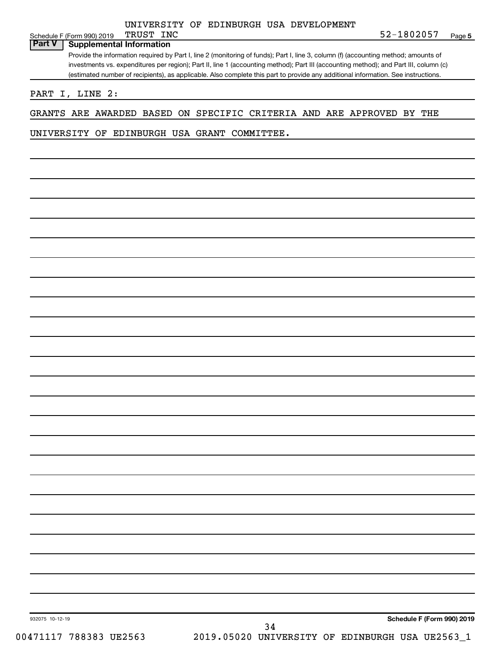| UNIVERSITY OF EDINBURGH USA DEVELOPMENT |  |  |  |
|-----------------------------------------|--|--|--|
|-----------------------------------------|--|--|--|

| <b>POTIERNIE L</b> (LAITH AAN) SATA | -------- |  |
|-------------------------------------|----------|--|
| Part V   Supplemental Information   |          |  |

Provide the information required by Part I, line 2 (monitoring of funds); Part I, line 3, column (f) (accounting method; amounts of investments vs. expenditures per region); Part II, line 1 (accounting method); Part III (accounting method); and Part III, column (c) (estimated number of recipients), as applicable. Also complete this part to provide any additional information. See instructions.

PART I, LINE 2:

GRANTS ARE AWARDED BASED ON SPECIFIC CRITERIA AND ARE APPROVED BY THE

UNIVERSITY OF EDINBURGH USA GRANT COMMITTEE.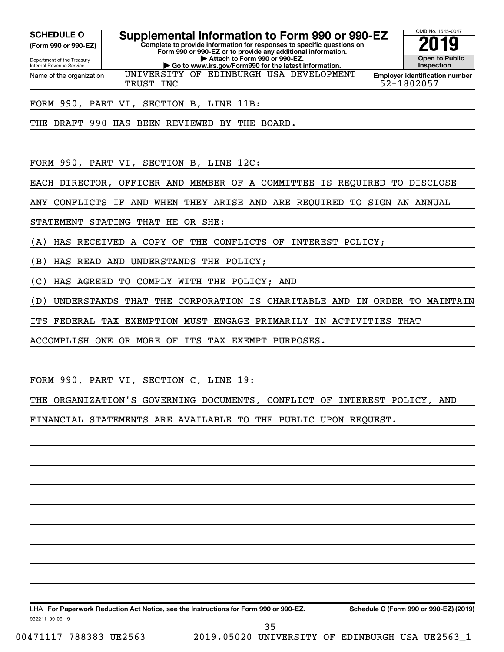**(Form 990 or 990-EZ)**

**Complete to provide information for responses to specific questions on SCHEDULE O Supplemental Information to Form 990 or 990-EZ 2019** 

UNIVERSITY OF EDINBURGH USA DEVELOPMENT

Department of the Treasury Internal Revenue Service Name of the organization **Form 990 or 990-EZ or to provide any additional information. | Attach to Form 990 or 990-EZ. | Go to www.irs.gov/Form990 for the latest information.**



**Employer identification number** TRUST INC 52-1802057

FORM 990, PART VI, SECTION B, LINE 11B:

THE DRAFT 990 HAS BEEN REVIEWED BY THE BOARD.

FORM 990, PART VI, SECTION B, LINE 12C:

EACH DIRECTOR, OFFICER AND MEMBER OF A COMMITTEE IS REQUIRED TO DISCLOSE

ANY CONFLICTS IF AND WHEN THEY ARISE AND ARE REQUIRED TO SIGN AN ANNUAL

STATEMENT STATING THAT HE OR SHE:

(A) HAS RECEIVED A COPY OF THE CONFLICTS OF INTEREST POLICY;

(B) HAS READ AND UNDERSTANDS THE POLICY;

(C) HAS AGREED TO COMPLY WITH THE POLICY; AND

(D) UNDERSTANDS THAT THE CORPORATION IS CHARITABLE AND IN ORDER TO MAINTAIN

ITS FEDERAL TAX EXEMPTION MUST ENGAGE PRIMARILY IN ACTIVITIES THAT

ACCOMPLISH ONE OR MORE OF ITS TAX EXEMPT PURPOSES.

FORM 990, PART VI, SECTION C, LINE 19:

THE ORGANIZATION'S GOVERNING DOCUMENTS, CONFLICT OF INTEREST POLICY, AND

FINANCIAL STATEMENTS ARE AVAILABLE TO THE PUBLIC UPON REQUEST.

932211 09-06-19 LHA For Paperwork Reduction Act Notice, see the Instructions for Form 990 or 990-EZ. Schedule O (Form 990 or 990-EZ) (2019)

00471117 788383 UE2563 2019.05020 UNIVERSITY OF EDINBURGH USA UE2563\_1 35